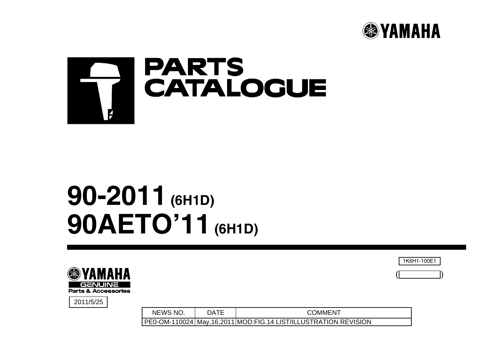



# **90-2011 (6H1D) 90AETO'11 (6H1D)**



2011/5/25

NEWS NO. | DATE COMMENT PE0-OM-110024 May,16,2011 MOD:FIG.14 LIST/ILLUSTRATION REVISION 1K6H1-100E1

 $($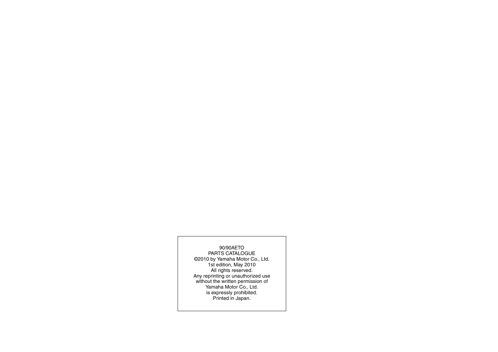#### 90/90AETO

 PARTS CATALOGUE ©2010 by Yamaha Motor Co., Ltd. 1st edition, May 2010 All rights reserved. Any reprinting or unauthorized use without the written permission of Yamaha Motor Co., Ltd. is expressly prohibited. Printed in Japan.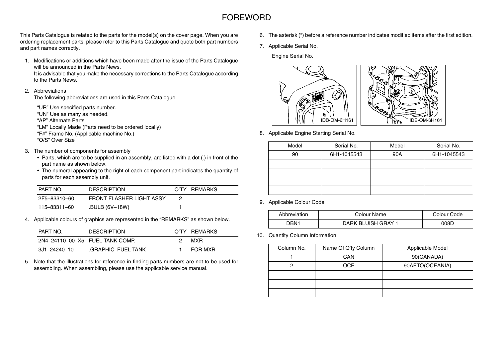#### FOREWORD

This Parts Catalogue is related to the parts for the model(s) on the cover page. When you are ordering replacement parts, please refer to this Parts Catalogue and quote both part numbers and part names correctly.

1. Modifications or additions which have been made after the issue of the Parts Catalogue will be announced in the Parts News.

It is advisable that you make the necessary corrections to the Parts Catalogue according to the Parts News.

#### 2. Abbreviations

The following abbreviations are used in this Parts Catalogue.

"UR" Use specified parts number. "UN" Use as many as needed. "AP" Alternate Parts"LM" Locally Made (Parts need to be ordered locally)

"F#" Frame No. (Applicable machine No.) "O/S" Over Size

- 3. The number of components for assembly
	- Parts, which are to be supplied in an assembly, are listed with a dot (.) in front of the part name as shown below.
	- The numeral appearing to the right of each component part indicates the quantity of parts for each assembly unit.

| PART NO.     | <b>DESCRIPTION</b>       | Q'TY REMARKS |
|--------------|--------------------------|--------------|
| 2F5-83310-60 | FRONT FLASHER LIGHT ASSY |              |
| 115–83311–60 | .BULB (6V-18W)           |              |

4. Applicable colours of graphics are represented in the "REMARKS" as shown below.

| PART NO.                        | <b>DESCRIPTION</b>  |    | Q'TY REMARKS |
|---------------------------------|---------------------|----|--------------|
| 2N4-24110-00-X5 FUEL TANK COMP. |                     | 2. | MXR.         |
| 3J1-24240-10                    | .GRAPHIC, FUEL TANK |    | FOR MXR      |

5. Note that the illustrations for reference in finding parts numbers are not to be used for assembling. When assembling, please use the applicable service manual.

- 6. The asterisk (\*) before a reference number indicates modified items after the first edition.
- 7. Applicable Serial No.

Engine Serial No.



8. Applicable Engine Starting Serial No.

| Model | Serial No.  | Model | Serial No.  |
|-------|-------------|-------|-------------|
| 90    | 6H1-1045543 | 90A   | 6H1-1045543 |
|       |             |       |             |
|       |             |       |             |
|       |             |       |             |
|       |             |       |             |

9. Applicable Colour Code

| Abbreviation | Colour Name        | Colour Code |
|--------------|--------------------|-------------|
| רRN1.        | DARK BLUISH GRAY 1 | 008C        |

10. Quantity Column Information

| Column No. | Name Of Q'ty Column | Applicable Model |
|------------|---------------------|------------------|
|            | <b>CAN</b>          | 90(CANADA)       |
|            | <b>OCE</b>          | 90AETO(OCEANIA)  |
|            |                     |                  |
|            |                     |                  |
|            |                     |                  |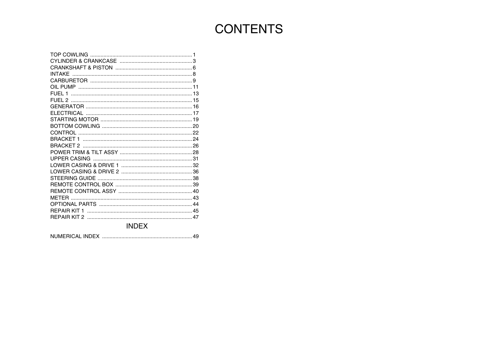## **CONTENTS**

**INDEX**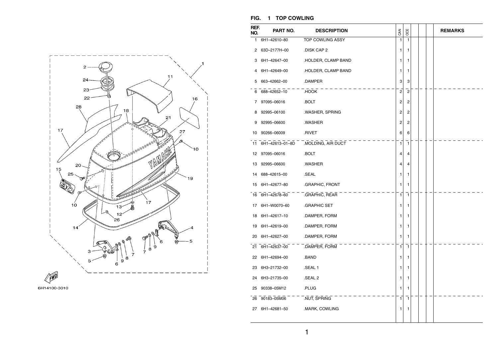



#### **FIG. 1 TOP COWLING**

| REF.<br>NO. | PART NO.        | <b>DESCRIPTION</b>                 | <b>SAN</b>              | OCE            |  | <b>REMARKS</b> |
|-------------|-----------------|------------------------------------|-------------------------|----------------|--|----------------|
| 1.          | 6H1-42610-80    | TOP COWLING ASSY                   | $\mathbf{1}$            | $\mathbf{1}$   |  |                |
| 2           | 63D-2177H-00    | .DISK CAP 2                        | 1                       | 1              |  |                |
| З           | 6H1-42647-00    | .HOLDER, CLAMP BAND                | 1                       | 1              |  |                |
| 4           | 6H1-42649-00    | .HOLDER, CLAMP BAND                | 1                       | 1              |  |                |
| 5           | 663-42662-00    | .DAMPER                            | 3                       | 3              |  |                |
|             | 6 688-42652-10  | .HOOK                              | $\overline{\mathbf{c}}$ | $\overline{2}$ |  |                |
| 7           | 97095-06016     | .BOLT                              | 2                       | 2              |  |                |
| 8           | 92995-06100     | .WASHER, SPRING                    | 2                       | 2              |  |                |
| 9           | 92995-06600     | .WASHER                            | 2                       | 2              |  |                |
| 10          | 90266-06009     | .RIVET                             | 6                       | 6              |  |                |
| 11          |                 | 6H1-42613-01-8D .MOLDING, AIR DUCT | 1                       | $\mathbf{1}$   |  |                |
| 12          | 97095-06016     | .BOLT                              | 4                       | 4              |  |                |
| 13          | 92995-06600     | .WASHER                            | 4                       | 4              |  |                |
| 14          | 688-42615-00    | .SEAL                              | 1                       | 1              |  |                |
| 15          | 6H1-42677-80    | .GRAPHIC, FRONT                    | 1                       | 1              |  |                |
| 16          | 6H1-42678-60    | .GRAPHIC, REAR                     | 1                       | $\mathbf{1}$   |  |                |
| 17          | 6H1-W0070-60    | .GRAPHIC SET                       | 1                       | 1              |  |                |
| 18          | 6H1-42617-10    | .DAMPER, FORM                      | 1                       | 1              |  |                |
| 19          | 6H1-42619-00    | .DAMPER, FORM                      | 1                       | 1              |  |                |
| 20          | 6H1-42627-00    | .DAMPER, FORM                      | 1                       | 1              |  |                |
|             | 21 6H1-42637-00 | .DAMPER, FORM                      | $\mathbf{1}$            | $\mathbf{1}$   |  |                |
| 22          | 6H1-42694-00    | .BAND                              | 1                       | 1              |  |                |
| 23          | 6H3-21732-00    | .SEAL 1                            | 1                       | 1              |  |                |
| 24          | 6H3-21735-00    | SEAL 2                             | 1                       | 1              |  |                |
| 25          | 90338-05M12     | .PLUG                              | 1                       | 1              |  |                |
| 26          | 90183-05M06     | .NUT, SPRING                       | $\mathbf{1}$            | $\mathbf{1}$   |  |                |
|             | 27 6H1-42681-50 | .MARK, COWLING                     | 1                       | 1              |  |                |
|             |                 |                                    |                         |                |  |                |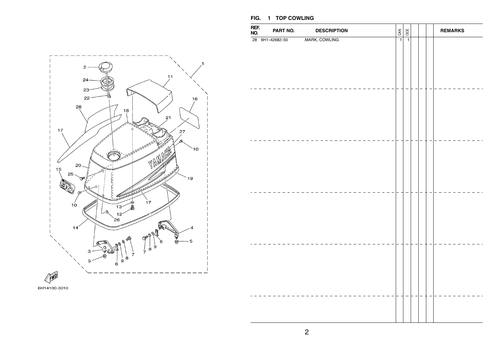#### $\overline{2}$  $11$  $24 23 \mathbb{D}$  $22 -$ 16 28  $18$  $21$ 17  $27$  $\mathbf{C}$  $\mathbb{N}$ ۷ 20 15 25 19 17  $10$  $13$  $26$ o,  $14<sup>′</sup>$ 5  $6$  $\begin{array}{c|c} \n\downarrow & \downarrow \\ \n\downarrow & \circ \\ \n\end{array}$ я  $\circ$ 6 FWD 6H14100-3010

#### **FIG. 1 TOP COWLING**

| 28 6H1-42682-50<br>$\overline{1}$ | REF.<br>NO. | PART NO. | <b>DESCRIPTION</b> | CAN | OCE            | <b>REMARKS</b> |
|-----------------------------------|-------------|----------|--------------------|-----|----------------|----------------|
|                                   |             |          | .MARK, COWLING     |     | $\overline{1}$ |                |
|                                   |             |          |                    |     |                |                |
|                                   |             |          |                    |     |                |                |
|                                   |             |          |                    |     |                |                |
|                                   |             |          |                    |     |                |                |
|                                   |             |          |                    |     |                |                |
|                                   |             |          |                    |     |                |                |
|                                   |             |          |                    |     |                |                |
|                                   |             |          |                    |     |                |                |
|                                   |             |          |                    |     |                |                |
|                                   |             |          |                    |     |                |                |
|                                   |             |          |                    |     |                |                |
|                                   |             |          |                    |     |                |                |
|                                   |             |          |                    |     |                |                |

2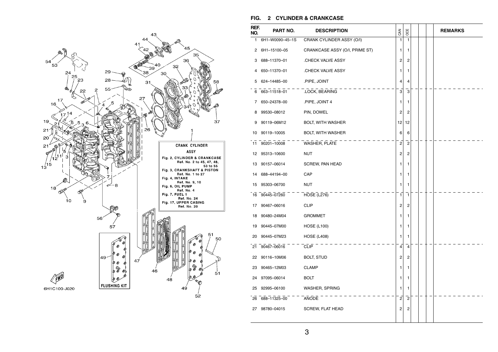

#### **FIG. 2 CYLINDER & CRANKCASE**

| REF.<br>NO. | PART NO.        | <b>DESCRIPTION</b>             | CAN            | OCE            |  | <b>REMARKS</b> |
|-------------|-----------------|--------------------------------|----------------|----------------|--|----------------|
| 1           | 6H1-W0090-45-1S | CRANK CYLINDER ASSY (O/I)      | 1              | 1              |  |                |
| 2           | 6H1-15100-05    | CRANKCASE ASSY (O/I, PRIME ST) | 1              | 1              |  |                |
| 3           | 688-11370-01    | CHECK VALVE ASSY               | 2              | 2              |  |                |
| 4           | 650-11370-01    | .CHECK VALVE ASSY              | 1              | 1              |  |                |
| 5           | 624-14485-00    | .PIPE, JOINT                   | 4              | 4              |  |                |
|             | 6 663-11518-01  | .LOCK, BEARING                 | 3              | 3              |  |                |
| 7           | 650-24378-00    | PIPE, JOINT 4                  | 1              | 1              |  |                |
| 8           | 99530-08012     | PIN, DOWEL                     | 2              | 2              |  |                |
| 9           | 90119-06M12     | BOLT, WITH WASHER              | 12             | 12             |  |                |
| 10          | 90119-10005     | <b>BOLT, WITH WASHER</b>       | 6              | 6              |  |                |
| 11          | 90201-10008     | WASHER, PLATE                  | 2              | $\overline{2}$ |  |                |
|             | 12 95313-10600  | NUT                            | 2              | 2              |  |                |
| 13          | 90157-06014     | SCREW, PAN HEAD                | 1              | 1              |  |                |
| 14          | 688-44194-00    | CAP                            | 1              | 1              |  |                |
| 15          | 95303-06700     | <b>NUT</b>                     | 1              | 1              |  |                |
|             | 16 90445-07260  | HOSE (L276)                    | 1              | 1              |  |                |
|             | 17 90467-06016  | <b>CLIP</b>                    | 2              | 2              |  |                |
| 18          | 90480-24M04     | <b>GROMMET</b>                 | 1              | 1              |  |                |
| 19          | 90445-07M00     | <b>HOSE (L100)</b>             | 1              | 1              |  |                |
| 20          | 90445-07M23     | <b>HOSE (L408)</b>             | 1              | 1              |  |                |
| 21          | 90467-06016     | <b>CLIP</b>                    | 4              | 4              |  |                |
| 22          | 90116-10M06     | <b>BOLT, STUD</b>              | 2              | 2              |  |                |
| 23          | 90465-12M03     | <b>CLAMP</b>                   | 1              | 1              |  |                |
| 24          | 97095-06014     | <b>BOLT</b>                    | 1              | 1              |  |                |
| 25          | 92995-06100     | WASHER, SPRING                 | 1              | 1              |  |                |
| 26          | 688-11325-00    | ANODE                          | $\overline{c}$ | $\overline{c}$ |  |                |
| 27          | 98780-04015     | <b>SCREW, FLAT HEAD</b>        | 2              | 2              |  |                |
|             |                 |                                |                |                |  |                |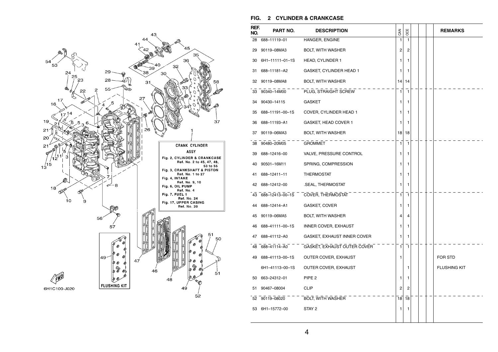

#### **FIG. 2 CYLINDER & CRANKCASE**

| REF.<br>NO. | PART NO.        | <b>DESCRIPTION</b>          | <b>GAN</b> | OCE            |  | <b>REMARKS</b>      |
|-------------|-----------------|-----------------------------|------------|----------------|--|---------------------|
| 28          | 688-11119-01    | HANGER, ENGINE              | 1          | 1              |  |                     |
| 29          | 90119-08MA3     | <b>BOLT, WITH WASHER</b>    | 2          | 2              |  |                     |
| 30          | 6H1-11111-01-1S | <b>HEAD, CYLINDER 1</b>     | 1          | 1              |  |                     |
| 31          | 688-11181-A2    | GASKET, CYLINDER HEAD 1     | 1          | 1              |  |                     |
| 32          | 90119-08MA8     | <b>BOLT, WITH WASHER</b>    | 14         | 14             |  |                     |
| 33          | 90340-14M00     | PLUG, STRAIGHT SCREW        | 1          | $\mathbf{1}$   |  |                     |
| 34          | 90430-14115     | GASKET                      | 1          | 1              |  |                     |
| 35          | 688-11191-00-1S | COVER, CYLINDER HEAD 1      | 1          | 1              |  |                     |
| 36          | 688-11193-A1    | GASKET, HEAD COVER 1        | 1          | 1              |  |                     |
| 37          | 90119-06MA3     | <b>BOLT, WITH WASHER</b>    | 18         | 18             |  |                     |
| 38          | 90480-20M05     | <b>GROMMET</b>              | 1          | 1              |  |                     |
| 39          | 688-12416-00    | VALVE, PRESSURE CONTROL     | 1          | 1              |  |                     |
| 40          | 90501-16M11     | SPRING, COMPRESSION         | 1          | 1              |  |                     |
| 41          | 688-12411-11    | <b>THERMOSTAT</b>           | 1          | 1              |  |                     |
| 42          | 688-12412-00    | .SEAL, THERMOSTAT           | 1          | 1              |  |                     |
| 43          | 688-12413-00-1S | COVER, THERMOSTAT           | 1          | $\mathbf{1}$   |  |                     |
| 44          | 688-12414-A1    | GASKET, COVER               | 1          | 1              |  |                     |
| 45          | 90119-06MA5     | BOLT, WITH WASHER           | 4          | 4              |  |                     |
| 46          | 688-41111-00-1S | INNER COVER, EXHAUST        | 1          | 1              |  |                     |
| 47          | 688-41112-A0    | GASKET, EXHAUST INNER COVER | 1          | 1              |  |                     |
| 48          | 688-41114-A0    | GASKET, EXHAUST OUTER COVER | 1          | 1              |  |                     |
| 49          | 688-41113-00-1S | OUTER COVER, EXHAUST        | 1          |                |  | FOR STD             |
|             | 6H1-41113-00-1S | OUTER COVER, EXHAUST        |            | 1              |  | <b>FLUSHING KIT</b> |
| 50          | 663-24312-01    | PIPE <sub>2</sub>           | 1          | 1              |  |                     |
| 51          | 90467-08004     | <b>CLIP</b>                 | 2          | $\overline{2}$ |  |                     |
| 52          | 90119-08020     | BOLT, WITH WASHER           | 18         | 18             |  |                     |
| 53          | 6H1-15772-00    | STAY 2                      | 1          | 1              |  |                     |
|             |                 |                             |            |                |  |                     |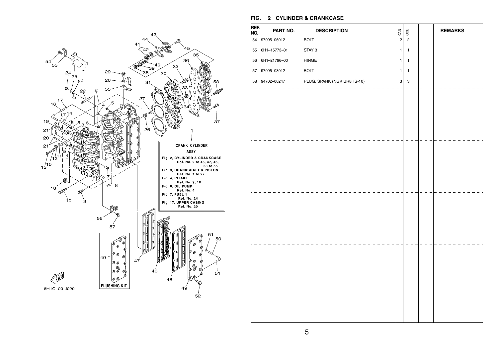

#### **FIG. 2 CYLINDER & CRANKCASE**

| REF.<br>NO. | PART NO.        | <b>DESCRIPTION</b>                                                | CAN            | OCE            |  | <b>REMARKS</b> |  |
|-------------|-----------------|-------------------------------------------------------------------|----------------|----------------|--|----------------|--|
|             | 54 97095-06012  | <b>BOLT</b>                                                       | $\overline{2}$ | $\overline{2}$ |  |                |  |
|             | 55 6H1-15773-01 | STAY 3                                                            | $\mathbf{1}$   | $\mathbf{1}$   |  |                |  |
|             | 56 6H1-21796-00 | $\ensuremath{\mathsf{H}}\xspace\ensuremath{\mathsf{INGE}}\xspace$ | 1              | $\mathbf{1}$   |  |                |  |
|             | 57 97095-08012  | <b>BOLT</b>                                                       | $\mathbf{1}$   | $\mathbf{1}$   |  |                |  |
|             | 58 94702-00247  | PLUG, SPARK (NGK BR8HS-10)                                        | $\mathbf{3}$   | 3              |  |                |  |
|             |                 |                                                                   |                |                |  |                |  |
|             |                 |                                                                   |                |                |  |                |  |
|             |                 |                                                                   |                |                |  |                |  |
|             |                 |                                                                   |                |                |  |                |  |
|             |                 |                                                                   |                |                |  |                |  |
|             |                 |                                                                   |                |                |  |                |  |
|             |                 |                                                                   |                |                |  |                |  |
|             |                 |                                                                   |                |                |  |                |  |
|             |                 |                                                                   |                |                |  |                |  |
|             |                 |                                                                   |                |                |  |                |  |
|             |                 |                                                                   |                |                |  |                |  |
|             |                 |                                                                   |                |                |  |                |  |
|             |                 |                                                                   |                |                |  |                |  |
|             |                 |                                                                   |                |                |  |                |  |
|             |                 |                                                                   |                |                |  |                |  |
|             |                 |                                                                   |                |                |  |                |  |
|             |                 |                                                                   |                |                |  |                |  |
|             |                 |                                                                   |                |                |  |                |  |
|             |                 |                                                                   |                |                |  |                |  |
|             |                 |                                                                   |                |                |  |                |  |
|             |                 |                                                                   |                |                |  |                |  |
|             |                 |                                                                   |                |                |  |                |  |
|             |                 |                                                                   |                |                |  |                |  |
|             |                 |                                                                   |                |                |  |                |  |
|             |                 |                                                                   |                |                |  |                |  |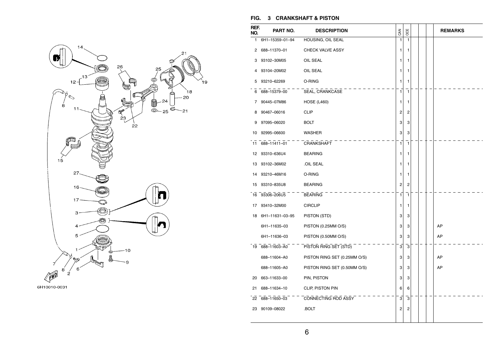

#### **FIG. 3 CRANKSHAFT & PISTON**

١¢

| REF.<br>NO. | PART NO.        | <b>DESCRIPTION</b>           | <b>GAN</b>   | OCE                     |  | <b>REMARKS</b> |
|-------------|-----------------|------------------------------|--------------|-------------------------|--|----------------|
| 1           | 6H1-15359-01-94 | HOUSING, OIL SEAL            | $\mathbf{1}$ | 1                       |  |                |
| 2           | 688-11370-01    | <b>CHECK VALVE ASSY</b>      | 1            | 1                       |  |                |
| 3           | 93102-30M05     | OIL SEAL                     | 1            | 1                       |  |                |
| 4           | 93104-20M02     | OIL SEAL                     | 1            | 1                       |  |                |
| 5           | 93210-62269     | O-RING                       | 1            | 1                       |  |                |
| 6           | 688-15379-00    | SEAL, CRANKCASE              | 1            | $\mathbf{1}$            |  |                |
| 7           | 90445-07M86     | <b>HOSE (L460)</b>           | 1            | 1                       |  |                |
| 8           | 90467-06016     | <b>CLIP</b>                  | 2            | $\overline{\mathbf{c}}$ |  |                |
| 9           | 97095-06020     | <b>BOLT</b>                  | 3            | 3                       |  |                |
| 10          | 92995-06600     | WASHER                       | 3            | 3                       |  |                |
| 11          | 688-11411-01    | CRANKSHAFT                   | 1            | $\mathbf{1}$            |  |                |
| 12          | 93310-636U4     | <b>BEARING</b>               | 1            | 1                       |  |                |
| 13          | 93102-36M02     | .OIL SEAL                    | 1            | 1                       |  |                |
| 14          | 93210-46M16     | O-RING                       | 1            | 1                       |  |                |
| 15          | 93310-835U8     | <b>BEARING</b>               | 2            | 2                       |  |                |
| 16          | 93306-206U5     | <b>BEARING</b>               | 1            | $\overline{1}$          |  |                |
| 17          | 93410-32M00     | <b>CIRCLIP</b>               | 1            | 1                       |  |                |
| 18          | 6H1-11631-03-95 | PISTON (STD)                 | 3            | 3                       |  |                |
|             | 6H1-11635-03    | PISTON (0.25MM O/S)          | 3            | 3                       |  | AP             |
|             | 6H1-11636-03    | PISTON (0.50MM O/S)          | 3            | 3                       |  | AP             |
|             | 19 688-11603-A0 | PISTON RING SET (STD)        | 3            | 3                       |  |                |
|             | 688-11604-A0    | PISTON RING SET (0.25MM O/S) | 3            | 3                       |  | AP             |
|             | 688-11605-A0    | PISTON RING SET (0.50MM O/S) | 3            | 3                       |  | AP             |
| 20          | 663-11633-00    | PIN, PISTON                  | 3            | 3                       |  |                |
| 21          | 688-11634-10    | CLIP, PISTON PIN             | 6            | 6                       |  |                |
| 22          | 688-11650-03    | CONNECTING ROD ASSY          | 3            | 3                       |  |                |
| 23          | 90109-08022     | .BOLT                        | 2            | 2                       |  |                |
|             |                 |                              |              |                         |  |                |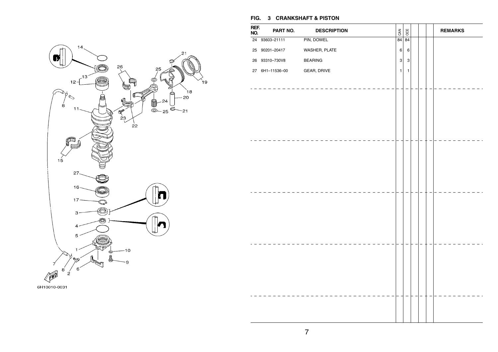

# **FIG. 3 CRANKSHAFT & PISTON REF. NO. PART NO. DESCRIPTION** BOO **REMARKS** 24 93603–21111 PIN, DOWEL 84 84 84 25 90201–20417WASHER, PLATE  $\begin{array}{|c|c|c|c|c|}\n\hline\n6 & 6\n\end{array}$ 26 93310–730V8BEARING 3 3 27 6H1–11536–00GEAR, DRIVE  $\begin{vmatrix} 1 & 1 \end{vmatrix}$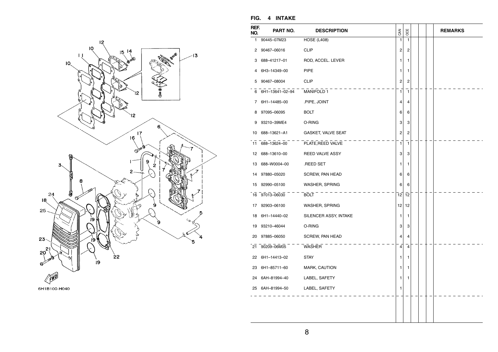



**FIG. 4 INTAKE** 

| REF.<br>NO.    | PART NO.                     | <b>DESCRIPTION</b>     | CAN | <b>OCE</b>                       |  | <b>REMARKS</b> |
|----------------|------------------------------|------------------------|-----|----------------------------------|--|----------------|
| 1              | 90445-07M23                  | <b>HOSE (L408)</b>     |     | 1<br>$\mathbf{1}$                |  |                |
| $^{2}$         | 90467-06016                  | <b>CLIP</b>            |     | 2<br>2                           |  |                |
| 3              | 688-41217-01                 | ROD, ACCEL. LEVER      |     | 1<br>1                           |  |                |
| 4              | 6H3-14349-00                 | <b>PIPE</b>            |     | 1<br>1                           |  |                |
| 5 <sup>5</sup> | 90467-08004                  | <b>CLIP</b>            |     | 2<br>2                           |  |                |
|                | 6 6H1-13641-02-94 MANIFOLD 1 |                        |     | 1<br>$\overline{1}$              |  |                |
| 7              | 6H1-14485-00                 | .PIPE, JOINT           |     | 4<br>4                           |  |                |
| 8              | 97095-06095                  | <b>BOLT</b>            |     | 6<br>6                           |  |                |
| 9              | 93210-39ME4                  | O-RING                 |     | 3<br>3                           |  |                |
| 10             | 688-13621-A1                 | GASKET, VALVE SEAT     |     | $\overline{2}$<br>2              |  |                |
| 11             | 688-13624-00                 | PLATE, REED VALVE      |     | 1<br>$\mathbf{1}$                |  |                |
| 12             | 688-13610-00                 | <b>REED VALVE ASSY</b> |     | 3<br>3                           |  |                |
| 13             | 688-W0004-00                 | .REED SET              |     | 1<br>1                           |  |                |
| 14             | 97880-05020                  | SCREW, PAN HEAD        |     | 6<br>6                           |  |                |
| 15             | 92990-05100                  | WASHER, SPRING         |     | 6<br>6                           |  |                |
|                | 16 97013-06030               | $BOLT$ - -             | 12  | 12                               |  |                |
| 17             | 92903-06100                  | <b>WASHER, SPRING</b>  | 12  | 12                               |  |                |
| 18             | 6H1-14440-02                 | SILENCER ASSY, INTAKE  |     | 1<br>1                           |  |                |
| 19             | 93210-46044                  | O-RING                 |     | 3<br>3                           |  |                |
| 20             | 97885-06050                  | SCREW, PAN HEAD        |     | $\overline{4}$<br>$\overline{4}$ |  |                |
|                | 21 90209-06M05               | WASHER                 |     | $\overline{4}$<br>4              |  |                |
| 22             | 6H1-14413-02                 | <b>STAY</b>            |     | 1<br>1                           |  |                |
|                | 23 6H1-85711-60              | MARK, CAUTION          |     | 1<br>1                           |  |                |
|                | 24 6AH-81994-40              | LABEL, SAFETY          |     | 1<br>1                           |  |                |
|                | 25 6AH-81994-50              | LABEL, SAFETY          |     | 1                                |  |                |
|                |                              |                        |     |                                  |  |                |
|                |                              |                        |     |                                  |  |                |
|                |                              |                        |     |                                  |  |                |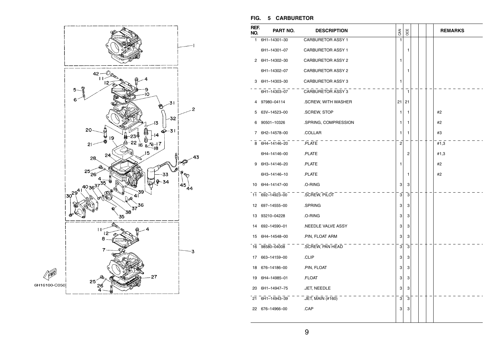

#### **FIG. 5 CARBURETOR**

| REF.<br>NO. | PART NO.        | <b>DESCRIPTION</b>       | CAN            | OCE            |  | <b>REMARKS</b> |
|-------------|-----------------|--------------------------|----------------|----------------|--|----------------|
| 1.          | 6H1-14301-30    | <b>CARBURETOR ASSY 1</b> | 1              |                |  |                |
|             | 6H1-14301-07    | <b>CARBURETOR ASSY 1</b> |                | 1              |  |                |
|             | 2 6H1-14302-30  | <b>CARBURETOR ASSY 2</b> | 1              |                |  |                |
|             | 6H1-14302-07    | <b>CARBURETOR ASSY 2</b> |                | 1              |  |                |
|             | 3 6H1-14303-30  | <b>CARBURETOR ASSY 3</b> | 1              |                |  |                |
|             | 6H1-14303-07    | <b>CARBURETOR ASSY 3</b> |                | 7              |  |                |
| 4           | 97980-04114     | .SCREW, WITH WASHER      | 21             | 21             |  |                |
| 5           | 63V-14523-00    | .SCREW, STOP             | 1              | 1              |  | #2             |
| 6           | 90501-10326     | .SPRING, COMPRESSION     | 1              | $\mathbf{1}$   |  | #2             |
| 7           | 6H2-14578-00    | .COLLAR                  | 1              | 1              |  | #3             |
|             | 8 6H4-14146-20  | .PLATE                   | $\overline{2}$ |                |  | #1,3           |
|             | 6H4-14146-00    | .PLATE                   |                | 2              |  | #1,3           |
| 9           | 6H3-14146-20    | .PLATE                   | 1              |                |  | #2             |
|             | 6H3-14146-10    | .PLATE                   |                | 1              |  | #2             |
|             | 10 6H4-14147-00 | .O-RING                  | 3              | 3              |  |                |
| 11          | 692-14923-00    | SCREW, PILOT             | $\overline{3}$ | $\overline{3}$ |  |                |
|             | 12 697-14555-00 | .SPRING                  | 3              | 3              |  |                |
| 13          | 93210-04228     | .O-RING                  | 3              | 3              |  |                |
| 14          | 692-14590-01    | .NEEDLE VALVE ASSY       | 3              | 3              |  |                |
| 15          | 6H4-14548-00    | .PIN, FLOAT ARM          | 3              | 3              |  |                |
|             | 16 98580-04008  | .SCREW, PAN HEAD         | 3              | 3              |  |                |
| 17          | 663-14159-00    | .CLIP                    | 3              | 3              |  |                |
| 18          | 676-14186-00    | .PIN, FLOAT              | 3              | 3              |  |                |
| 19          | 6H4-14985-01    | .FLOAT                   | 3              | 3              |  |                |
| 20          | 6H1-14947-75    | .JET, NEEDLE             | 3              | 3              |  |                |
| 21          | 6H1-14943-39    | .JET, MAIN (#160)        | 3              | 3              |  |                |
|             | 22 676-14966-00 | .CAP                     | 3              | 3              |  |                |
|             |                 |                          |                |                |  |                |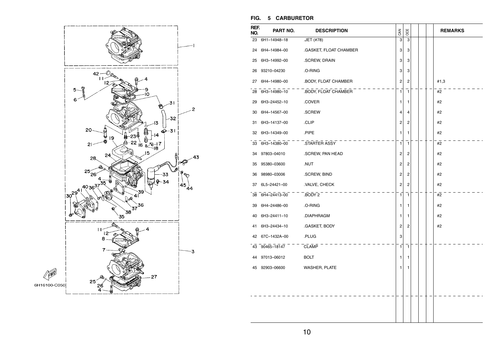

#### **FIG. 5 CARBURETOR**

| REF.<br>NO. | PART NO.        | <b>DESCRIPTION</b>     | CAN            | OCE                     |  | <b>REMARKS</b> |
|-------------|-----------------|------------------------|----------------|-------------------------|--|----------------|
| 23          | 6H1-14948-18    | .JET (#78)             | 3              | 3                       |  |                |
| 24          | 6H4-14984-00    | .GASKET, FLOAT CHAMBER | 3              | 3                       |  |                |
| 25          | 6H3-14992-00    | .SCREW, DRAIN          | 3              | 3                       |  |                |
| 26          | 93210-04230     | .O-RING                | 3              | 3                       |  |                |
| 27          | 6H4-14980-00    | .BODY, FLOAT CHAMBER   | $\overline{2}$ | $\overline{\mathbf{c}}$ |  | #1,3           |
| 28          | 6H3-14980-10    | .BODY, FLOAT CHAMBER   | 1              | $\mathbf{1}$            |  | #2             |
| 29          | 6H3-24452-10    | .COVER                 | 1              | 1                       |  | #2             |
| 30          | 6H4-14567-00    | .SCREW                 | 4              | 4                       |  | #2             |
| 31          | 6H3-14137-00    | .CLIP                  | 2              | 2                       |  | #2             |
| 32          | 6H3-14349-00    | .PIPE                  | 1              | 1                       |  | #2             |
|             | 33 6H3-14380-00 | STARTER ASSY           | 1              | 1                       |  | #2             |
| 34          | 97803-04010     | .SCREW, PAN HEAD       | 2              | 2                       |  | #2             |
| 35          | 95380-03600     | .NUT                   | 2              | $\overline{\mathbf{c}}$ |  | #2             |
| 36          | 98980-03006     | .SCREW, BIND           | 2              | 2                       |  | #2             |
| 37          | 6L5-24421-00    | .VALVE, CHECK          | $\overline{2}$ | $\overline{c}$          |  | #2             |
|             | 38 6H4-24413-00 | BODY 2                 | $\mathbf{1}$   | $\mathbf{1}$            |  | #2             |
| 39          | 6H4-24486-00    | .O-RING                | 1              | 1                       |  | #2             |
| 40          | 6H3-24411-10    | .DIAPHRAGM             | 1              | 1                       |  | #2             |
| 41          | 6H3-24434-10    | .GASKET, BODY          | 2              | 2                       |  | #2             |
| 42          | 67C-1432A-00    | .PLUG                  | 3              |                         |  |                |
|             | 43 90465-18147  | <b>CLAMP</b>           | 1              | $\mathbf{1}$            |  |                |
| 44          | 97013-06012     | <b>BOLT</b>            | 1              | 1                       |  |                |
| 45          | 92903-06600     | <b>WASHER, PLATE</b>   | 1              | 1                       |  |                |
|             |                 |                        |                |                         |  |                |
|             |                 |                        |                |                         |  |                |
|             |                 |                        |                |                         |  |                |
|             |                 |                        |                |                         |  |                |
|             |                 |                        |                |                         |  |                |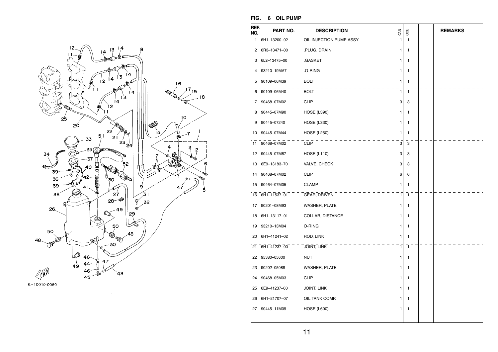



**FIG. 6 OIL PUMP** 

| REF.<br>NO. | PART NO.     | <b>DESCRIPTION</b>      | CAN          | OCE          |  | <b>REMARKS</b> |
|-------------|--------------|-------------------------|--------------|--------------|--|----------------|
| 1           | 6H1-13200-02 | OIL INJECTION PUMP ASSY | 1            | $\mathbf{1}$ |  |                |
| 2           | 6R3-13471-00 | .PLUG, DRAIN            | 1            | 1            |  |                |
| 3           | 6L2-13475-00 | .GASKET                 | 1            | 1            |  |                |
| 4           | 93210-19MA7  | .O-RING                 | 1            | 1            |  |                |
| 5           | 90109-06M39  | <b>BOLT</b>             | 1            | 1            |  |                |
| 6           | 90109-06M40  | <b>BOLT</b>             | 1            | 1            |  |                |
| 7           | 90468-07M02  | <b>CLIP</b>             | 3            | 3            |  |                |
| 8           | 90445-07M90  | <b>HOSE (L390)</b>      | 1            | 1            |  |                |
| 9           | 90445-07240  | <b>HOSE (L330)</b>      | 1            | 1            |  |                |
| 10          | 90445-07M44  | <b>HOSE (L250)</b>      | 1            | 1            |  |                |
| 11          | 90468-07M02  | <b>CLIP</b>             | 3            | 3            |  |                |
| 12          | 90445-07M87  | <b>HOSE (L110)</b>      | 3            | 3            |  |                |
| 13          | 6E9-13183-70 | VALVE, CHECK            | 3            | 3            |  |                |
| 14          | 90468-07M02  | <b>CLIP</b>             | 6            | 6            |  |                |
| 15          | 90464-07M05  | <b>CLAMP</b>            | 1            | 1            |  |                |
| 16          | 6H1-11537-01 | GEAR, DRIVEN            | $\mathbf{1}$ | $\mathbf{1}$ |  |                |
| 17          | 90201-08M93  | WASHER, PLATE           | 1            | 1            |  |                |
| 18          | 6H1-13117-01 | COLLAR, DISTANCE        | 1            | 1            |  |                |
| 19          | 93210-13M04  | O-RING                  | 1            | 1            |  |                |
| 20          | 6H1-41241-02 | ROD, LINK               | 1            | 1            |  |                |
| 21          | 6H1-41237-00 | <b>JOINT, LINK</b>      | 1            | 1            |  |                |
| 22          | 95380-05600  | NUT                     | 1            | 1            |  |                |
| 23          | 90202-05088  | WASHER, PLATE           | 1            | 1            |  |                |
| 24          | 90468-05M03  | <b>CLIP</b>             | 1            | 1            |  |                |
| 25          | 6E9-41237-00 | JOINT, LINK             | 1            | 1            |  |                |
| 26          | 6H1-21707-07 | OIL TANK COMP.          | 1            | $\mathbf{1}$ |  |                |
| 27          | 90445-11M09  | <b>HOSE (L600)</b>      | 1            | 1            |  |                |
|             |              |                         |              |              |  |                |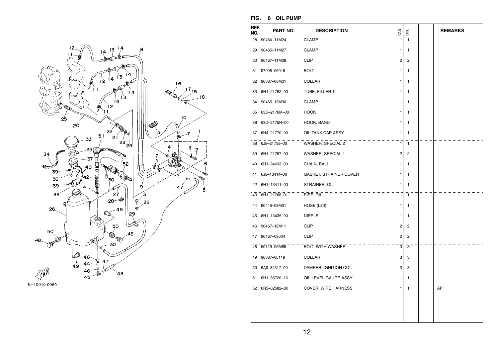

6H10010-0060

#### **FIG. 6 OIL PUMP**

| REF.<br>NO. | PART NO.        | <b>DESCRIPTION</b>            | CAN | OCE            |  | <b>REMARKS</b> |
|-------------|-----------------|-------------------------------|-----|----------------|--|----------------|
| 28          | 90464-11M24     | <b>CLAMP</b>                  | 1   | 1              |  |                |
|             | 29 90465-11M27  | <b>CLAMP</b>                  | 1   | 1              |  |                |
| 30          | 90467-11M08     | <b>CLIP</b>                   | 2   | 2              |  |                |
| 31          | 97095-06016     | <b>BOLT</b>                   | 1   | 1              |  |                |
| 32          | 90387-06M31     | COLLAR                        | 1   | 1              |  |                |
|             | 33 6H1-21752-00 | TUBE, FILLER 1                | 1   | $\mathbf{1}$   |  |                |
| 34          | 90465-13M30     | <b>CLAMP</b>                  | 1   | 1              |  |                |
| 35          | 63D-2176M-00    | <b>HOOK</b>                   | 1   | 1              |  |                |
| 36          | 63D-2175R-00    | HOOK, BAND                    | 1   | 1              |  |                |
|             | 37 6H4-21770-00 | OIL TANK CAP ASSY             | 1   | 1              |  |                |
|             | 38 6J8-21758-00 | WASHER, SPECIAL 2             | 1   | 1              |  |                |
| 39          | 6H1-21757-00    | WASHER, SPECIAL 1             | 2   | 2              |  |                |
|             | 40 6H1-24633-00 | CHAIN, BALL                   | 1   | 1              |  |                |
| 41          | 6J8-13414-00    | <b>GASKET, STRAINER COVER</b> | 1   | 1              |  |                |
| 42          | 6H1-13411-00    | STRAINER, OIL                 | 1   | 1              |  |                |
|             | 43 6H1-21766-01 | PIPE, OIL                     | 1   | 1              |  |                |
|             | 44 90445-08M01  | HOSE (L30)                    | 1   | 1              |  |                |
| 45          | 6H1-13435-00    | <b>NIPPLE</b>                 | 1   | 1              |  |                |
| 46          | 90467-12M11     | <b>CLIP</b>                   | 2   | 2              |  |                |
| 47          | 90467-08004     | <b>CLIP</b>                   | 2   | $\overline{2}$ |  |                |
|             | 48 90119-06M88  | <b>BOLT, WITH WASHER</b>      | 3   | 3              |  |                |
|             | 49 90387-06119  | <b>COLLAR</b>                 | 3   | 3              |  |                |
|             | 50 6A0-82317-00 | DAMPER, IGNITION COIL         | 3   | 3              |  |                |
| 51          | 6H1-85720-16    | OIL LEVEL GAUGE ASSY          | 1   | 1              |  |                |
|             | 52 6R5-82582-B0 | COVER, WIRE HARNESS           | 1   | 1              |  | AP             |
|             |                 |                               |     |                |  |                |
|             |                 |                               |     |                |  |                |
|             |                 |                               |     |                |  |                |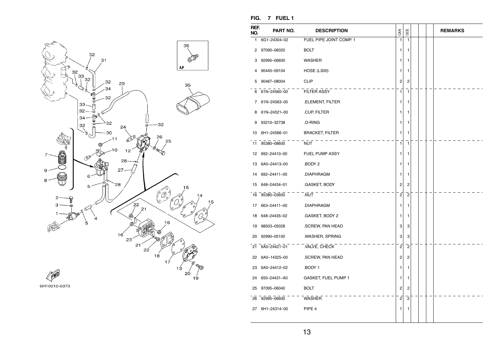

**FIG. 7 FUEL 1** 

| REF.<br>NO. | PART NO.        | <b>DESCRIPTION</b>      | CAN                     | OCE            |  | <b>REMARKS</b> |
|-------------|-----------------|-------------------------|-------------------------|----------------|--|----------------|
| 1           | 6G1-24304-02    | FUEL PIPE JOINT COMP. 1 | 1                       | $\mathbf{1}$   |  |                |
| 2           | 97095-06020     | <b>BOLT</b>             | 1                       | 1              |  |                |
| 3           | 92995-06600     | WASHER                  | 1                       | 1              |  |                |
| 4           | 90445-09104     | <b>HOSE (L300)</b>      | 1                       | 1              |  |                |
| 5           | 90467-08004     | <b>CLIP</b>             | $\overline{c}$          | $\overline{2}$ |  |                |
| 6           | 61N-24560-00    | FILTER ASSY             | $\mathbf{1}$            | $\mathbf{1}$   |  |                |
| 7           | 61N-24563-00    | .ELEMENT, FILTER        | 1                       | 1              |  |                |
| 8           | 61N-24521-00    | .CUP, FILTER            | 1                       | 1              |  |                |
| 9           | 93210-32738     | .O-RING                 | 1                       | 1              |  |                |
| 10          | 6H1-24566-01    | <b>BRACKET, FILTER</b>  | 1                       | 1              |  |                |
| 11          | 95380-08600     | NUT                     | 1                       | 1              |  |                |
|             | 12 692-24410-00 | FUEL PUMP ASSY          | 1                       | 1              |  |                |
|             | 13 6A0-24413-00 | .BODY 2                 | 1                       | 1              |  |                |
|             | 14 692-24411-00 | .DIAPHRAGM              | 1                       | 1              |  |                |
|             | 15 648-24434-01 | .GASKET, BODY           | 2                       | $\overline{c}$ |  |                |
|             | 16 95380-03600  | NUT                     | $\overline{2}$          | $\overline{2}$ |  |                |
| 17          | 663-24411-00    | .DIAPHRAGM              | 1                       | 1              |  |                |
|             | 18 648-24435-02 | .GASKET, BODY 2         | 1                       | 1              |  |                |
| 19          | 98503-05028     | .SCREW, PAN HEAD        | 3                       | 3              |  |                |
| 20          | 92990-05100     | .WASHER, SPRING         | 3                       | 3              |  |                |
|             | 21 6A0-24421-01 | VALVE, CHECK            | $\overline{2}$          | $\overline{2}$ |  |                |
|             | 22 6A0-14325-00 | .SCREW, PAN HEAD        | $\overline{\mathbf{c}}$ | 2              |  |                |
|             | 23 6A0-24412-02 | BODY 1.                 | 1                       | 1              |  |                |
|             | 24 650-24431-A0 | GASKET, FUEL PUMP 1     | 1                       | 1              |  |                |
|             | 25 97095-06040  | <b>BOLT</b>             | 2                       | $\overline{c}$ |  |                |
|             | 26 92995-06600  | WASHER                  | $\mathbf 2$             | $\overline{c}$ |  |                |
|             | 27 6H1-24314-00 | PIPE 4                  | 1                       | 1              |  |                |
|             |                 |                         |                         |                |  |                |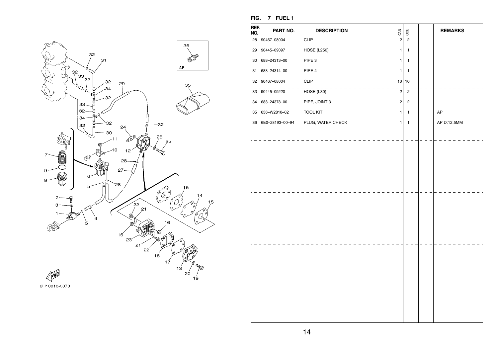

| REF.<br>NO. | PART NO.        | <b>DESCRIPTION</b> | CAN                     | OCE            |  | <b>REMARKS</b> |
|-------------|-----------------|--------------------|-------------------------|----------------|--|----------------|
|             | 28 90467-08004  | <b>CLIP</b>        | $\overline{c}$          | $\overline{c}$ |  |                |
|             | 29 90445-09097  | <b>HOSE (L250)</b> | $\mathbf{1}$            | 1              |  |                |
| 30          | 688-24313-00    | PIPE 3             | 1                       | 1              |  |                |
| 31          | 688-24314-00    | PIPE 4             | $\mathbf{1}$            | 1              |  |                |
|             | 32 90467-08004  | CLIP               | 10                      | 10             |  |                |
|             | 33 90445-09220  | HOSE(L30)          | $\overline{\mathbf{2}}$ | $\overline{2}$ |  |                |
|             | 34 688-24378-00 | PIPE, JOINT 3      | $\overline{\mathbf{c}}$ | $\overline{c}$ |  |                |
| 35          | 656-W2810-02    | <b>TOOL KIT</b>    | 1                       | 1              |  | AP             |
| 36          | 6E0-28193-00-94 | PLUG, WATER CHECK  | 1                       | 1              |  | AP D:12.5MM    |
|             |                 |                    |                         |                |  |                |
|             |                 |                    |                         |                |  |                |
|             |                 |                    |                         |                |  |                |
|             |                 |                    |                         |                |  |                |
|             |                 |                    |                         |                |  |                |
|             |                 |                    |                         |                |  |                |
|             |                 |                    |                         |                |  |                |
|             |                 |                    |                         |                |  |                |
|             |                 |                    |                         |                |  |                |
|             |                 |                    |                         |                |  |                |
|             |                 |                    |                         |                |  |                |
|             |                 |                    |                         |                |  |                |
|             |                 |                    |                         |                |  |                |
|             |                 |                    |                         |                |  |                |
|             |                 |                    |                         |                |  |                |
|             |                 |                    |                         |                |  |                |
|             |                 |                    |                         |                |  |                |
|             |                 |                    |                         |                |  |                |
|             |                 |                    |                         |                |  |                |
|             |                 |                    |                         |                |  |                |

**FIG. 7 FUEL 1**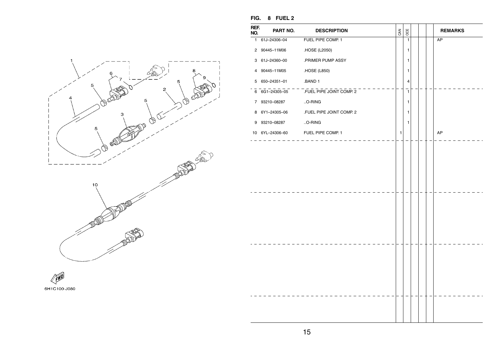| FIG. | 8 | <b>FUEL 2</b> |  |
|------|---|---------------|--|
|------|---|---------------|--|



| REF.<br>PART NO.<br>OCE<br><b>DESCRIPTION</b><br>CAN<br><b>REMARKS</b><br>NO.<br>1 61J-24306-04<br>FUEL PIPE COMP. 1<br>$\overline{1}$<br>AP<br>2 90445-11M06<br>.HOSE (L2050)<br>1<br>3 61J-24360-00<br>.PRIMER PUMP ASSY<br>1<br>.HOSE (L850)<br>4 90445-11M05<br>1<br>.BAND 1<br>5 650-24351-01<br>4<br>6 6G1-24305-05 - FUEL PIPE JOINT COMP. 2<br>$\mathbf{1}$<br>.O-RING<br>7 93210-08287<br>1<br>FUEL PIPE JOINT COMP. 2<br>8 6Y1-24305-06<br>1<br>O-RING<br>93210-08287<br>$\mathbf{1}$<br>9<br>10 6YL-24306-60 FUEL PIPE COMP. 1<br>AP<br>1 | FIG. | 8 FUEL 2 |  |  |  |
|------------------------------------------------------------------------------------------------------------------------------------------------------------------------------------------------------------------------------------------------------------------------------------------------------------------------------------------------------------------------------------------------------------------------------------------------------------------------------------------------------------------------------------------------------|------|----------|--|--|--|
|                                                                                                                                                                                                                                                                                                                                                                                                                                                                                                                                                      |      |          |  |  |  |
|                                                                                                                                                                                                                                                                                                                                                                                                                                                                                                                                                      |      |          |  |  |  |
|                                                                                                                                                                                                                                                                                                                                                                                                                                                                                                                                                      |      |          |  |  |  |
|                                                                                                                                                                                                                                                                                                                                                                                                                                                                                                                                                      |      |          |  |  |  |
|                                                                                                                                                                                                                                                                                                                                                                                                                                                                                                                                                      |      |          |  |  |  |
|                                                                                                                                                                                                                                                                                                                                                                                                                                                                                                                                                      |      |          |  |  |  |
|                                                                                                                                                                                                                                                                                                                                                                                                                                                                                                                                                      |      |          |  |  |  |
|                                                                                                                                                                                                                                                                                                                                                                                                                                                                                                                                                      |      |          |  |  |  |
|                                                                                                                                                                                                                                                                                                                                                                                                                                                                                                                                                      |      |          |  |  |  |
|                                                                                                                                                                                                                                                                                                                                                                                                                                                                                                                                                      |      |          |  |  |  |
|                                                                                                                                                                                                                                                                                                                                                                                                                                                                                                                                                      |      |          |  |  |  |
|                                                                                                                                                                                                                                                                                                                                                                                                                                                                                                                                                      |      |          |  |  |  |
|                                                                                                                                                                                                                                                                                                                                                                                                                                                                                                                                                      |      |          |  |  |  |



6H1C100-J080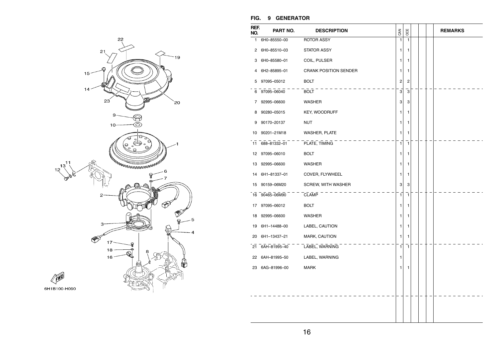

#### **FIG. 9 GENERATOR**

| REF.<br>NO. | PART NO.        | <b>DESCRIPTION</b>           | CAN            | OCE                     |  | <b>REMARKS</b> |
|-------------|-----------------|------------------------------|----------------|-------------------------|--|----------------|
| 1           | 6H0-85550-00    | ROTOR ASSY                   | $\mathbf{1}$   | 1                       |  |                |
| 2           | 6H0-85510-03    | <b>STATOR ASSY</b>           | 1              | 1                       |  |                |
| 3           | 6H0-85580-01    | COIL, PULSER                 | 1              | 1                       |  |                |
| 4           | 6H2-85895-01    | <b>CRANK POSITION SENDER</b> | 1              | 1                       |  |                |
| 5           | 97095-05012     | <b>BOLT</b>                  | $\overline{c}$ | 2                       |  |                |
| 6           | 97095-06040     | <b>BOLT</b>                  | 3              | $\overline{\mathbf{3}}$ |  |                |
| 7           | 92995-06600     | <b>WASHER</b>                | 3              | 3                       |  |                |
| 8           | 90280-05015     | KEY, WOODRUFF                | 1              | 1                       |  |                |
| 9           | 90170-20137     | <b>NUT</b>                   | 1              | 1                       |  |                |
| 10          | 90201-21M18     | WASHER, PLATE                | 1              | 1                       |  |                |
| 11          | 688-81332-01    | PLATE, TIMING                | $\mathbf{1}$   | 1                       |  |                |
| 12          | 97095-06010     | <b>BOLT</b>                  | 1              | 1                       |  |                |
| 13          | 92995-06600     | WASHER                       | 1              | 1                       |  |                |
| 14          | 6H1-81337-01    | COVER, FLYWHEEL              | 1              | 1                       |  |                |
| 15          | 90159-06M20     | SCREW, WITH WASHER           | 3              | 3                       |  |                |
| 16          | 90465-06M90     | <b>CLAMP</b>                 | $\overline{1}$ | 7                       |  |                |
| 17          | 97095-06012     | <b>BOLT</b>                  | 1              | 1                       |  |                |
| 18          | 92995-06600     | WASHER                       | 1              | 1                       |  |                |
| 19          | 6H1-14488-00    | LABEL, CAUTION               | 1              | 1                       |  |                |
| 20          | 6H1-13437-21    | MARK, CAUTION                | 1              | 1                       |  |                |
| 21          | 6AH-81995-40    | LABEL, WARNING               | 1              | 1                       |  |                |
| 22          | 6AH-81995-50    | LABEL, WARNING               | 1              |                         |  |                |
|             | 23 6AG-81996-00 | <b>MARK</b>                  | 1              | 1                       |  |                |
|             |                 |                              |                |                         |  |                |
|             |                 |                              |                |                         |  |                |
|             |                 |                              |                |                         |  |                |
|             |                 |                              |                |                         |  |                |
|             |                 |                              |                |                         |  |                |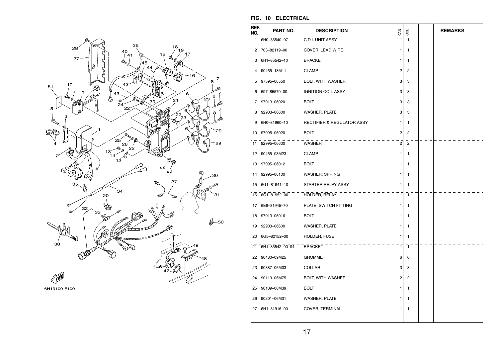

6H19100-F100

#### **FIG. 10 ELECTRICAL**

| REF.<br>NO. | PART NO.           | <b>DESCRIPTION</b>         | CAN            | OCE            |  | <b>REMARKS</b> |
|-------------|--------------------|----------------------------|----------------|----------------|--|----------------|
| 1.          | 6H0-85540-07       | C.D.I. UNIT ASSY           | 1              | 1              |  |                |
| 2           | 703-82119-00       | COVER, LEAD WIRE           | 1              | 1              |  |                |
| 3           | 6H1-85542-10       | <b>BRACKET</b>             | 1              | 1              |  |                |
| 4           | 90465-13M11        | <b>CLAMP</b>               | 2              | 2              |  |                |
| 5           | 97595–06550        | <b>BOLT, WITH WASHER</b>   | 3              | 3              |  |                |
|             | 6 697-85570-00     | IGNITION COIL ASSY         | 3              | 3              |  |                |
| 7           | 97013-06020        | <b>BOLT</b>                | 3              | 3              |  |                |
| 8           | 92903-06600        | <b>WASHER, PLATE</b>       | 3              | 3              |  |                |
| 9           | 6H0-81960-10       | RECTIFIER & REGULATOR ASSY | 1              | 1              |  |                |
| 10          | 97095-06020        | <b>BOLT</b>                | 2              | 2              |  |                |
|             | 11 92995-06600     | WASHER                     | $\overline{2}$ | $\overline{c}$ |  |                |
|             | 12 90465-08M23     | <b>CLAMP</b>               | 1              | 1              |  |                |
|             | 13 97095-06012     | <b>BOLT</b>                | 1              | 1              |  |                |
| 14          | 92995-06100        | WASHER, SPRING             | 1              | 1              |  |                |
| 15          | 6G1-81941-10       | STARTER RELAY ASSY         | 1              | 1              |  |                |
|             | 16 6G1-81952-00    | HOLDER, RELAY              | $\mathbf{1}$   | $\mathbf{1}$   |  |                |
|             | 17 6E9-81945-70    | PLATE, SWITCH FITTING      | 1              | 1              |  |                |
|             | 18 97013-06016     | <b>BOLT</b>                | 1              | 1              |  |                |
|             | 19 92903-06600     | <b>WASHER, PLATE</b>       | 1              | 1              |  |                |
|             | 20 6G5-82152-00    | HOLDER, FUSE               | 1              | 1              |  |                |
|             | 21 6H1-85542-00-94 | <b>BRACKET</b>             | 1              | 1              |  |                |
|             | 22 90480-09M25     | <b>GROMMET</b>             | 6              | 6              |  |                |
|             | 23 90387-06M03     | COLLAR                     | 3              | 3              |  |                |
| 24          | 90119-06M75        | <b>BOLT, WITH WASHER</b>   | 2              | 2              |  |                |
| 25          | 90109-06M39        | BOLT                       | 1              | 1              |  |                |
|             | 26 90201-06M31     | WASHER, PLATE              | 1              | 1              |  |                |
|             | 27 6H1-81916-00    | COVER, TERMINAL            | 1              | 1              |  |                |
|             |                    |                            |                |                |  |                |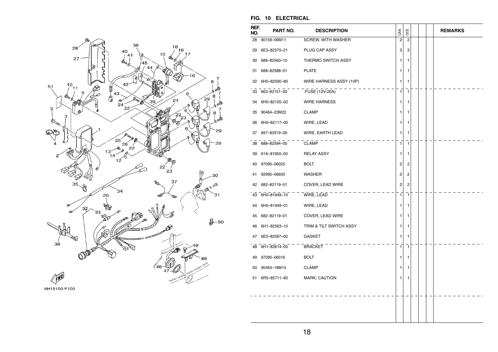

#### **FIG. 10 ELECTRICAL**

| REF.<br>NO. | PART NO.        | <b>DESCRIPTION</b>      | CAN            | OCE            |  | <b>REMARKS</b> |
|-------------|-----------------|-------------------------|----------------|----------------|--|----------------|
| 28          | 90159-06M11     | SCREW, WITH WASHER      | 2              | $\overline{2}$ |  |                |
|             | 29 6E3-82370-21 | PLUG CAP ASSY           | 3              | 3              |  |                |
| 30          | 688-82560-10    | THERMO SWITCH ASSY      | 1              | 1              |  |                |
| 31          | 688-82588-01    | <b>PLATE</b>            | 1              | 1              |  |                |
|             | 32 6H0-82590-80 | WIRE HARNESS ASSY (10P) | 1              | 1              |  |                |
|             | 33 663-82151-00 | .FUSE (12V-20A)         | 1              | $\mathbf{1}$   |  |                |
|             | 34 6H0-82105-02 | <b>WIRE HARNESS</b>     | 1              | 1              |  |                |
|             | 35 90464-23M22  | <b>CLAMP</b>            | 1              | 1              |  |                |
|             | 36 6H0-82117-00 | WIRE, LEAD              | 1              | 1              |  |                |
| 37          | 697-82519-00    | WIRE, EARTH LEAD        | 1              | 1              |  |                |
|             | 38 688-82594-00 | <b>CLAMP</b>            | 1              | $\mathbf{1}$   |  |                |
| 39          | 61A-81950-00    | <b>RELAY ASSY</b>       | 1              | 1              |  |                |
| 40          | 97095-06025     | <b>BOLT</b>             | 2              | 2              |  |                |
| 41          | 92995-06600     | <b>WASHER</b>           | 2              | 2              |  |                |
| 42          | 682-82119-01    | COVER, LEAD WIRE        | 2              | $\overline{2}$ |  |                |
|             | 43 6H0-81949-10 | WIRE, LEAD              | 1 <sup>1</sup> | $\mathbf{1}$   |  |                |
| 44          | 6H0-81949-01    | WIRE, LEAD              | 1              | 1              |  |                |
| 45          | 682-82119-01    | COVER, LEAD WIRE        | 1              | 1              |  |                |
| 46          | 6H1-82563-10    | TRIM & TILT SWITCH ASSY | 1              | 1              |  |                |
| 47          | 6E5-82587-00    | <b>GASKET</b>           | 1              | 1              |  |                |
|             | 48 6H1-83614-00 | <b>BRACKET</b>          | 1              | $\mathbf{1}$   |  |                |
| 49          | 97095-06016     | <b>BOLT</b>             | 1              | 1              |  |                |
| 50          | 90464-18M14     | <b>CLAMP</b>            | 1              | 1              |  |                |
|             | 51 6R5-85711-60 | MARK, CAUTION           | 1              | 1              |  |                |
|             |                 |                         |                |                |  |                |
|             |                 |                         |                |                |  |                |
|             |                 |                         |                |                |  |                |
|             |                 |                         |                |                |  |                |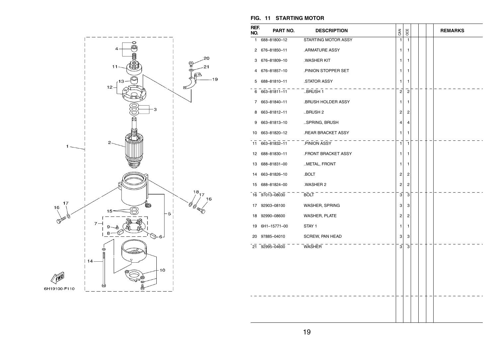

#### **FIG. 11 STARTING MOTOR**

| REF.<br>NO. | PART NO.        | <b>DESCRIPTION</b>     | CAN            | OCE            |  | <b>REMARKS</b> |
|-------------|-----------------|------------------------|----------------|----------------|--|----------------|
| 1.          | 688-81800-12    | STARTING MOTOR ASSY    | 1              | 1              |  |                |
|             | 2 676-81850-11  | .ARMATURE ASSY         | 1              | 1              |  |                |
| 3           | 676-81809-10    | .WASHER KIT            | 1              | 1              |  |                |
| 4           | 676-81857-10    | PINION STOPPER SET     | 1              | 1              |  |                |
|             | 5 688-81810-11  | STATOR ASSY            | 1              | 1              |  |                |
|             | 6 663-81811-11  | BRUSH 1                | $\overline{c}$ | $\overline{c}$ |  |                |
|             | 7 663-81840-11  | BRUSH HOLDER ASSY.     | 1              | 1              |  |                |
|             | 8 663-81812-11  | BRUSH 2.               | 2              | 2              |  |                |
|             | 9 663-81813-10  | SPRING, BRUSH          | $\overline{4}$ | 4              |  |                |
|             | 10 663-81820-12 | .REAR BRACKET ASSY     | 1              | 1              |  |                |
|             | 11 663-81832-11 | .PINION ASSY           | 1              | $\mathbf{1}$   |  |                |
|             | 12 688-81830-11 | .FRONT BRACKET ASSY    | 1              | 1              |  |                |
|             | 13 688-81831-00 | METAL, FRONT           | 1              | 1              |  |                |
|             | 14 663-81826-10 | .BOLT                  | 2              | $\overline{2}$ |  |                |
|             | 15 688-81824-00 | .WASHER 2              | 2              | 2              |  |                |
|             | 16 97013-08030  | BOLT <sup>-</sup>      | $\overline{3}$ | $\overline{3}$ |  |                |
|             | 17 92903-08100  | <b>WASHER, SPRING</b>  | 3              | 3              |  |                |
|             | 18 92990-08600  | WASHER, PLATE          | 2              | 2              |  |                |
|             | 19 6H1-15771-00 | STAY 1                 | 1              | 1              |  |                |
| 20          | 97885-04010     | <b>SCREW, PAN HEAD</b> | 3              | 3              |  |                |
|             | 21 92995-04600  | WASHER                 | $\overline{3}$ | 3              |  |                |
|             |                 |                        |                |                |  |                |
|             |                 |                        |                |                |  |                |
|             |                 |                        |                |                |  |                |
|             |                 |                        |                |                |  |                |
|             |                 |                        |                |                |  |                |
|             |                 |                        |                |                |  |                |
|             |                 |                        |                |                |  |                |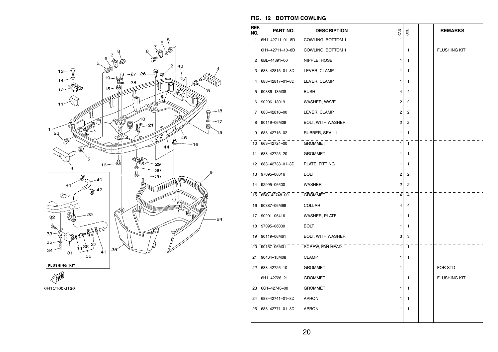





**FIG. 12 BOTTOM COWLING** 

| REF.<br>NO.  | PART NO.        | <b>DESCRIPTION</b>       | CAN            | OCE            |  | <b>REMARKS</b>      |
|--------------|-----------------|--------------------------|----------------|----------------|--|---------------------|
| $\mathbf{1}$ | 6H1-42711-01-8D | COWLING, BOTTOM 1        | 1              |                |  |                     |
|              | 6H1-42711-10-8D | COWLING, BOTTOM 1        |                | 1              |  | <b>FLUSHING KIT</b> |
| 2            | 6BL-44391-00    | NIPPLE, HOSE             | 1              | 1              |  |                     |
| 3            | 688-42815-01-8D | LEVER, CLAMP             | 1              | 1              |  |                     |
| 4            | 688-42817-01-8D | LEVER, CLAMP             | 1              | 1              |  |                     |
| 5            | 90386-13M38     | <b>BUSH</b>              | 4              | $\overline{4}$ |  |                     |
| 6            | 90206-13019     | WASHER, WAVE             | 2              | 2              |  |                     |
| 7            | 688-42816-00    | LEVER, CLAMP             | 2              | 2              |  |                     |
| 8            | 90119-06M09     | <b>BOLT, WITH WASHER</b> | 2              | $\overline{c}$ |  |                     |
| 9            | 688-42716-02    | RUBBER, SEAL 1           | 1              | 1              |  |                     |
|              | 10 663-42724-00 | <b>GROMMET</b>           | $\mathbf{1}$   | $\mathbf{1}$   |  |                     |
| 11           | 688-42725-20    | <b>GROMMET</b>           | 1              | 1              |  |                     |
| 12           | 688-42738-01-8D | PLATE, FITTING           | 1              | 1              |  |                     |
| 13           | 97095-06016     | <b>BOLT</b>              | 2              | 2              |  |                     |
| 14           | 92995-06600     | WASHER                   | 2              | $\overline{c}$ |  |                     |
| 15           | 6BG-42748-00    | <b>GROMMET</b>           | $\overline{4}$ | $\overline{4}$ |  |                     |
|              | 16 90387-06M69  | COLLAR                   | 4              | 4              |  |                     |
| 17           | 90201-06416     | WASHER, PLATE            | 1              | 1              |  |                     |
| 18           | 97095-06030     | <b>BOLT</b>              | 1              | 1              |  |                     |
| 19           | 90119-06M61     | BOLT, WITH WASHER        | 3              | 3              |  |                     |
|              | 20 90157-06M01  | SCREW, PAN HEAD          | $\mathbf{1}$   | $\mathbf{1}$   |  |                     |
| 21           | 90464-15M08     | <b>CLAMP</b>             | 1              | 1              |  |                     |
|              | 22 688-42726-10 | <b>GROMMET</b>           | 1              |                |  | FOR STD             |
|              | 6H1-42726-21    | <b>GROMMET</b>           |                | 1              |  | <b>FLUSHING KIT</b> |
| 23           | 6G1-42748-00    | <b>GROMMET</b>           | 1              | 1              |  |                     |
| 24           | 688-42741-01-8D | <b>APRON</b>             | 1              | $\mathbf{1}$   |  |                     |
| 25           | 688–42771–01–8D | <b>APRON</b>             | 1              | 1              |  |                     |
|              |                 |                          |                |                |  |                     |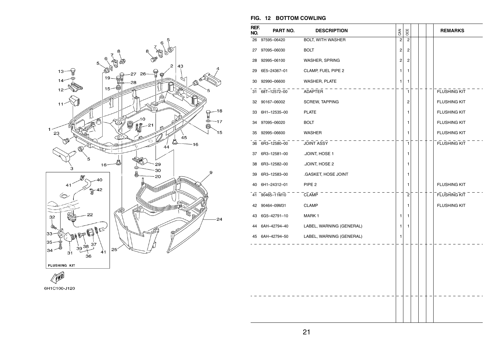

## **FIG. 12 BOTTOM COWLING**

| REF.<br>NO. | PART NO.        | <b>DESCRIPTION</b>       | CAN            | OCE            |  | <b>REMARKS</b>      |
|-------------|-----------------|--------------------------|----------------|----------------|--|---------------------|
| 26          | 97595-06420     | BOLT, WITH WASHER        | $\overline{c}$ | $\overline{c}$ |  |                     |
| 27          | 97095-06030     | <b>BOLT</b>              | 2              | 2              |  |                     |
| 28          | 92995-06100     | WASHER, SPRING           | 2              | 2              |  |                     |
| 29          | 6E5-24367-01    | CLAMP, FUEL PIPE 2       | 1              | 1              |  |                     |
| 30          | 92990-06600     | WASHER, PLATE            | 1              | 1              |  |                     |
| 31          | 68T-12572-00    | ADAPTER                  |                | 1              |  | <b>FLUSHING KIT</b> |
| 32          | 90167-06002     | SCREW, TAPPING           |                | 2              |  | <b>FLUSHING KIT</b> |
| 33          | 6H1-12535-00    | <b>PLATE</b>             |                | 1              |  | <b>FLUSHING KIT</b> |
| 34          | 97095-06020     | <b>BOLT</b>              |                | 1              |  | <b>FLUSHING KIT</b> |
| 35          | 92995-06600     | <b>WASHER</b>            |                | 1              |  | <b>FLUSHING KIT</b> |
| 36          | 6R3-12580-00    | <b>JOINT ASSY</b>        |                | $\mathbf{1}$   |  | <b>FLUSHING KIT</b> |
| 37          | 6R3-12581-00    | JOINT, HOSE 1            |                | 1              |  |                     |
| 38          | 6R3-12582-00    | .JOINT, HOSE 2           |                | 1              |  |                     |
| 39          | 6R3-12583-00    | .GASKET, HOSE JOINT      |                | 1              |  |                     |
| 40          | 6H1-24312-01    | PIPE <sub>2</sub>        |                | 1              |  | <b>FLUSHING KIT</b> |
| 41          | 90465-11M10     | <b>CLAMP</b>             |                | $\overline{2}$ |  | <b>FLUSHING KIT</b> |
| 42          | 90464-09M31     | <b>CLAMP</b>             |                | 1              |  | <b>FLUSHING KIT</b> |
|             | 43 6G5-42791-10 | MARK 1                   | 1              | 1              |  |                     |
| 44          | 6AH-42794-40    | LABEL, WARNING (GENERAL) | 1              | 1              |  |                     |
|             | 45 6AH-42794-50 | LABEL, WARNING (GENERAL) | 1              |                |  |                     |
|             |                 |                          |                |                |  |                     |
|             |                 |                          |                |                |  |                     |
|             |                 |                          |                |                |  |                     |
|             |                 |                          |                |                |  |                     |
|             |                 |                          |                |                |  |                     |
|             |                 |                          |                |                |  |                     |
|             |                 |                          |                |                |  |                     |
|             |                 |                          |                |                |  |                     |

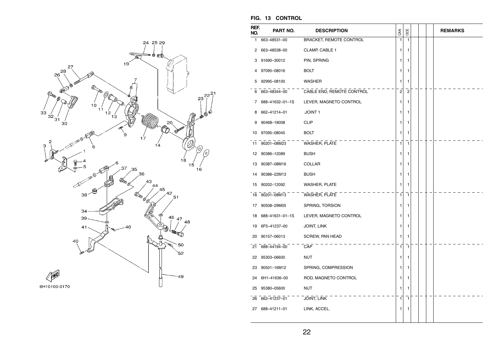

| REF.<br>NO. | PART NO.        | <b>DESCRIPTION</b>             | CAN            | OCE            |  | <b>REMARKS</b> |
|-------------|-----------------|--------------------------------|----------------|----------------|--|----------------|
| 1           | 663-48531-00    | <b>BRACKET, REMOTE CONTROL</b> | 1              | $\mathbf{1}$   |  |                |
| 2           | 663-48538-00    | CLAMP, CABLE 1                 | 1              | 1              |  |                |
| 3           | 91690-30012     | PIN, SPRING                    | 1              | 1              |  |                |
| 4           | 97095-08016     | <b>BOLT</b>                    | 1              | 1              |  |                |
| 5           | 92995-08100     | <b>WASHER</b>                  | 1              | 1              |  |                |
| 6           | 663-48344-00    | CABLE END, REMOTE CONTROL      | $\overline{c}$ | $\overline{2}$ |  |                |
| 7           | 688-41632-01-1S | LEVER, MAGNETO CONTROL         | 1              | 1              |  |                |
| 8           | 662-41214-01    | .JOINT 1                       | 1              | 1              |  |                |
| 9           | 90468-18008     | <b>CLIP</b>                    | 1              | 1              |  |                |
|             | 10 97095-08045  | <b>BOLT</b>                    | 1              | 1              |  |                |
| 11          | 90201-08M23     | WASHER, PLATE                  | 1              | 1              |  |                |
| 12          | 90386-12089     | <b>BUSH</b>                    | 1              | 1              |  |                |
| 13          | 90387-08M16     | COLLAR                         | 1              | 1              |  |                |
| 14          | 90386-22M13     | <b>BUSH</b>                    | 1              | 1              |  |                |
| 15          | 90202-12092     | WASHER, PLATE                  | 1              | 1              |  |                |
|             | 16 90201-08M13  | WASHER, PLATE                  | 1              | $\mathbf{1}$   |  |                |
| 17          | 90508-29M05     | SPRING, TORSION                | 1              | 1              |  |                |
| 18          | 688-41631-01-1S | LEVER, MAGNETO CONTROL         | 1              | 1              |  |                |
| 19          | 6F5-41237-00    | JOINT, LINK                    | 1              | 1              |  |                |
| 20          | 90157-06013     | SCREW, PAN HEAD                | 1              | 1              |  |                |
| 21          | 688-44194-00    | CAP                            | 1              | 1              |  |                |
| 22          | 95303-06600     | <b>NUT</b>                     | 1              | 1              |  |                |
| 23          | 90501-16M12     | SPRING, COMPRESSION            | 1              | 1              |  |                |
| 24          | 6H1-41636-00    | ROD, MAGNETO CONTROL           | 1              | 1              |  |                |
| 25          | 95380-05600     | <b>NUT</b>                     | 1              | 1              |  |                |
|             | 26 662-41237-01 | <b>JOINT, LINK</b>             | 1              | 1              |  |                |
| 27          | 688-41211-01    | LINK, ACCEL.                   | 1              | 1              |  |                |
|             |                 |                                |                |                |  |                |

#### **FIG. 13 CONTROL**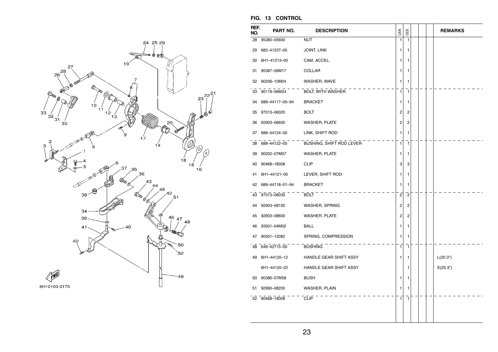

| REF.<br>NO. | PART NO.        | <b>DESCRIPTION</b>       | CAN            | OCE            |  | <b>REMARKS</b> |
|-------------|-----------------|--------------------------|----------------|----------------|--|----------------|
| 28          | 95380-05600     | <b>NUT</b>               | $\mathbf{1}$   | 1              |  |                |
| 29          | 682-41237-00    | <b>JOINT, LINK</b>       | 1              | 1              |  |                |
| 30          | 6H1-41213-00    | CAM, ACCEL.              | 1              | 1              |  |                |
| 31          | 90387-06M17     | COLLAR                   | 1              | 1              |  |                |
| 32          | 90206-10M04     | WASHER, WAVE             | 1              | 1              |  |                |
|             | 33 90119-06M24  | BOLT, WITH WASHER        | 1              | $\mathbf{1}$   |  |                |
| 34          | 688-44117-00-94 | <b>BRACKET</b>           | 1              | 1              |  |                |
| 35          | 97013-06020     | <b>BOLT</b>              | $\overline{c}$ | 2              |  |                |
| 36          | 92903-06600     | WASHER, PLATE            | 2              | 2              |  |                |
| 37          | 688-44124-00    | LINK, SHIFT ROD          | 1              | 1              |  |                |
|             | 38 688-44122-00 | BUSHING, SHIFT ROD LEVER | 1              | 1              |  |                |
| 39          | 90202-07M07     | <b>WASHER, PLATE</b>     | 1              | 1              |  |                |
| 40          | 90468-18008     | <b>CLIP</b>              | 3              | 3              |  |                |
| 41          | 6H1-44121-00    | LEVER, SHIFT ROD         | 1              | 1              |  |                |
| 42          | 688-44118-01-94 | <b>BRACKET</b>           | 1              | 1              |  |                |
|             | 43 97013-08030  | <b>BOLT</b>              | 2              | $\overline{2}$ |  |                |
| 44          | 92903-08100     | WASHER, SPRING           | 2              | 2              |  |                |
| 45          | 92903-08600     | <b>WASHER, PLATE</b>     | $\overline{c}$ | 2              |  |                |
| 46          | 93501-04M02     | <b>BALL</b>              | 1              | 1              |  |                |
| 47          | 90501-12082     | SPRING, COMPRESSION      | 1              | 1              |  |                |
|             | 48 648-42715-00 | <b>BUSHING</b>           | 1              | 1              |  |                |
|             | 49 6H1-44120-12 | HANDLE GEAR SHIFT ASSY   | 1              | 1              |  | L(20.3")       |
|             | 6H1-44120-22    | HANDLE GEAR SHIFT ASSY   |                | 1              |  | X(25.3")       |
| 50          | 90386-07M58     | <b>BUSH</b>              | 1              | 1              |  |                |
| 51          | 92990-08200     | WASHER, PLAIN            | 1              | 1              |  |                |
|             | 52 90468-18008  | <b>CLIP</b>              | 1              | 1              |  |                |
|             |                 |                          |                |                |  |                |
|             |                 |                          |                |                |  |                |

**FIG. 13 CONTROL**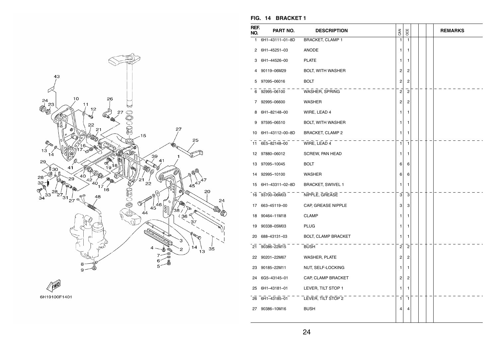



| FIG. 14 BRACKET 1 |
|-------------------|
|                   |

| REF.<br>NO. | PART NO.           | <b>DESCRIPTION</b>            | CAN                     | OCE                     |  | <b>REMARKS</b> |
|-------------|--------------------|-------------------------------|-------------------------|-------------------------|--|----------------|
| 1.          | 6H1-43111-01-8D    | <b>BRACKET, CLAMP 1</b>       | 1                       | 1                       |  |                |
| 2           | 6H1-45251-03       | ANODE                         | 1                       | 1                       |  |                |
| 3           | 6H1-44526-00       | <b>PLATE</b>                  | 1                       | 1                       |  |                |
| 4           | 90119-06M29        | <b>BOLT, WITH WASHER</b>      | 2                       | $\overline{c}$          |  |                |
| 5           | 97095-06016        | <b>BOLT</b>                   | $\overline{\mathbf{c}}$ | 2                       |  |                |
|             | 6 92995-06100      | WASHER, SPRING                | $\mathbf{2}$            | $\overline{2}$          |  |                |
|             | 7 92995-06600      | <b>WASHER</b>                 | 2                       | 2                       |  |                |
| 8           | 6H1-82148-00       | WIRE, LEAD 4                  | 1                       | 1                       |  |                |
| 9           | 97595-06510        | BOLT, WITH WASHER             | 1                       | 1                       |  |                |
|             | 10 6H1-43112-00-8D | <b>BRACKET, CLAMP 2</b>       | 1                       | 1                       |  |                |
|             | 11 6E5-82148-00    | WIRE, LEAD 4                  | 1                       | $\mathbf{1}$            |  |                |
|             | 12 97880-06012     | SCREW, PAN HEAD               | 1                       | 1                       |  |                |
|             | 13 97095-10045     | <b>BOLT</b>                   | 6                       | 6                       |  |                |
|             | 14 92995-10100     | WASHER                        | 6                       | 6                       |  |                |
|             | 15 6H1-43311-02-8D | <b>BRACKET, SWIVEL 1</b>      | 1                       | 1                       |  |                |
|             |                    | 16 93700-06M03 NIPPLE, GREASE | 3                       | $\overline{\mathbf{3}}$ |  |                |
|             | 17 663-45119-00    | CAP, GREASE NIPPLE            | 3                       | 3                       |  |                |
|             | 18 90464-11M18     | <b>CLAMP</b>                  | 1                       | 1                       |  |                |
|             | 19 90338-05M03     | <b>PLUG</b>                   | 1                       | 1                       |  |                |
|             | 20 688-43131-03    | <b>BOLT, CLAMP BRACKET</b>    | 1                       | 1                       |  |                |
|             | 21 90386-22M15     | BUSH <sup>-</sup>             | $\overline{2}$          | $\overline{2}$          |  |                |
|             | 22 90201-22M67     | WASHER, PLATE                 | 2                       | $\overline{c}$          |  |                |
|             | 23 90185-22M11     | NUT, SELF-LOCKING             | 1                       | 1                       |  |                |
|             | 24 6G5-43145-01    | CAP, CLAMP BRACKET            | 2                       | 2                       |  |                |
|             | 25 6H1-43181-01    | LEVER, TILT STOP 1            | 1                       | 1                       |  |                |
|             | 26 6H1-43185-01    | LEVER, TILT STOP 2            | $\mathbf{1}$            | 1                       |  |                |
|             | 27 90386-10M16     | <b>BUSH</b>                   | 4                       | 4                       |  |                |
|             |                    |                               |                         |                         |  |                |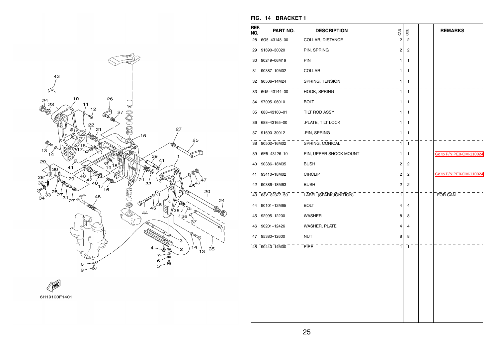

## **FIG. 14 BRACKET 1**

| REF.<br>NO. | PART NO.        | <b>DESCRIPTION</b>      | CAN            | OCE            |  | <b>REMARKS</b>          |
|-------------|-----------------|-------------------------|----------------|----------------|--|-------------------------|
| 28          | 6G5-43148-00    | COLLAR, DISTANCE        | $\overline{c}$ | $\overline{2}$ |  |                         |
| 29          | 91690-30020     | PIN, SPRING             | 2              | $\overline{c}$ |  |                         |
| 30          | 90249-06M19     | PIN                     | 1              | 1              |  |                         |
| 31          | 90387-10M02     | COLLAR                  | 1              | 1              |  |                         |
| 32          | 90506-14M24     | SPRING, TENSION         | 1              | 1              |  |                         |
| 33          | 6G5-43144-00    | HOOK, SPRING            | 1              | 1              |  |                         |
| 34          | 97095-06010     | <b>BOLT</b>             | 1              | 1              |  |                         |
| 35          | 688-43160-01    | TILT ROD ASSY           | 1              | 1              |  |                         |
| 36          | 688-43165-00    | .PLATE, TILT LOCK       | 1              | 1              |  |                         |
| 37          | 91690-30012     | .PIN, SPRING            | 1              | 1              |  |                         |
| 38          | 90502-16M02     | SPRING, CONICAL         | 1              | $\mathbf{1}$   |  |                         |
| 39          | 6E5-43126-10    | PIN, UPPER SHOCK MOUNT  | 1              | 1              |  | Go to P/N:PE0-OM-110024 |
| 40          | 90386-18M35     | <b>BUSH</b>             | 2              | $\overline{c}$ |  |                         |
| 41          | 93410-18M02     | <b>CIRCLIP</b>          | 2              | $\overline{2}$ |  | Go to P/N:PE0-OM-110024 |
| 42          | 90386-18M63     | <b>BUSH</b>             | 2              | 2              |  |                         |
|             | 43 63V-82377-50 | LABEL (SPARK, IGNITION) | 1              |                |  | FOR CAN                 |
| 44          | 90101-12M65     | <b>BOLT</b>             | 4              | 4              |  |                         |
| 45          | 92995-12200     | <b>WASHER</b>           | 8              | 8              |  |                         |
| 46          | 90201-12426     | WASHER, PLATE           | 4              | 4              |  |                         |
| 47          | 95380-12600     | <b>NUT</b>              | 8              | 8              |  |                         |
|             | 48 90440-14M00  | <b>PIPE</b>             | 1              | $\mathbf{1}$   |  |                         |
|             |                 |                         |                |                |  |                         |
|             |                 |                         |                |                |  |                         |
|             |                 |                         |                |                |  |                         |
|             |                 |                         |                |                |  |                         |
|             |                 |                         |                |                |  |                         |
|             |                 |                         |                |                |  |                         |
|             |                 |                         |                |                |  |                         |

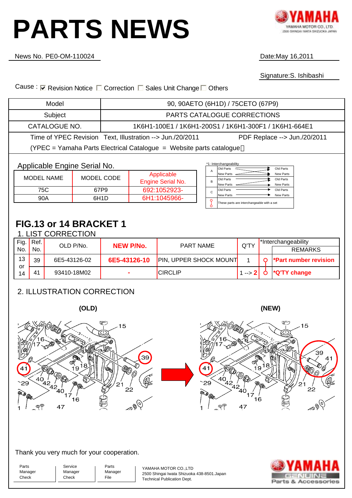# <span id="page-29-0"></span>**PARTS NEWS**



News No.

Date: May 16,2011

Signature:S. Ishibashi

Cause: <sub>Ⅳ</sub> Revision Notice □ Correction □ Sales Unit Change □ Others

| Model                                                               |                              | 90, 90AETO (6H1D) / 75CETO (67P9)                     |                                                                                             |  |  |  |  |  |  |
|---------------------------------------------------------------------|------------------------------|-------------------------------------------------------|---------------------------------------------------------------------------------------------|--|--|--|--|--|--|
| Subject                                                             |                              | PARTS CATALOGUE CORRECTIONS                           |                                                                                             |  |  |  |  |  |  |
| CATALOGUE NO.                                                       |                              | 1K6H1-100E1 / 1K6H1-200S1 / 1K6H1-300F1 / 1K6H1-664E1 |                                                                                             |  |  |  |  |  |  |
| Time of YPEC Revision Text, Illustration --> Jun./20/2011           | PDF Replace --> Jun./20/2011 |                                                       |                                                                                             |  |  |  |  |  |  |
| (YPEC = Yamaha Parts Electrical Catalogue = Website parts catalogue |                              |                                                       |                                                                                             |  |  |  |  |  |  |
| Applicable Engine Serial No.                                        |                              |                                                       | *1: Interchangeability<br>Old Parts<br>Old Parts                                            |  |  |  |  |  |  |
| <b>MODEL NAME</b>                                                   | MODEL CODE                   | Applicable<br>Engine Serial No.                       | A<br>New Parts<br>New Parts<br>Old Parts<br>Old Parts<br>B<br><b>New Parts</b><br>New Parts |  |  |  |  |  |  |
| 75C                                                                 | 67P9                         | 692:1052923-                                          | Old Parts<br>Old Parts                                                                      |  |  |  |  |  |  |
| 90A                                                                 | 6H <sub>1</sub> D            | 6H1:1045966-                                          | New Parts<br><b>New Parts</b><br>These parts are interchangeable with a set                 |  |  |  |  |  |  |

### **FIG.13 or 14 BRACKET 1**

|          |      | 1. LIST CORRECTION |                  |                               |                        |                             |
|----------|------|--------------------|------------------|-------------------------------|------------------------|-----------------------------|
| Fig.     | Ref. | OLD P/No.          | <b>NEW P/No.</b> | <b>PART NAME</b>              | Q'TY                   | *Interchangeability         |
| No.      | No.  |                    |                  |                               |                        | <b>REMARKS</b>              |
| 13       | 39   | 6E5-43126-02       | 6E5-43126-10     | <b>PIN, UPPER SHOCK MOUNT</b> |                        | <b>Part number revision</b> |
| or<br>14 | 41   | 93410-18M02        | ۰                | <b>CIRCLIP</b>                | 1 --> 2 $\blacksquare$ | *Q'TY change                |

#### 2. ILLUSTRATION CORRECTION





Thank you very much for your cooperation.

Service Manager Check

Parts Manager **Check** 

41

 $29$ 

P)

40

෧

40

47

17

16

Parts Manager File

YAMAHA MOTOR CO.,LTD 2500 Shingai Iwata Shizuoka 438-8501.Japan Technical Publication Dept.



**(NEW)**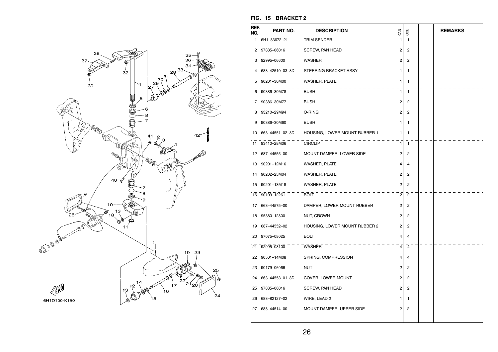

| REF.<br>NO. | PART NO.           | <b>DESCRIPTION</b>                               | CAN            | OCE                     |  | <b>REMARKS</b> |
|-------------|--------------------|--------------------------------------------------|----------------|-------------------------|--|----------------|
|             | 1 6H1-83672-21     | <b>TRIM SENDER</b>                               | $\mathbf{1}$   | $\mathbf{1}$            |  |                |
|             | 2 97885-06016      | SCREW, PAN HEAD                                  | 2              | $\overline{c}$          |  |                |
| 3           | 92995-06600        | <b>WASHER</b>                                    | 2              | 2                       |  |                |
| 4           | 688-42510-03-8D    | STEERING BRACKET ASSY                            | 1              | 1                       |  |                |
| 5           | 90201-30M00        | <b>WASHER, PLATE</b>                             | 1              | 1                       |  |                |
|             | 6 90386-30M78      | <b>BUSH</b>                                      | 1              | $\mathbf{1}$            |  |                |
|             | 7 90386-30M77      | <b>BUSH</b>                                      | 2              | 2                       |  |                |
|             | 8 93210-29M94      | O-RING                                           | 2              | 2                       |  |                |
| 9           | 90386-30M60        | <b>BUSH</b>                                      | 1              | 1                       |  |                |
|             |                    | 10 663-44551-02-8D HOUSING, LOWER MOUNT RUBBER 1 | 1              | 1                       |  |                |
|             | 11 93410-28M06     | <b>CIRCLIP</b>                                   | 1              | 1                       |  |                |
|             | 12 687-44555-00    | MOUNT DAMPER, LOWER SIDE                         | 2              | 2                       |  |                |
|             | 13 90201-12M16     | <b>WASHER, PLATE</b>                             | 4              | 4                       |  |                |
|             | 14 90202-25M04     | <b>WASHER, PLATE</b>                             | 2              | $\overline{c}$          |  |                |
| 15          | 90201-13M19        | <b>WASHER, PLATE</b>                             | 2              | $\overline{c}$          |  |                |
|             | 16 90109-12261     | $BOLT$ - - -                                     | $\overline{2}$ | $\overline{c}$          |  |                |
|             | 17 663-44575-00    | DAMPER, LOWER MOUNT RUBBER                       | 2              | 2                       |  |                |
|             | 18 95380-12800     | NUT, CROWN                                       | 2              | $\overline{\mathbf{c}}$ |  |                |
|             | 19 687-44552-02    | HOUSING, LOWER MOUNT RUBBER 2                    | 2              | 2                       |  |                |
|             | 20 97075-08025     | <b>BOLT</b>                                      | 4              | $\overline{4}$          |  |                |
| 21          | 92995-08100        | WASHER                                           | 4              | 4                       |  |                |
|             | 22 90501-14M08     | SPRING, COMPRESSION                              | 4              | 4                       |  |                |
|             | 23 90179-06066     | NUT                                              | 2              | 2                       |  |                |
|             | 24 663-44553-01-8D | COVER, LOWER MOUNT                               | 2              | 2                       |  |                |
|             | 25 97885-06016     | SCREW, PAN HEAD                                  | 2              | 2                       |  |                |
| 26          | 688-82127-02       | WIRE, LEAD $2 - -$                               | 1              | $\mathbf{1}$            |  |                |
|             | 27 688-44514-00    | MOUNT DAMPER, UPPER SIDE                         | 2              | 2                       |  |                |
|             |                    |                                                  |                |                         |  |                |

#### **FIG. 15 BRACKET 2**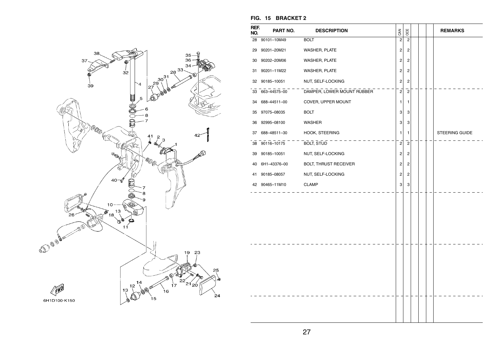

| REF.<br>NO. | PART NO.        | <b>DESCRIPTION</b>                         | <b>GAN</b>              | OCE            |  | <b>REMARKS</b> |
|-------------|-----------------|--------------------------------------------|-------------------------|----------------|--|----------------|
|             | 28 90101-10M49  | <b>BOLT</b>                                | $\overline{c}$          | $\overline{2}$ |  |                |
|             | 29 90201-20M21  | WASHER, PLATE                              | $\overline{\mathbf{c}}$ | $\overline{c}$ |  |                |
|             | 30 90202-20M06  | WASHER, PLATE                              | 2                       | $\overline{c}$ |  |                |
| 31          | 90201-11M22     | <b>WASHER, PLATE</b>                       | 2                       | 2              |  |                |
|             | 32 90185-10051  | NUT, SELF-LOCKING                          | 2                       | $\overline{c}$ |  |                |
|             |                 | 33 663-44575-00 DAMPER, LOWER MOUNT RUBBER | $\overline{2}$          | $\overline{2}$ |  |                |
|             | 34 688-44511-00 | COVER, UPPER MOUNT                         | 1                       | 1              |  |                |
|             | 35 97075-08035  | <b>BOLT</b>                                | 3                       | 3              |  |                |
|             | 36 92995-08100  | WASHER                                     | 3                       | 3              |  |                |
|             | 37 688-48511-30 | HOOK, STEERING                             | 1                       | 1              |  | STEERING GUIDE |
|             | 38 90116-10175  | BOLT, STUD                                 | $\overline{c}$          | $\overline{2}$ |  |                |
| 39          | 90185-10051     | NUT, SELF-LOCKING                          | 2                       | $\overline{c}$ |  |                |
|             | 40 6H1-43376-00 | <b>BOLT, THRUST RECEIVER</b>               | 2                       | 2              |  |                |
|             | 41 90185-08057  | NUT, SELF-LOCKING                          | 2                       | 2              |  |                |
|             | 42 90465-11M10  | <b>CLAMP</b>                               | 3                       | 3              |  |                |
|             |                 |                                            |                         |                |  |                |
|             |                 |                                            |                         |                |  |                |

#### **FIG. 15 BRACKET 2**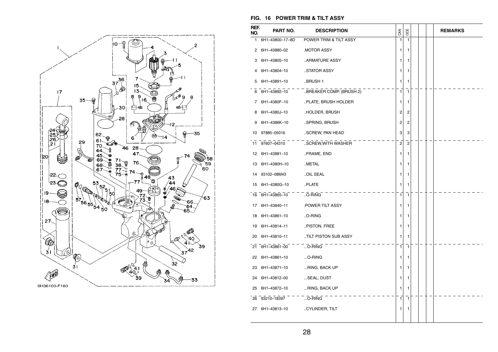

#### **FIG. 16 POWER TRIM & TILT ASSY**

| REF.<br>NO. | PART NO.                        | <b>DESCRIPTION</b>                    | CAN                     | OCE            |  | <b>REMARKS</b> |
|-------------|---------------------------------|---------------------------------------|-------------------------|----------------|--|----------------|
| 1.          | 6H1-43800-17-8D                 | POWER TRIM & TILT ASSY                | $\mathbf{1}$            | $\mathbf{1}$   |  |                |
| 2           | 6H1-43880-02                    | <b>MOTOR ASSY</b>                     | 1                       | 1              |  |                |
| З           | 6H1-43805-10                    | ARMATURE ASSY…                        | 1                       | 1              |  |                |
| 4           | 6H1-43804-10                    | STATOR ASSY                           | 1                       | 1              |  |                |
| 5           | 6H1-43891-10                    | .BRUSH 1                              | 1                       | 1              |  |                |
| 6           |                                 | 6H1-43892-10 .BREAKER COMP. (BRUSH 2) | $\mathbf{1}$            | $\mathbf{1}$   |  |                |
| 7           | 6H1-4380F-10                    | PLATE, BRUSH HOLDER                   | 1                       | 1              |  |                |
| 8           | 6H1-4380J-10                    | HOLDER, BRUSH                         | 2                       | 2              |  |                |
| 9           | 6H1-4386K-10                    | SPRING, BRUSH                         | $\overline{\mathbf{c}}$ | 2              |  |                |
|             | 10 97885-05016                  | SCREW, PAN HEAD                       | 3                       | 3              |  |                |
| 11          | 97607-04310                     | SCREW, WITH WASHER                    | $\overline{2}$          | $\overline{2}$ |  |                |
|             | 12 6H1-43881-10                 | FRAME, END                            | 1                       | 1              |  |                |
|             | 13 6H1-4380H-10                 | METAL                                 | 1                       | 1              |  |                |
|             | 14 93102-08M43                  | OIL SEAL                              | 1                       | 1              |  |                |
| 15          | 6H1-4380G-10                    | PLATE                                 | 1                       | 1              |  |                |
|             | $16$ 6H1-43865-10 - O-RING      |                                       | $\mathbf{1}$            | 1              |  |                |
|             | 17 6H1-43840-11                 | .POWER TILT ASSY                      | 1                       | 1              |  |                |
|             | 18 6H1-43861-10                 | O-RING                                | 1                       | 1              |  |                |
| 19          | 6H1-43814-11                    | PISTON, FREE                          | 1                       | 1              |  |                |
|             | 20 6H1-43810-11                 | TILT PISTON SUB ASSY                  | 1                       | 1              |  |                |
|             | 21 6H1-43861-00                 | $$ O-RING                             | 1                       | 1              |  |                |
|             | 22 6H1-43861-10                 | O-RING                                | 1                       | 1              |  |                |
|             | 23 6H1-43871-10                 | RING, BACK UP                         | 1                       | 1              |  |                |
|             | 24 6H1-43812-00                 | SEAL, DUST                            | 1                       | 1              |  |                |
|             | 25 6H1-43872-10                 | RING, BACK UP                         | 1                       | 1              |  |                |
|             | 26 93210-18397 O-RING           |                                       | $\mathbf{1}$            | $\mathbf{1}$   |  |                |
|             | 27 6H1-43813-10 .CYLINDER, TILT |                                       | 1                       | 1              |  |                |
|             |                                 |                                       |                         |                |  |                |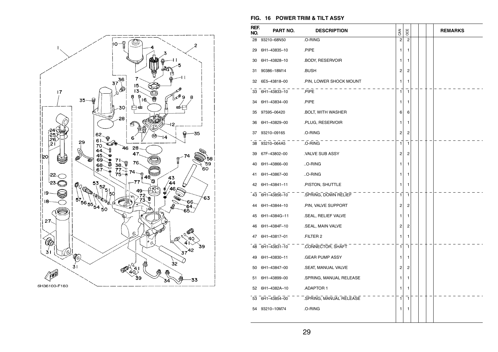

#### **FIG. 16 POWER TRIM & TILT ASSY**

| REF.<br>NO. | PART NO.        | <b>DESCRIPTION</b>      | CAN            | OCE            |  | <b>REMARKS</b> |
|-------------|-----------------|-------------------------|----------------|----------------|--|----------------|
| 28          | 93210-68N50     | .O-RING                 | $\overline{c}$ | $\overline{2}$ |  |                |
| 29          | 6H1-43835-10    | .PIPE                   | 1              | 1              |  |                |
| 30          | 6H1-43828-10    | .BODY, RESERVOIR        | 1              | 1              |  |                |
| 31          | 90386-18M14     | .BUSH                   | 2              | $\overline{c}$ |  |                |
| 32          | 6E5-43818-00    | .PIN, LOWER SHOCK MOUNT | 1              | 1              |  |                |
|             | 33 6H1-43833-10 | .PIPE                   | 1              | $\mathbf{1}$   |  |                |
| 34          | 6H1-43834-00    | .PIPE                   | 1              | 1              |  |                |
| 35          | 97595-06420     | .BOLT, WITH WASHER      | 6              | 6              |  |                |
| 36          | 6H1-43829-00    | .PLUG, RESERVOIR        | 1              | 1              |  |                |
| 37          | 93210-09165     | .O-RING                 | 2              | 2              |  |                |
|             | 38 93210-064A5  | .O-RING                 | 1              | 1              |  |                |
| 39          | 67F-43802-00    | .VALVE SUB ASSY         | 2              | $\overline{c}$ |  |                |
| 40          | 6H1-43866-00    | O-RING                  | 1              | 1              |  |                |
| 41          | 6H1-43867-00    | O-RING                  | 1              | 1              |  |                |
| 42          | 6H1-43841-11    | .PISTON, SHUTTLE        | 1              | 1              |  |                |
|             | 43 6H1-43856-10 | SPRING, DOWN RELIEF     | 1              | $\mathbf{1}$   |  |                |
| 44          | 6H1-43844-10    | .PIN, VALVE SUPPORT     | 2              | $\overline{c}$ |  |                |
| 45          | 6H1-4384G-11    | .SEAL, RELIEF VALVE     | 1              | 1              |  |                |
| 46          | 6H1-4384F-10    | .SEAL, MAIN VALVE       | 2              | 2              |  |                |
| 47          | 6H1-43817-01    | FILTER 2                | 1              | 1              |  |                |
|             | 48 6H1-43831-10 | .CONNECTOR, SHAFT       | 1              | 1              |  |                |
| 49          | 6H1-43830-11    | GEAR PUMP ASSY.         | 1              | 1              |  |                |
| 50          | 6H1-43847-00    | .SEAT, MANUAL VALVE     | 2              | 2              |  |                |
| 51          | 6H1-43899-00    | .SPRING, MANUAL RELEASE | 1              | 1              |  |                |
| 52          | 6H1-4382A-10    | .ADAPTOR 1              | 1              | 1              |  |                |
|             | 53 6H1-43854-00 | .SPRING, MANUAL RELEASE | 1              | 1              |  |                |
| 54          | 93210-10M74     | .O-RING                 | 1              | 1              |  |                |
|             |                 |                         |                |                |  |                |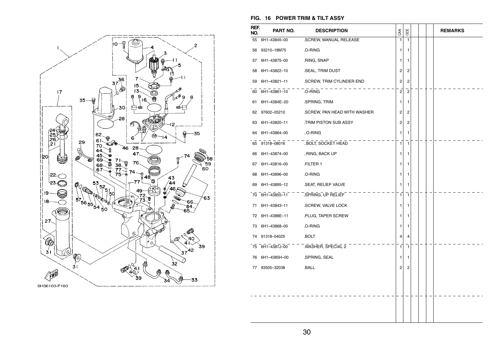

#### **FIG. 16 POWER TRIM & TILT ASSY**

| REF.<br>NO. | PART NO.        | <b>DESCRIPTION</b>           | CAN            | OCE            |  | <b>REMARKS</b> |
|-------------|-----------------|------------------------------|----------------|----------------|--|----------------|
| 55          | 6H1-43845-00    | .SCREW, MANUAL RELEASE       | $\mathbf{1}$   | $\mathbf{1}$   |  |                |
| 56          | 93210-18M75     | .O-RING                      | 1              | 1              |  |                |
| 57          | 6H1-43875-00    | .RING, SNAP                  | 1              | 1              |  |                |
| 58          | 6H1-43822-10    | .SEAL, TRIM DUST             | 2              | $\overline{c}$ |  |                |
| 59          | 6H1-43821-11    | .SCREW, TRIM CYLINDER END    | 2              | 2              |  |                |
| 60          | 6H1-43861-10    | .O-RING                      | $\overline{2}$ | $\overline{c}$ |  |                |
| 61          | 6H1-4384E-20    | .SPRING, TRIM                | 1              | 1              |  |                |
| 62          | 97602-05210     | .SCREW, PAN HEAD WITH WASHER | 2              | 2              |  |                |
| 63          | 6H1-43820-11    | TRIM PISTON SUB ASSY         | $\overline{2}$ | $\overline{c}$ |  |                |
| 64          | 6H1-43864-00    | O-RING                       | 1              | 1              |  |                |
| 65          | 91318-08016     | BOLT, SOCKET HEAD            | 1              | $\mathbf{1}$   |  |                |
| 66          | 6H1-43874-00    | RING, BACK UP                | 1              | 1              |  |                |
| 67          | 6H1-43816-00    | .FILTER 1                    | 1              | 1              |  |                |
| 68          | 6H1-43896-00    | .O-RING                      | 1              | 1              |  |                |
| 69          | 6H1-43895-12    | .SEAT, RELIEF VALVE          | 1              | 1              |  |                |
| 70          | $-6H1-43855-11$ | .SPRING, UP RELIEF           | 1              | 7              |  |                |
| 71          | 6H1-43843-11    | .SCREW, VALVE LOCK           | 1              | 1              |  |                |
| 72          | 6H1-4388E-11    | .PLUG, TAPER SCREW           | 1              | 1              |  |                |
| 73          | 6H1-43868-00    | .O-RING                      | 1              | 1              |  |                |
| 74          | 91318-04025     | .BOLT                        | 4              | 4              |  |                |
| 75          | 6H1-4387J-00    | .WASHER, SPECIAL 2           | 1              | $\mathbf{1}$   |  |                |
| 76          | 6H1-4385H-00    | .SPRING, SEAL                | 1              | 1              |  |                |
| 77          | 93505-32038     | .BALL                        | $\overline{c}$ | 2              |  |                |
|             |                 |                              |                |                |  |                |
|             |                 |                              |                |                |  |                |
|             |                 |                              |                |                |  |                |
|             |                 |                              |                |                |  |                |
|             |                 |                              |                |                |  |                |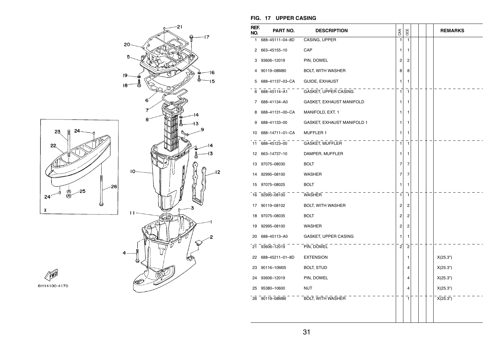

#### **FIG. 17 UPPER CASING**

| REF.<br>NO.     | PART NO.        | <b>DESCRIPTION</b>         | CAN            | OCE            |  | <b>REMARKS</b> |
|-----------------|-----------------|----------------------------|----------------|----------------|--|----------------|
| 1               | 688-45111-04-8D | CASING, UPPER              | 1              | $\mathbf{1}$   |  |                |
| 2               | 663-45155-10    | CAP                        | 1              | 1              |  |                |
| 3               | 93606-12019     | PIN, DOWEL                 | 2              | 2              |  |                |
| 4               | 90119-08M80     | BOLT, WITH WASHER          | 8              | 8              |  |                |
| 5               | 688-41137-03-CA | GUIDE, EXHAUST             | 1              | 1              |  |                |
| 6               | 688-45114-A1    | GASKET, UPPER CASING       | $\mathbf{1}$   | $\mathbf{1}$   |  |                |
| 7               | 688-41134-A0    | GASKET, EXHAUST MANIFOLD   | 1              | 1              |  |                |
| 8               | 688-41131-00-CA | MANIFOLD, EXT. 1           | 1              | 1              |  |                |
| 9               | 688-41133-00    | GASKET, EXHAUST MANIFOLD 1 | 1              | 1              |  |                |
| 10              | 688-14711-01-CA | MUFFLER 1                  | 1              | 1              |  |                |
| 11              | 688-45123-00    | GASKET, MUFFLER            | 1              | $\mathbf{1}$   |  |                |
| 12 <sup>2</sup> | 663-14737-10    | DAMPER, MUFFLER            | 1              | 1              |  |                |
| 13              | 97075-08030     | <b>BOLT</b>                | 7              | 7              |  |                |
| 14              | 92995-08100     | <b>WASHER</b>              | $\overline{7}$ | 7              |  |                |
| 15              | 97075-08025     | <b>BOLT</b>                | 1              | 1              |  |                |
| 16              | 92995-08100     | WASHER                     | $\mathbf{1}$   | $\mathbf{1}$   |  |                |
| 17              | 90119-08102     | <b>BOLT, WITH WASHER</b>   | 2              | 2              |  |                |
| 18              | 97075-08035     | <b>BOLT</b>                | 2              | 2              |  |                |
| 19              | 92995-08100     | <b>WASHER</b>              | 2              | 2              |  |                |
| 20              | 688-45113-A0    | GASKET, UPPER CASING       | 1              | 1              |  |                |
| 21              | 93606-12019     | PIN, DOWEL                 | $\mathbf{2}$   | $\overline{2}$ |  |                |
| 22              | 688-45211-01-8D | <b>EXTENSION</b>           |                | 1              |  | X(25.3")       |
|                 | 23 90116-10M05  | <b>BOLT, STUD</b>          |                | 4              |  | X(25.3")       |
| 24              | 93606-12019     | PIN, DOWEL                 |                | 4              |  | X(25.3")       |
| 25              | 95380-10600     | <b>NUT</b>                 |                | 4              |  | X(25.3")       |
|                 | 26 90119-08M86  | BOLT, WITH WASHER          |                | $\mathbf{1}$   |  | X(25.3")       |
|                 |                 |                            |                |                |  |                |
|                 |                 |                            |                |                |  |                |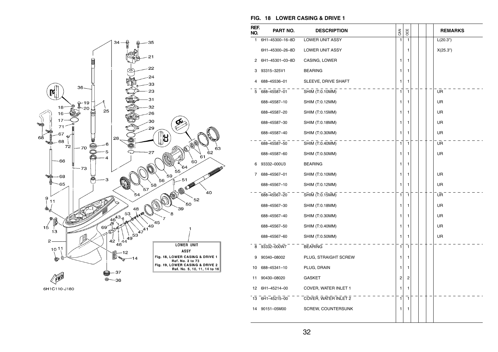



| REF.<br>NO. | PART NO.        | <b>DESCRIPTION</b>          | CAN          | <b>DOE</b>   |  | <b>REMARKS</b> |
|-------------|-----------------|-----------------------------|--------------|--------------|--|----------------|
| 1           | 6H1-45300-16-8D | <b>LOWER UNIT ASSY</b>      | $\mathbf{1}$ | $\mathbf{1}$ |  | L(20.3")       |
|             | 6H1-45300-26-8D | LOWER UNIT ASSY             |              | 1            |  | X(25.3")       |
| 2           | 6H1-45301-03-8D | CASING, LOWER               | 1            | 1            |  |                |
| 3           | 93315-325V1     | <b>BEARING</b>              | 1            | 1            |  |                |
| 4           | 688-45536-01    | SLEEVE, DRIVE SHAFT         | 1            | 1            |  |                |
| 5           | 688-45587-01    | $\overline{SHIM(T:0.10MM)}$ | 1            | 1            |  | UR             |
|             | 688-45587-10    | SHIM (T:0.12MM)             | 1            | 1            |  | UR             |
|             | 688-45587-20    | SHIM (T:0.15MM)             | 1            | 1            |  | UR             |
|             | 688-45587-30    | SHIM (T:0.18MM)             | 1            | 1            |  | UR             |
|             | 688-45587-40    | SHIM (T:0.30MM)             | 1            | 1            |  | UR             |
|             | 688-45587-50    | SHIM (T:0.40MM)             | 1            | 1            |  | UR             |
|             | 688-45587-60    | SHIM (T:0.50MM)             | 1            | 1            |  | UR             |
| 6           | 93332-000U3     | <b>BEARING</b>              | 1            | 1            |  |                |
| 7           | 688-45567-01    | SHIM (T:0.10MM)             | 1            | 1            |  | UR             |
|             | 688-45567-10    | SHIM (T:0.12MM)             | 1            | 1            |  | UR             |
|             | 688-45567-20    | SHIM (T:0.15MM)             | 1            | 1            |  | UR             |
|             | 688-45567-30    | SHIM (T:0.18MM)             | 1            | 1            |  | UR             |
|             | 688-45567-40    | SHIM (T:0.30MM)             | 1            | 1            |  | UR             |
|             | 688-45567-50    | SHIM (T:0.40MM)             | 1            | 1            |  | UR             |
|             | 688-45567-60    | SHIM (T:0.50MM)             | 1            | 1            |  | <b>UR</b>      |
| 8           | 93332-000W7     | <b>BEARING</b>              | 1            | 1            |  |                |
| 9           | 90340-08002     | PLUG, STRAIGHT SCREW        | 1            | 1            |  |                |
| 10          | 688-45341-10    | PLUG, DRAIN                 | 1            | 1            |  |                |
| 11          | 90430-08020     | <b>GASKET</b>               | 2            | 2            |  |                |
| 12          | 6H1-45214-00    | COVER, WATER INLET 1        | 1            | 1            |  |                |
| 13          | 6H1-45215-00    | COVER, WATER INLET 2        | 1            | 1            |  |                |
| 14          | 90151-05M00     | <b>SCREW, COUNTERSUNK</b>   | 1            | 1            |  |                |
|             |                 |                             |              |              |  |                |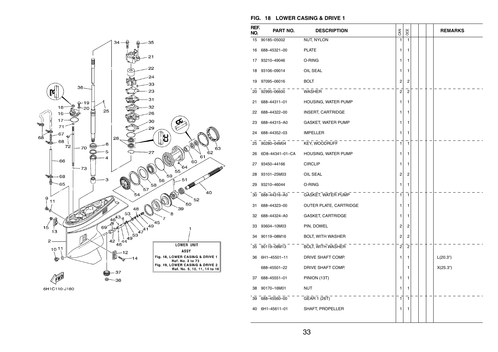



| REF.<br>NO. | PART NO.        | <b>DESCRIPTION</b>       | CAN            | OCE                     |  | <b>REMARKS</b> |
|-------------|-----------------|--------------------------|----------------|-------------------------|--|----------------|
| 15          | 90185-05002     | NUT, NYLON               | $\mathbf{1}$   | $\mathbf{1}$            |  |                |
| 16          | 688-45321-00    | <b>PLATE</b>             | 1              | 1                       |  |                |
| 17          | 93210-49046     | O-RING                   | 1              | 1                       |  |                |
| 18          | 93106-09014     | OIL SEAL                 | 1              | 1                       |  |                |
| 19          | 97095-06016     | <b>BOLT</b>              | 2              | 2                       |  |                |
| 20          | 92995-06600     | <b>WASHER</b>            | $\overline{2}$ | $\overline{\mathbf{c}}$ |  |                |
| 21          | 688-44311-01    | HOUSING, WATER PUMP      | 1              | 1                       |  |                |
| 22          | 688-44322-00    | <b>INSERT, CARTRIDGE</b> | 1              | 1                       |  |                |
| 23          | 688-44315-A0    | GASKET, WATER PUMP       | 1              | 1                       |  |                |
| 24          | 688-44352-03    | <b>IMPELLER</b>          | 1              | 1                       |  |                |
| 25          | 90280-04M04     | KEY, WOODRUFF            | 1              | 1                       |  |                |
| 26          | 6D8-44341-01-CA | HOUSING, WATER PUMP      | 1              | 1                       |  |                |
| 27          | 93450-44166     | <b>CIRCLIP</b>           | 1              | 1                       |  |                |
| 28          | 93101-25M03     | OIL SEAL                 | 2              | 2                       |  |                |
| 29          | 93210-46044     | O-RING                   | 1              | 1                       |  |                |
| 30          | 688-44316-A0    | GASKET, WATER PUMP       | 1              | $\mathbf{1}$            |  |                |
| 31          | 688-44323-00    | OUTER PLATE, CARTRIDGE   | 1              | 1                       |  |                |
| 32          | 688-44324-A0    | GASKET, CARTRIDGE        | 1              | 1                       |  |                |
| 33          | 93604-10M03     | PIN, DOWEL               | 2              | 2                       |  |                |
| 34          | 90119-08M16     | <b>BOLT, WITH WASHER</b> | 2              | 2                       |  |                |
| 35          | 90119-08M13     | BOLT, WITH WASHER        | $\overline{c}$ | $\overline{2}$          |  |                |
|             | 36 6H1-45501-11 | DRIVE SHAFT COMP.        | 1              | 1                       |  | L(20.3")       |
|             | 688-45501-22    | DRIVE SHAFT COMP.        |                | 1                       |  | X(25.3")       |
| 37          | 688-45551-01    | PINION (13T)             | 1              | 1                       |  |                |
| 38          | 90170-16M01     | NUT                      | 1              | 1                       |  |                |
| 39          | 688-45560-00    | GEAR 1 (26T)             | 1              | $\mathbf{1}$            |  |                |
| 40          | 6H1-45611-01    | SHAFT, PROPELLER         | 1              | 1                       |  |                |
|             |                 |                          |                |                         |  |                |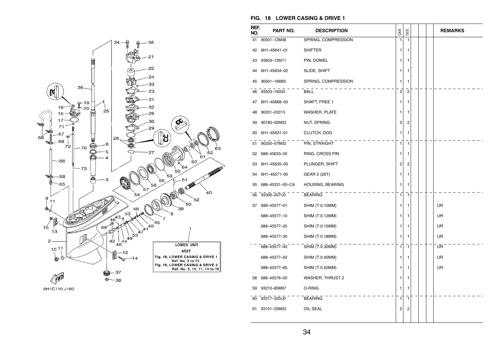



| REF.<br>NO. | PART NO.        | <b>DESCRIPTION</b>      | CAN            | OCE            |  | <b>REMARKS</b> |
|-------------|-----------------|-------------------------|----------------|----------------|--|----------------|
| 41          | 90501-12M48     | SPRING, COMPRESSION     | 1              | 1              |  |                |
| 42          | 6H1-45641-01    | <b>SHIFTER</b>          | 1              | 1              |  |                |
| 43          | 93603-12M11     | PIN, DOWEL              | 1              | 1              |  |                |
| 44          | 6H1-45634-02    | SLIDE, SHIFT            | 1              | 1              |  |                |
| 45          | 90501-16M65     | SPRING, COMPRESSION     | 1              | 1              |  |                |
| 46          | 93503-16003     | <b>BALL</b>             | $\overline{c}$ | $\overline{c}$ |  |                |
| 47          | 6H1-45668-00    | SHAFT, FREE 1           | 1              | 1              |  |                |
| 48          | 90201-03313     | <b>WASHER, PLATE</b>    | 1              | 1              |  |                |
| 49          | 90183-02M03     | NUT, SPRING             | 2              | 2              |  |                |
| 50          | 6H1-45631-01    | CLUTCH, DOG             | 1              | 1              |  |                |
| 51          | 90250-07M02     | PIN, STRAIGHT           | 1              | 1              |  |                |
| 52          | 688-45633-00    | RING, CROSS PIN         | 1              | 1              |  |                |
| 53          | 6H1-45635-00    | PLUNGER, SHIFT          | $\overline{c}$ | 2              |  |                |
| 54          | 6H1-45571-00    | GEAR 2 (26T)            | 1              | 1              |  |                |
| 55          | 688-45331-00-CA | HOUSING, BEARING        | 1              | 1              |  |                |
| 56          | 93306-207U0     | <b>BEARING</b>          | 1              | 1              |  |                |
| 57          | 688-45577-01    | SHIM (T:0.10MM)         | 1              | 1              |  | UR             |
|             | 688-45577-10    | SHIM (T:0.12MM)         | 1              | 1              |  | UR             |
|             | 688-45577-20    | SHIM (T:0.15MM)         | 1              | 1              |  | <b>UR</b>      |
|             | 688-45577-30    | SHIM (T:0.18MM)         | 1              | 1              |  | UR             |
|             | 688-45577-40    | SHIM (T:0.30MM)         | 1              | 1              |  | UR             |
|             | 688-45577-50    | SHIM (T:0.40MM)         | 1              | 1              |  | UR             |
|             | 688-45577-60    | SHIM (T:0.50MM)         | 1              | 1              |  | UR             |
| 58          | 688-45576-00    | <b>WASHER, THRUST 2</b> | 1              | 1              |  |                |
| 59          | 93210-85M97     | O-RING                  | 1              | 1              |  |                |
| 60          | 93317-325U0     | <b>BEARING</b>          | 1              | 1              |  |                |
| 61          | 93101-25M03     | OIL SEAL                | 2              | 2              |  |                |
|             |                 |                         |                |                |  |                |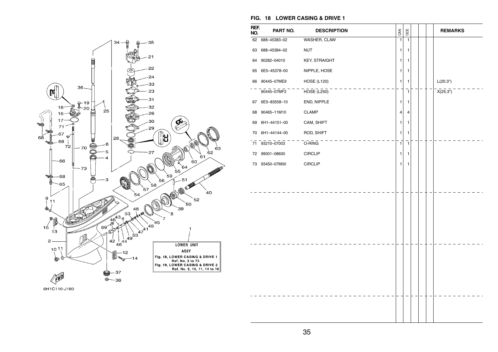



| REF.<br>NO. | PART NO.        | <b>DESCRIPTION</b>   | CAN            | OCE          |  | <b>REMARKS</b> |
|-------------|-----------------|----------------------|----------------|--------------|--|----------------|
|             | 62 688-45383-02 | WASHER, CLAW         | $\overline{1}$ | $\mathbf{1}$ |  |                |
| 63          | 688-45384-02    | <b>NUT</b>           | 1              | 1            |  |                |
| 64          | 90282-04010     | <b>KEY, STRAIGHT</b> | 1              | 1            |  |                |
| 65          | 6E5-45378-00    | NIPPLE, HOSE         | 1              | 1            |  |                |
|             | 66 90445-07ME9  | <b>HOSE (L120)</b>   | 1              | 1            |  | L(20.3")       |
|             | 90445-07MF2     | HOSE (L250)          |                | $\mathbf{1}$ |  | X(25.3")       |
| 67          | 6E5-83558-10    | END, NIPPLE          | 1              | 1            |  |                |
| 68          | 90465-11M10     | <b>CLAMP</b>         | 4              | 4            |  |                |
| 69          | 6H1-44151-00    | CAM, SHIFT           | 1              | 1            |  |                |
| 70          | 6H1-44144-00    | ROD, SHIFT           | 1              | 1            |  |                |
|             | 71 93210-07003  | O-RING               | $\mathbf{1}$   | $\mathbf{1}$ |  |                |
| 72          | 99001-08600     | <b>CIRCLIP</b>       | 1              | 1            |  |                |
| 73          | 93450-07M00     | <b>CIRCLIP</b>       | 1              | 1            |  |                |
|             |                 |                      |                |              |  |                |
|             |                 |                      |                |              |  |                |
|             |                 |                      |                |              |  |                |
|             |                 |                      |                |              |  |                |
|             |                 |                      |                |              |  |                |
|             |                 |                      |                |              |  |                |
|             |                 |                      |                |              |  |                |
|             |                 |                      |                |              |  |                |
|             |                 |                      |                |              |  |                |
|             |                 |                      |                |              |  |                |
|             |                 |                      |                |              |  |                |
|             |                 |                      |                |              |  |                |
|             |                 |                      |                |              |  |                |
|             |                 |                      |                |              |  |                |
|             |                 |                      |                |              |  |                |
|             |                 |                      |                |              |  |                |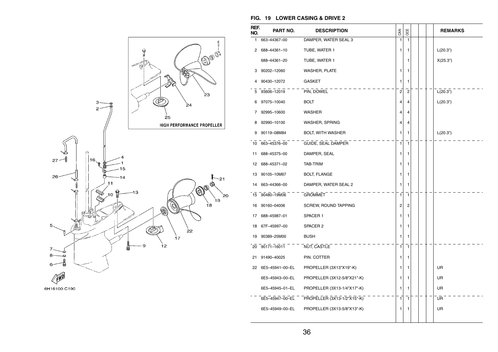

#### 6H16100-C190

| REF.<br>NO. | PART NO.           | <b>DESCRIPTION</b>          | CAN            | OCE            |  | <b>REMARKS</b> |
|-------------|--------------------|-----------------------------|----------------|----------------|--|----------------|
| 1.          | 663-44367-00       | DAMPER, WATER SEAL 3        | $\mathbf{1}$   | 1              |  |                |
| 2           | 688-44361-10       | TUBE, WATER 1               | 1              | 1              |  | L(20.3")       |
|             | 688-44361-20       | TUBE, WATER 1               |                | 1              |  | X(25.3")       |
| 3           | 90202-12060        | <b>WASHER, PLATE</b>        | 1              | 1              |  |                |
| 4           | 90430-12072        | <b>GASKET</b>               | 1              | 1              |  |                |
| 5           | 93606-12019        | PIN, DOWEL                  | $\overline{2}$ | $\overline{c}$ |  | L(20.3")       |
| 6           | 97075-10040        | <b>BOLT</b>                 | 4              | 4              |  | L(20.3")       |
| 7           | 92995-10600        | <b>WASHER</b>               | 4              | 4              |  |                |
| 8           | 92990-10100        | WASHER, SPRING              | 4              | 4              |  |                |
| 9           | 90119-08M84        | <b>BOLT, WITH WASHER</b>    | 1              | 1              |  | L(20.3")       |
|             | 10 663-45376-00    | GUIDE, SEAL DAMPER          | 1              | 1              |  |                |
| 11          | 688-45375-00       | DAMPER, SEAL                | 1              | 1              |  |                |
| 12          | 688-45371-02       | TAB-TRIM                    | 1              | 1              |  |                |
| 13          | 90105-10M67        | <b>BOLT, FLANGE</b>         | 1              | 1              |  |                |
| 14          | 663-44366-00       | DAMPER, WATER SEAL 2        | 1              | 1              |  |                |
|             | 15 90480-19M06     | GROMMET                     | 1              | $\mathbf{1}$   |  |                |
| 16          | 90160-04006        | SCREW, ROUND TAPPING        | 2              | 2              |  |                |
| 17          | 688-45987-01       | SPACER 1                    | 1              | 1              |  |                |
| 18          | 67F-45997-00       | SPACER 2                    | 1              | 1              |  |                |
| 19          | 90389-25M00        | <b>BUSH</b>                 | 1              | 1              |  |                |
|             | 20 90171-16011     | NUT, CASTLE                 | 1              | 1              |  |                |
| 21          | 91490-40025        | PIN. COTTER                 | 1              | 1              |  |                |
|             | 22 6E5-45941-00-EL | PROPELLER (3X13"X19"-K)     | 1              | 1              |  | UR             |
|             | 6E5-45943-00-EL    | PROPELLER (3X12-5/8"X21"-K) | 1              | 1              |  | UR             |
|             | 6E5-45945-01-EL    | PROPELLER (3X13-1/4"X17"-K) | 1              | 1              |  | UR             |
|             | 6E5-45947-00-EL    | PROPELLER (3X13-1/2"X15"-K) | 1              | 1              |  | UR             |
|             | 6E5-45949-00-EL    | PROPELLER (3X13-5/8"X13"-K) | 1              | 1              |  | UR             |
|             |                    |                             |                |                |  |                |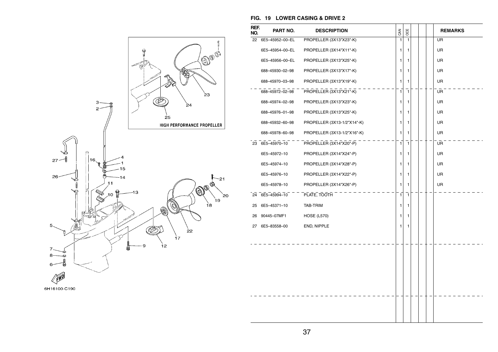

| 6H16100-C190 |  |  |  |  |
|--------------|--|--|--|--|
|              |  |  |  |  |

| REF.<br>NO. | PART NO.        | <b>DESCRIPTION</b>          | <b>GAN</b>     | OCE          |  | <b>REMARKS</b> |
|-------------|-----------------|-----------------------------|----------------|--------------|--|----------------|
| 22          | 6E5-45952-00-EL | PROPELLER (3X13"X23"-K)     | $\mathbf{1}$   | $\mathbf{1}$ |  | <b>UR</b>      |
|             | 6E5-45954-00-EL | PROPELLER (3X14"X11"-K)     | 1              | 1            |  | <b>UR</b>      |
|             | 6E5-45956-00-EL | PROPELLER (3X13"X25"-K)     | 1              | 1            |  | UR             |
|             | 688-45930-02-98 | PROPELLER (3X13"X17"-K)     | 1              | 1            |  | <b>UR</b>      |
|             | 688-45970-03-98 | PROPELLER (3X13"X19"-K)     | 1              | 1            |  | <b>UR</b>      |
|             | 688-45972-02-98 | PROPELLER (3X13"X21"-K)     | $\mathbf{1}$   | 1            |  | UR             |
|             | 688-45974-02-98 | PROPELLER (3X13"X23"-K)     | 1              | 1            |  | <b>UR</b>      |
|             | 688-45976-01-98 | PROPELLER (3X13"X25"-K)     | 1              | 1            |  | <b>UR</b>      |
|             | 688-45932-60-98 | PROPELLER (3X13-1/2"X14"-K) | $\mathbf{1}$   | 1            |  | <b>UR</b>      |
|             | 688-45978-60-98 | PROPELLER (3X13-1/2"X16"-K) | 1              | 1            |  | <b>UR</b>      |
|             | 23 6E5-45970-10 | PROPELLER (3X14"X20"-P)     | $\mathbf{1}$   | $\mathbf{1}$ |  | UR             |
|             | 6E5-45972-10    | PROPELLER (3X14"X24"-P)     | 1              | 1            |  | <b>UR</b>      |
|             | 6E5-45974-10    | PROPELLER (3X14"X28"-P)     | 1              | 1            |  | <b>UR</b>      |
|             | 6E5-45976-10    | PROPELLER (3X14"X22"-P)     | 1              | 1            |  | <b>UR</b>      |
|             | 6E5-45978-10    | PROPELLER (3X14"X26"-P)     | 1              | 1            |  | <b>UR</b>      |
|             | 24 6E5-45994-10 | PLATE, TOOTH                | $\overline{1}$ | 7            |  |                |
| 25          | 6E5-45371-10    | TAB-TRIM                    | 1              | 1            |  |                |
| 26          | 90445-07MF1     | <b>HOSE (L570)</b>          | 1              | 1            |  |                |
| 27          | 6E5-83558-00    | END, NIPPLE                 | 1              | 1            |  |                |
|             |                 |                             |                |              |  |                |
|             |                 |                             |                |              |  |                |
|             |                 |                             |                |              |  |                |
|             |                 |                             |                |              |  |                |
|             |                 |                             |                |              |  |                |
|             |                 |                             |                |              |  |                |
|             |                 |                             |                |              |  |                |
|             |                 |                             |                |              |  |                |
|             |                 |                             |                |              |  |                |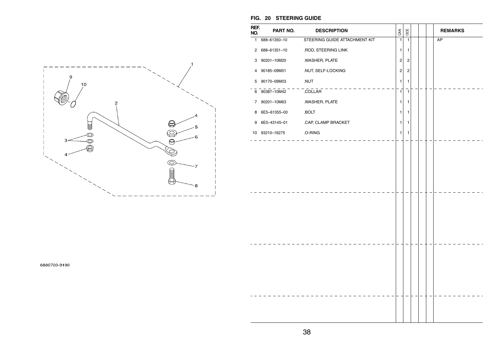

**FIG. 20 STEERING GUIDE** 

| REF.<br>NO. | PART NO.            | <b>DESCRIPTION</b>            | CAN | OCE                                                | <b>REMARKS</b> |
|-------------|---------------------|-------------------------------|-----|----------------------------------------------------|----------------|
|             | 1 688-61350-10      | STEERING GUIDE ATTACHMENT KIT |     | 1<br>$\mathbf{1}$                                  | AP             |
|             | 2 688-61351-10      | .ROD, STEERING LINK           |     | 1<br>1                                             |                |
| 3           | 90201-10M20         | .WASHER, PLATE                |     | $\overline{\mathbf{c}}$<br>$\overline{\mathbf{c}}$ |                |
|             | 4 90185-09M01       | .NUT, SELF-LOCKING            |     | $\sqrt{2}$<br>$\overline{\mathbf{c}}$              |                |
|             | 5 90170-09M03       | .NUT                          |     | 1<br>1                                             |                |
|             | $6 - 90387 - 10M42$ | .COLLAR                       |     | 1<br>$\mathbf{1}$                                  |                |
|             | 7 90201-10M63       | .WASHER, PLATE                |     | 1<br>1                                             |                |
|             | 8 6E5-61355-00      | .BOLT                         |     | 1<br>1                                             |                |
| 9           | 6E5-43145-01        | .CAP, CLAMP BRACKET           |     | 1<br>1                                             |                |
|             | 10 93210-16275      | .O-RING                       |     | 1<br>1                                             |                |
|             |                     |                               |     |                                                    |                |
|             |                     |                               |     |                                                    |                |
|             |                     |                               |     |                                                    |                |
|             |                     |                               |     |                                                    |                |
|             |                     |                               |     |                                                    |                |
|             |                     |                               |     |                                                    |                |
|             |                     |                               |     |                                                    |                |
|             |                     |                               |     |                                                    |                |
|             |                     |                               |     |                                                    |                |
|             |                     |                               |     |                                                    |                |
|             |                     |                               |     |                                                    |                |
|             |                     |                               |     |                                                    |                |
|             |                     |                               |     |                                                    |                |
|             |                     |                               |     |                                                    |                |
|             |                     |                               |     |                                                    |                |
|             |                     |                               |     |                                                    |                |
|             |                     |                               |     |                                                    |                |
|             |                     |                               |     |                                                    |                |
|             |                     |                               |     |                                                    |                |

6880700-9190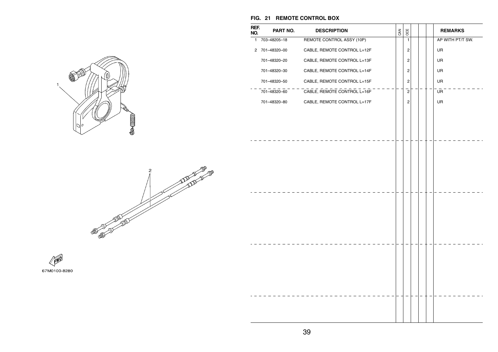

**REF.NO.**

# **Salling**







BOO

**REMARKS** 

#### **FIG. 21 REMOTE CONTROL BOX**

**PART NO. DESCRIPTION**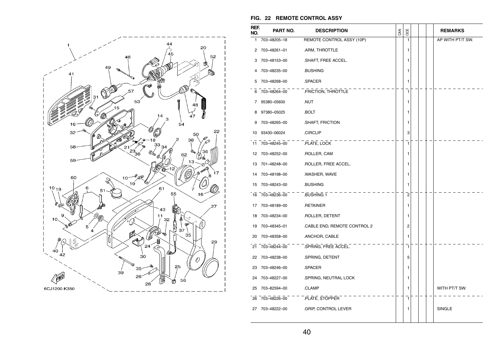

#### **FIG. 22 REMOTE CONTROL ASSY**

| REF.<br>NO. | PART NO.        | <b>DESCRIPTION</b>          | CAN | OCE            |  | <b>REMARKS</b>   |
|-------------|-----------------|-----------------------------|-----|----------------|--|------------------|
|             | 1 703-48205-18  | REMOTE CONTROL ASSY (10P)   |     | 1              |  | AP WITH PT/T SW. |
| 2           | 703-48261-01    | .ARM, THROTTLE              |     | 1              |  |                  |
|             | 3 703-48153-00  | .SHAFT, FREE ACCEL.         |     | 1              |  |                  |
| 4           | 703-48235-00    | .BUSHING                    |     | 1              |  |                  |
| 5           | 703-48268-00    | .SPACER                     |     | 1              |  |                  |
|             | 6 703-48264-00  | .FRICTION, THROTTLE         |     | $\mathbf{1}$   |  |                  |
|             | 7 95380-05600   | .NUT                        |     | 1              |  |                  |
| 8           | 97380-05025     | .BOLT                       |     | 1              |  |                  |
| 9           | 703-48265-00    | .SHAFT, FRICTION            |     | 1              |  |                  |
| 10          | 93430-06024     | .CIRCLIP                    |     | 3              |  |                  |
|             | 11 703-48245-00 | .PLATE, LOCK                |     | $\mathbf{1}$   |  |                  |
|             | 12 703-48252-00 | .ROLLER, CAM                |     | 1              |  |                  |
|             | 13 701-48248-00 | .ROLLER, FREE ACCEL.        |     | 1              |  |                  |
|             | 14 703-48198-00 | .WASHER, WAVE               |     | 1              |  |                  |
| 15          | 703-48243-00    | .BUSHING                    |     | 1              |  |                  |
|             | 16 703-48236-00 | BUSHING 1                   |     | $\overline{2}$ |  |                  |
|             | 17 703-48189-00 | .RETAINER                   |     | 1              |  |                  |
| 18          | 703-48234-00    | .ROLLER, DETENT             |     | 1              |  |                  |
| 19          | 703-48345-01    | CABLE END, REMOTE CONTROL 2 |     | 2              |  |                  |
| 20          | 703-48358-00    | .ANCHOR, CABLE              |     | 1              |  |                  |
|             | 21 703-48244-00 | .SPRING, FREE ACCEL.        |     | 1              |  |                  |
|             | 22 703-48238-00 | .SPRING, DETENT             |     | 5              |  |                  |
|             | 23 703-48246-00 | .SPACER                     |     | 1              |  |                  |
|             | 24 703-48227-00 | .SPRING, NEUTRAL LOCK       |     | 1              |  |                  |
| 25          | 703-82594-00    | .CLAMP                      |     | 1              |  | WITH PT/T SW.    |
|             | 26 703-48226-00 | PLATE, STOPPER              |     | 1              |  |                  |
|             | 27 703-48222-00 | .GRIP, CONTROL LEVER        |     | 1              |  | SINGLE           |
|             |                 |                             |     |                |  |                  |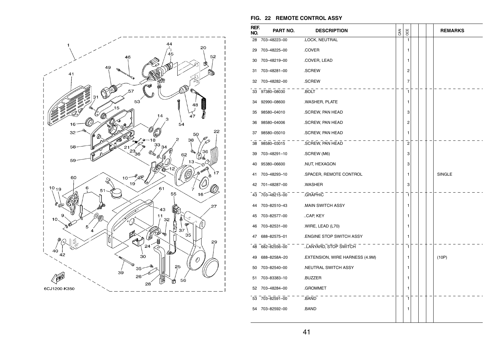

#### **FIG. 22 REMOTE CONTROL ASSY**

| REF.<br>NO. | PART NO.        | <b>DESCRIPTION</b>              | CAN | OCE                     |  | <b>REMARKS</b> |
|-------------|-----------------|---------------------------------|-----|-------------------------|--|----------------|
| 28          | 703-48223-00    | .LOCK, NEUTRAL                  |     | 1                       |  |                |
| 29          | 703-48225-00    | .COVER                          |     | 1                       |  |                |
| 30          | 703-48219-00    | .COVER, LEAD                    |     | 1                       |  |                |
| 31          | 703-48281-00    | .SCREW                          |     | 2                       |  |                |
| 32          | 703-48282-00    | .SCREW                          |     | 7                       |  |                |
| 33          | 97380-08030     | .BOLT                           |     | ī                       |  |                |
| 34          | 92990-08600     | .WASHER, PLATE                  |     | 1                       |  |                |
| 35          | 98580-04010     | .SCREW, PAN HEAD                |     | 3                       |  |                |
| 36          | 98580-04006     | .SCREW, PAN HEAD                |     | 2                       |  |                |
| 37          | 98580-05010     | .SCREW, PAN HEAD                |     | 1                       |  |                |
| 38          | 98580-03015     | .SCREW, PAN HEAD                |     | $\overline{2}$          |  |                |
| 39          | 703-48291-10    | .SCREW (M6)                     |     | 3                       |  |                |
| 40          | 95380-06600     | .NUT, HEXAGON                   |     | 3                       |  |                |
| 41          | 703-48293-10    | .SPACER, REMOTE CONTROL         |     | 1                       |  | SINGLE         |
| 42          | 701-48287-00    | .WASHER                         |     | 3                       |  |                |
| 43          | 703-48215-00    | <b>GRAPHIC</b>                  |     | $\overline{\mathbf{1}}$ |  |                |
| 44          | 703-82510-43    | MAIN SWITCH ASSY                |     | 1                       |  |                |
| 45          | 703-82577-00    | CAP, KEY                        |     | 1                       |  |                |
| 46          | 703-82531-00    | .WIRE, LEAD (L70)               |     | 1                       |  |                |
| 47          | 688-82575-01    | <b>ENGINE STOP SWITCH ASSY</b>  |     | 1                       |  |                |
|             | 48 682-82556-00 | LANYARD, STOP SWITCH            |     | $\mathbf{1}$            |  |                |
| 49          | 688-8258A-20    | .EXTENSION, WIRE HARNESS (4.9M) |     | 1                       |  | (10P)          |
| 50          | 703-82540-00    | .NEUTRAL SWITCH ASSY            |     | 1                       |  |                |
| 51          | 703-83383-10    | .BUZZER                         |     | 1                       |  |                |
| 52          | 703-48284-00    | .GROMMET                        |     | 1                       |  |                |
| 53          | 703-82591-00    | .BAND                           |     | 1                       |  |                |
| 54          | 703-82592-00    | .BAND                           |     | 1                       |  |                |
|             |                 |                                 |     |                         |  |                |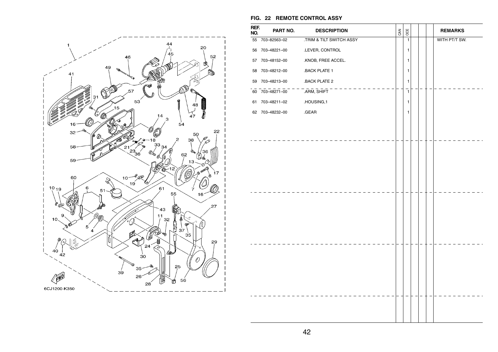

| REF.<br>NO. | PART NO.        | <b>DESCRIPTION</b>       | CAN | OCE          |  | <b>REMARKS</b> |
|-------------|-----------------|--------------------------|-----|--------------|--|----------------|
|             | 55 703-82563-02 | .TRIM & TILT SWITCH ASSY |     | $\mathbf{1}$ |  | WITH PT/T SW.  |
|             | 56 703-48221-00 | .LEVER, CONTROL          |     | 1            |  |                |
|             | 57 703-48152-00 | .KNOB, FREE ACCEL.       |     | 1            |  |                |
|             | 58 703-48212-00 | .BACK PLATE 1            |     | $\mathbf{1}$ |  |                |
|             | 59 703-48213-00 | .BACK PLATE 2            |     | 1            |  |                |
|             | 60 703-48271-00 | $ARM$ , $SHIFT$          |     | $\mathbf{1}$ |  |                |
|             | 61 703-48211-02 | .HOUSING,1               |     | $\mathbf{1}$ |  |                |
|             | 62 703-48232-00 | .GEAR                    |     | $\mathbf{1}$ |  |                |
|             |                 |                          |     |              |  |                |
|             |                 |                          |     |              |  |                |
|             |                 |                          |     |              |  |                |
|             |                 |                          |     |              |  |                |
|             |                 |                          |     |              |  |                |
|             |                 |                          |     |              |  |                |
|             |                 |                          |     |              |  |                |
|             |                 |                          |     |              |  |                |
|             |                 |                          |     |              |  |                |
|             |                 |                          |     |              |  |                |
|             |                 |                          |     |              |  |                |
|             |                 |                          |     |              |  |                |
|             |                 |                          |     |              |  |                |
|             |                 |                          |     |              |  |                |
|             |                 |                          |     |              |  |                |
|             |                 |                          |     |              |  |                |
|             |                 |                          |     |              |  |                |
|             |                 |                          |     |              |  |                |
|             |                 |                          |     |              |  |                |
|             |                 |                          |     |              |  |                |

**FIG. 22 REMOTE CONTROL ASSY**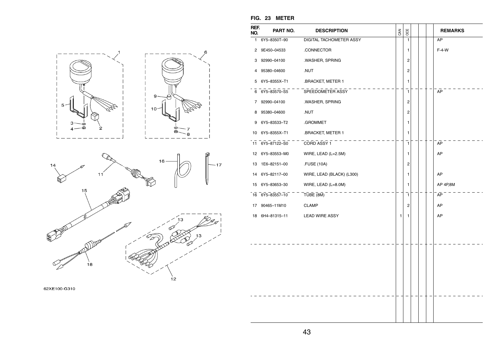

|             | FIG. 23 METER   |                                                  |                         |                |
|-------------|-----------------|--------------------------------------------------|-------------------------|----------------|
| REF.<br>NO. | PART NO.        | <b>DESCRIPTION</b>                               | OCE<br>CAN              | <b>REMARKS</b> |
|             | 1 6Y5-8350T-90  | DIGITAL TACHOMETER ASSY                          | $\mathbf{1}$            | AP             |
|             | 2 9E450-04533   | .CONNECTOR                                       | 1                       | $F-4-W$        |
|             | 3 92990-04100   | .WASHER, SPRING                                  | 2                       |                |
| 4           | 95380-04600     | .NUT                                             | 2                       |                |
|             | 5 6Y5-8355X-T1  | .BRACKET, METER 1                                | 1                       |                |
|             | 6 6Y5-83570-S5  | SPEEDOMETER ASSY                                 | $\mathbf{1}$            | AP             |
|             | 7 92990-04100   | .WASHER, SPRING                                  | $\sqrt{2}$              |                |
| 8           | 95380-04600     | .NUT                                             | 2                       |                |
|             | 9 6Y5-83533-T2  | .GROMMET                                         | 1                       |                |
|             | 10 6Y5-8355X-T1 | .BRACKET, METER 1                                | 1                       |                |
|             | 11 6Y5-87122-S0 | CORD ASSY 1                                      | $\mathbf{1}$            | AP             |
|             | 12 6Y5-83553-M0 | WIRE, LEAD (L=2.5M)                              | 1                       | AP             |
| 13          | 1E6-82151-00    | .FUSE (10A)                                      | $\overline{\mathbf{c}}$ |                |
|             | 14 6Y5-82117-00 | WIRE, LEAD (BLACK) (L300)                        | 1                       | AP             |
| 15          | 6Y5-83653-30    | WIRE, LEAD (L=8.0M)                              | 1                       | AP 4P,8M       |
|             | 16 6Y5-83557-10 | $T \overline{U} \overline{BE}$ $\overline{(8M)}$ | $\overline{1}$          | AP             |
|             | 17 90465-11M10  | <b>CLAMP</b>                                     | 2                       | AP             |
|             | 18 6H4-81315-11 | <b>LEAD WIRE ASSY</b>                            | 1<br>1                  | AP             |
|             |                 |                                                  |                         |                |
|             |                 |                                                  |                         |                |
|             |                 |                                                  |                         |                |
|             |                 |                                                  |                         |                |
|             |                 |                                                  |                         |                |
|             |                 |                                                  |                         |                |
|             |                 |                                                  |                         |                |
|             |                 |                                                  |                         |                |
|             |                 |                                                  |                         |                |
|             |                 |                                                  |                         |                |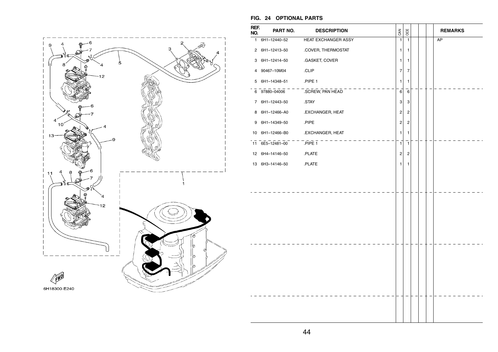

#### **FIG. 24 OPTIONAL PARTS**

| REF.<br>NO. | PART NO.        | <b>DESCRIPTION</b>  | CAN            | OCE                     |  | <b>REMARKS</b> |
|-------------|-----------------|---------------------|----------------|-------------------------|--|----------------|
|             | 1 6H1-12440-52  | HEAT EXCHANGER ASSY | 1              | $\mathbf{1}$            |  | AP             |
|             | 2 6H1-12413-50  | .COVER, THERMOSTAT  | 1              | 1                       |  |                |
| 3           | 6H1-12414-50    | .GASKET, COVER      | 1              | 1                       |  |                |
| 4           | 90467-10M04     | .CLIP               | $\overline{7}$ | $\overline{7}$          |  |                |
|             | 5 6H1-14348-51  | .PIPE 1             | 1              | 1                       |  |                |
|             | 6 97880-04006   | .SCREW, PAN HEAD    | 6              | 6                       |  |                |
|             | 7 6H1-12443-50  | .STAY               | 3              | 3                       |  |                |
| 8           | 6H1-12466-A0    | .EXCHANGER, HEAT    | 2              | 2                       |  |                |
| 9           | 6H1-14349-50    | .PIPE               | $\overline{2}$ | $\overline{c}$          |  |                |
|             | 10 6H1-12466-B0 | .EXCHANGER, HEAT    | 1              | 1                       |  |                |
|             | 11 6E5-12481-00 | PIPE <sub>1</sub>   | $\mathbf{1}$   | $\mathbf{1}$            |  |                |
|             | 12 6H4-14146-50 | .PLATE              | $\overline{2}$ | $\overline{\mathbf{c}}$ |  |                |
|             | 13 6H3-14146-50 | .PLATE              | 1              | 1                       |  |                |
|             |                 |                     |                |                         |  |                |
|             |                 |                     |                |                         |  |                |
|             |                 |                     |                |                         |  |                |
|             |                 |                     |                |                         |  |                |
|             |                 |                     |                |                         |  |                |
|             |                 |                     |                |                         |  |                |
|             |                 |                     |                |                         |  |                |
|             |                 |                     |                |                         |  |                |
|             |                 |                     |                |                         |  |                |
|             |                 |                     |                |                         |  |                |
|             |                 |                     |                |                         |  |                |
|             |                 |                     |                |                         |  |                |
|             |                 |                     |                |                         |  |                |
|             |                 |                     |                |                         |  |                |
|             |                 |                     |                |                         |  |                |
|             |                 |                     |                |                         |  |                |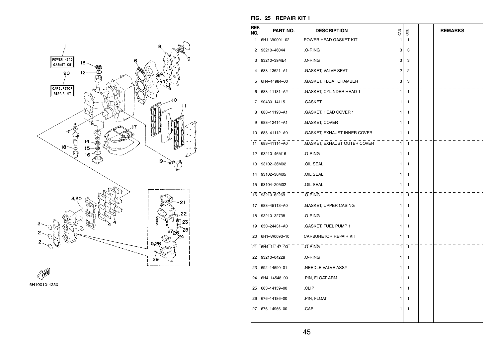

| REF.<br>NO. | PART NO.        | <b>DESCRIPTION</b>                           | <b>GAN</b>   | OCE          |  | <b>REMARKS</b> |
|-------------|-----------------|----------------------------------------------|--------------|--------------|--|----------------|
| 1           | 6H1-W0001-02    | POWER HEAD GASKET KIT                        | 1            | 1            |  |                |
|             | 2 93210-46044   | .O-RING                                      | 3            | 3            |  |                |
|             | 3 93210-39ME4   | .O-RING                                      | 3            | 3            |  |                |
| 4           | 688–13621–A1    | .GASKET, VALVE SEAT                          | 2            | 2            |  |                |
|             | 5 6H4-14984-00  | .GASKET, FLOAT CHAMBER                       | 3            | 3            |  |                |
|             |                 | 6 688-11181-A2 .GASKET, CYLINDER HEAD 1      | $\mathbf{1}$ | $\mathbf{1}$ |  |                |
|             | 7 90430-14115   | .GASKET                                      | 1.           | 1            |  |                |
|             | 8 688-11193-A1  | .GASKET, HEAD COVER 1                        | 1.           | 1            |  |                |
| 9           | 688–12414–A1    | .GASKET, COVER                               | 1.           | 1            |  |                |
|             | 10 688-41112-A0 | .GASKET, EXHAUST INNER COVER                 | 1            | 1            |  |                |
|             |                 | 11 688-41114-A0 .GASKET, EXHAUST OUTER COVER | 1            | $\mathbf{1}$ |  |                |
|             | 12 93210-46M16  | .O-RING                                      | 1.           | 1            |  |                |
|             | 13 93102-36M02  | OIL SEAL                                     | 1            | 1            |  |                |
|             | 14 93102-30M05  | .OIL SEAL                                    | 1            | 1            |  |                |
| 15          | 93104-20M02     | .OIL SEAL                                    | 1            | 1            |  |                |
|             | 16 93210-62269  | .O-RING                                      | 1            | $\mathbf{1}$ |  |                |
|             | 17 688-45113-A0 | .GASKET, UPPER CASING                        | 1            | 1            |  |                |
|             | 18 93210-32738  | .O-RING                                      | 1            | 1            |  |                |
| 19          | 650–24431–A0    | .GASKET, FUEL PUMP 1                         | 1            | 1            |  |                |
|             | 20 6H1-W0093-10 | <b>CARBURETOR REPAIR KIT</b>                 | 1            | 1            |  |                |
|             | 21 6H4-14147-00 | .O-RING                                      | 1            | 1            |  |                |
|             | 22 93210-04228  | .O-RING                                      | 1            | 1            |  |                |
|             | 23 692-14590-01 | NEEDLE VALVE ASSY                            | 1.           | 1            |  |                |
|             | 24 6H4-14548-00 | .PIN, FLOAT ARM                              | 1            | 1            |  |                |
|             | 25 663-14159-00 | .CLIP                                        | 1            | 1            |  |                |
|             | 26 676-14186-00 | PIN, FLOAT                                   | 1            | 1            |  |                |
|             | 27 676-14966-00 | .CAP                                         | 1.           | 1            |  |                |

#### **FIG. 25 REPAIR KIT 1**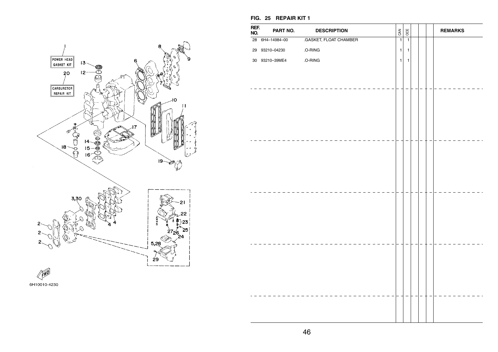

| 6H10010-4230 |
|--------------|
|              |

**FIG. 25 REPAIR KIT 1** 

| REF.<br>NO. | PART NO.        | <b>DESCRIPTION</b>     | CAN            | OCE            |  | <b>REMARKS</b> |
|-------------|-----------------|------------------------|----------------|----------------|--|----------------|
|             | 28 6H4-14984-00 | .GASKET, FLOAT CHAMBER | $\overline{1}$ | $\overline{1}$ |  |                |
|             | 29 93210-04230  | .O-RING                | $\mathbf 1$    | $\mathbf{1}$   |  |                |
|             | 30 93210-39ME4  | .O-RING                | $\mathbf{1}$   | 1              |  |                |
|             |                 |                        |                |                |  |                |
|             |                 |                        |                |                |  |                |
|             |                 |                        |                |                |  |                |
|             |                 |                        |                |                |  |                |
|             |                 |                        |                |                |  |                |
|             |                 |                        |                |                |  |                |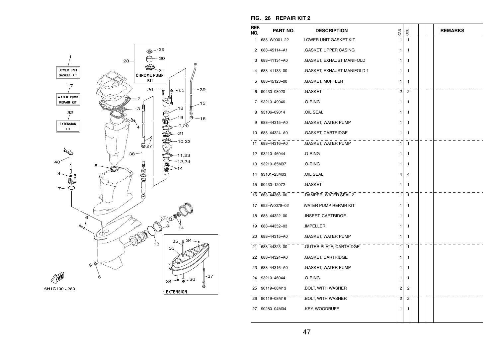

| REF.<br>NO. | PART NO.        | <b>DESCRIPTION</b>                   | CAN            | OCE            |  | <b>REMARKS</b> |
|-------------|-----------------|--------------------------------------|----------------|----------------|--|----------------|
| 1.          | 688-W0001-22    | LOWER UNIT GASKET KIT                | 1              | $\mathbf{1}$   |  |                |
| 2           | 688-45114-A1    | .GASKET, UPPER CASING                | 1              | 1              |  |                |
| 3           | 688–41134–A0    | .GASKET, EXHAUST MANIFOLD            | 1              | 1              |  |                |
| 4           | 688-41133-00    | .GASKET, EXHAUST MANIFOLD 1          | 1              | 1              |  |                |
| 5           | 688–45123–00    | .GASKET, MUFFLER                     | 1              | 1              |  |                |
|             | 6 90430-08020   | .GASKET                              | $\overline{c}$ | $\overline{2}$ |  |                |
|             | 7 93210-49046   | .O-RING                              | 1              | 1              |  |                |
| 8           | 93106-09014     | OIL SEAL                             | 1              | 1              |  |                |
| 9           | 688-44315-A0    | .GASKET, WATER PUMP                  | 1              | 1              |  |                |
|             | 10 688-44324-A0 | .GASKET, CARTRIDGE                   | 1              | 1              |  |                |
|             | 11 688-44316-A0 | .GASKET, WATER PUMP                  | $\mathbf{1}$   | $\mathbf{1}$   |  |                |
|             | 12 93210-46044  | .O-RING                              | 1              | 1              |  |                |
| 13          | 93210-85M97     | .O-RING                              | 1              | 1              |  |                |
| 14          | 93101-25M03     | .OIL SEAL                            | 4              | 4              |  |                |
|             | 15 90430-12072  | .GASKET                              | 1              | 1              |  |                |
|             |                 | 16 663-44366-00 DAMPER, WATER SEAL 2 | $\mathbf{1}$   | 1              |  |                |
|             | 17 692-W0078-02 | WATER PUMP REPAIR KIT                | 1              | 1              |  |                |
|             | 18 688-44322-00 | .INSERT, CARTRIDGE                   | 1              | 1              |  |                |
|             | 19 688-44352-03 | .IMPELLER                            | 1              | 1              |  |                |
|             | 20 688-44315-A0 | .GASKET, WATER PUMP                  | 1              | 1              |  |                |
|             | 21 688-44323-00 | .OUTER PLATE, CARTRIDGE              | $\mathbf{1}$   | $\mathbf{1}$   |  |                |
|             | 22 688-44324-A0 | .GASKET, CARTRIDGE                   | 1              | 1              |  |                |
|             | 23 688-44316-A0 | .GASKET, WATER PUMP                  | 1              | 1              |  |                |
|             | 24 93210-46044  | .O-RING                              | 1              | 1              |  |                |
| 25          | 90119-08M13     | .BOLT, WITH WASHER                   | 2              | 2              |  |                |
|             | 26 90119-08M16  | .BOLT, WITH WASHER                   | $\mathbf{2}$   | $\mathbf{2}$   |  |                |
| 27          | 90280-04M04     | .KEY, WOODRUFF                       | 1              | 1              |  |                |
|             |                 |                                      |                |                |  |                |

#### **FIG. 26 REPAIR KIT 2**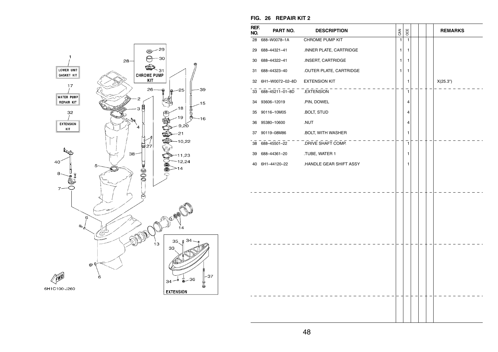

#### **FIG. 26 REPAIR KIT 2**

| REF.<br>NO. | PART NO.                     | <b>DESCRIPTION</b>                   | CAN          | OCE          |  | <b>REMARKS</b> |
|-------------|------------------------------|--------------------------------------|--------------|--------------|--|----------------|
|             | 28 688-W0078-1A              | CHROME PUMP KIT                      | $\mathbf{1}$ | $\mathbf{1}$ |  |                |
|             | 29 688-44321-41              | INNER PLATE, CARTRIDGE               | 1            | 1            |  |                |
| 30          | 688-44322-41                 | .INSERT, CARTRIDGE                   | 1            | 1            |  |                |
| 31          | 688-44323-40                 | OUTER PLATE, CARTRIDGE               | 1            | 1            |  |                |
| 32          | 6H1-W0072-02-8D              | <b>EXTENSION KIT</b>                 |              | 1            |  | X(25.3")       |
| 33          | $-688-45211-01-8D$ EXTENSION |                                      |              | $\mathbf{1}$ |  |                |
| 34          | 93606-12019                  | .PIN, DOWEL                          |              | 4            |  |                |
| 35          | 90116-10M05                  | .BOLT, STUD                          |              | 4            |  |                |
| 36          | 95380-10600                  | .NUT                                 |              | 4            |  |                |
| 37          | 90119-08M86                  | .BOLT, WITH WASHER                   |              | 1            |  |                |
|             |                              | 38 688-45501-22 .DRIVE SHAFT COMP.   |              | $\mathbf{1}$ |  |                |
| 39          | 688-44361-20                 | .TUBE, WATER 1                       |              | 1            |  |                |
| 40          |                              | 6H1-44120-22 .HANDLE GEAR SHIFT ASSY |              | 1            |  |                |
|             |                              |                                      |              |              |  |                |
|             |                              |                                      |              |              |  |                |
|             |                              |                                      |              |              |  |                |
|             |                              |                                      |              |              |  |                |
|             |                              |                                      |              |              |  |                |
|             |                              |                                      |              |              |  |                |
|             |                              |                                      |              |              |  |                |
|             |                              |                                      |              |              |  |                |
|             |                              |                                      |              |              |  |                |
|             |                              |                                      |              |              |  |                |
|             |                              |                                      |              |              |  |                |
|             |                              |                                      |              |              |  |                |
|             |                              |                                      |              |              |  |                |
|             |                              |                                      |              |              |  |                |
|             |                              |                                      |              |              |  |                |
|             |                              |                                      |              |              |  |                |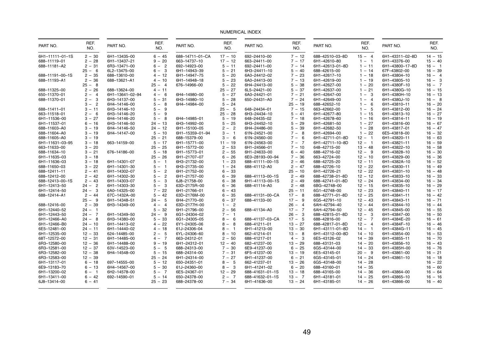| PART NO.        | REF.<br>NO. | PART NO.        | REF.<br>NO.                       | PART NO.        | REF.<br>NO. | PART NO.        | REF.<br>NO. | PART NO.        | REF.<br>NO. | PART NO.        | REF.<br>NO. |
|-----------------|-------------|-----------------|-----------------------------------|-----------------|-------------|-----------------|-------------|-----------------|-------------|-----------------|-------------|
| 6H1-11111-01-1S | $2 - 30$    | 6H1-13435-00    | $6 - 45$                          | 688-14711-01-CA | $17 - 10$   | 692-24410-00    | $7 - 12$    | 688-42510-03-8D | $15 - 4$    | 6H1-43311-02-8D | $14 - 15$   |
| 688-11119-01    | $2 - 28$    | 6H1-13437-21    | $9 - 20$                          | 663-14737-10    | $17 - 12$   | 663-24411-00    | $7 - 17$    | 6H1-42610-80    | $1 - 1$     | 6H1-43376-00    | $15 - 40$   |
| 688-11181-A2    | $2 - 31$    | 6R3-13471-00    | $6 - 2$                           | 692-14923-00    | $5 - 11$    | 692-24411-00    | $7 - 14$    | 6H1-42613-01-8D | $1 - 11$    | 6H1-43800-17-8D | $16 - 1$    |
|                 | $25 - 6$    | 6L2-13475-00    | $6 -$<br>$\mathbf{3}$             | 6H1-14943-39    | $5 - 21$    | 6H3-24411-10    | $5 - 40$    | 688-42615-00    | $1 - 14$    | 67F-43802-00    | $16 - 39$   |
| 688-11191-00-1S | $2 - 35$    | 688-13610-00    | $4 - 12$                          | 6H1-14947-75    | $5 - 20$    | 6A0-24412-02    | $7 - 23$    | 6H1-42617-10    | $1 - 18$    | 6H1-43804-10    | $16 - 4$    |
| 688-11193-A1    | $2 - 36$    | 688-13621-A1    | $4 - 10$                          | 6H1-14948-18    | $5 - 23$    | 6A0-24413-00    | $7 - 13$    | 6H1-42619-00    | $1 - 19$    | 6H1-43805-10    | $16 - 3$    |
|                 | $25 - 8$    |                 | $25 - 4$                          | 676-14966-00    | $5 - 22$    | 6H4-24413-00    | $5 - 38$    | 6H1-42627-00    | $1 - 20$    | 6H1-4380F-10    | $16 - 7$    |
| 688-11325-00    | $2 - 26$    | 688-13624-00    | $4 - 11$                          |                 | $25 - 27$   | 6L5-24421-00    | $5 - 37$    | 6H1-42637-00    | $1 - 21$    | 6H1-4380G-10    | $16 - 15$   |
| 650-11370-01    | $2 - 4$     | 6H1-13641-02-94 | $4 - 6$                           | 6H4-14980-00    | $5 - 27$    | 6A0-24421-01    | $7 - 21$    | 6H1-42647-00    | $1 - 3$     | 6H1-4380H-10    | $16 - 13$   |
| 688-11370-01    | $2 - 3$     | 6H3-14137-00    | $5 - 31$                          | 6H3-14980-10    | $5 - 28$    | 650-24431-A0    | $7 - 24$    | 6H1-42649-00    | $1 - 4$     | 6H1-4380J-10    | $16 - 8$    |
|                 | $3 - 2$     | 6H4-14146-00    | $5 -$<br>8                        | 6H4-14984-00    | $5 - 24$    |                 | $25 - 19$   | 688-42652-10    | $1 - 6$     | 6H1-43810-11    | $16 - 20$   |
| 688-11411-01    | $3 - 11$    | 6H3-14146-10    | $5 - 9$                           |                 | $25 - 5$    | 648-24434-01    | $7 - 15$    | 663-42662-00    | $1 - 5$     | 6H1-43812-00    | $16 - 24$   |
| 663-11518-01    | $2 - 6$     | 6H3-14146-20    | $\overline{9}$<br>$5 -$           |                 | $25 - 28$   | 6H3-24434-10    | $5 - 41$    | 6H1-42677-80    | $1 - 15$    | 6H1-43813-10    | $16 - 27$   |
| 6H1-11536-00    | $3 - 27$    | 6H4-14146-20    | 8<br>$5 -$                        | 6H4-14985-01    | $5 - 19$    | 648-24435-02    | $7 - 18$    | 6H1-42678-60    | $1 - 16$    | 6H1-43814-11    | $16 - 19$   |
| 6H1-11537-01    | $6 - 16$    | 6H3-14146-50    | $24 - 13$                         | 6H3-14992-00    | $5 - 25$    | 6H3-24452-10    | $5 - 29$    | 6H1-42681-50    | $1 - 27$    | 6H1-43816-00    | $16 - 67$   |
| 688-11603-A0    | $3 - 19$    | 6H4-14146-50    | $24 - 12$                         | 6H1-15100-05    | $2 - 2$     | 6H4-24486-00    | $5 - 39$    | 6H1-42682-50    | $1 - 28$    | 6H1-43817-01    | $16 - 47$   |
| 688-11604-A0    | $3 - 19$    | 6H4-14147-00    | $5 - 10$                          | 6H1-15359-01-94 | $3 - 1$     | 61N-24521-00    | $7 - 8$     | 6H1-42694-00    | $1 - 22$    | 6E5-43818-00    | $16 - 32$   |
| 688-11605-A0    | $3 - 19$    |                 | $25 - 21$                         | 688-15379-00    | $3 - 6$     | 61N-24560-00    | $7 -$<br>6  | 6H1-42711-01-8D | $12 - 1$    | 6H1-43820-11    | $16 - 63$   |
| 6H1-11631-03-95 | $3 - 18$    | 663-14159-00    | $5 - 17$                          | 6H1-15771-00    | $11 - 19$   | 61N-24563-00    | $7 - 7$     | 6H1-42711-10-8D | $12 - 1$    | 6H1-43821-11    | $16 - 59$   |
| 663-11633-00    | $3 - 20$    |                 | $25 - 25$                         | 6H1-15772-00    | $2 - 53$    | 6H1-24566-01    | $7 - 10$    | 648-42715-00    | $13 - 48$   | 6H1-43822-10    | $16 - 58$   |
| 688-11634-10    | $3 - 21$    | 676-14186-00    | $5 - 18$                          | 6H1-15773-01    | $2 - 55$    | 6H1-24633-00    | $6 - 40$    | 688-42716-02    | $12 - 9$    | 6H1-43828-10    | $16 - 30$   |
| 6H1-11635-03    | $3 - 18$    |                 | $25 - 26$                         | 6H1-21707-07    | $6 - 26$    | 6E0-28193-00-94 | $7 - 36$    | 663-42724-00    | $12 - 10$   | 6H1-43829-00    | $16 - 36$   |
| 6H1-11636-03    | $3 - 18$    | 6H1-14301-07    | $5 -$<br>$\overline{\phantom{0}}$ | 6H3-21732-00    | $1 - 23$    | 688-41111-00-1S | $2 - 46$    | 688-42725-20    | $12 - 11$   | 6H1-4382A-10    | $16 - 52$   |
| 688-11650-03    | $3 - 22$    | 6H1-14301-30    | $5 -$<br>$\blacksquare$           | 6H3-21735-00    | $1 - 24$    | 688-41112-A0    | $2 - 47$    | 688-42726-10    | $12 - 22$   | 6H1-43830-11    | $16 - 49$   |
| 688-12411-11    | $2 - 41$    | 6H1-14302-07    | $5 -$<br>$\overline{2}$           | 6H1-21752-00    | $6 - 33$    |                 | $25 - 10$   | 6H1-42726-21    | $12 - 22$   | 6H1-43831-10    | $16 - 48$   |
| 688-12412-00    | $2 - 42$    | 6H1-14302-30    | $\overline{2}$<br>$5 -$           | 6H1-21757-00    | $6 - 39$    | 688-41113-00-1S | $2 - 49$    | 688-42738-01-8D | $12 - 12$   | 6H1-43833-10    | $16 - 33$   |
| 688-12413-00-1S | $2 - 43$    | 6H1-14303-07    | $5 -$<br>3                        | 6J8-21758-00    | $6 - 38$    | 6H1-41113-00-1S | $2 - 49$    | 688-42741-01-8D | $12 - 24$   | 6H1-43834-00    | $16 - 34$   |
| 6H1-12413-50    | $24 - 2$    | 6H1-14303-30    | $\mathbf{3}$<br>$5 -$             | 63D-2175R-00    | $6 - 36$    | 688-41114-A0    | $2 - 48$    | 6BG-42748-00    | $12 - 15$   | 6H1-43835-10    | $16 - 29$   |
| 6H1-12414-50    | $24 - 3$    | 6A0-14325-00    | $7 - 22$                          | 6H1-21766-01    | $6 - 43$    |                 | $25 - 11$   | 6G1-42748-00    | $12 - 23$   | 6H1-43840-11    | $16 - 17$   |
| 688-12414-A1    | $2 - 44$    | 67C-1432A-00    | $5 - 42$                          | 63D-2176M-00    | $6 - 35$    | 688-41131-00-CA | $17 - 8$    | 688-42771-01-8D | $12 - 25$   | 6H1-43841-11    | $16 - 42$   |
|                 | $25 - 9$    | 6H1-14348-51    | 5<br>$24 -$                       | 6H4-21770-00    | $6 - 37$    | 688-41133-00    | $17 - 9$    | 6G5-42791-10    | $12 - 43$   | 6H1-43843-11    | $16 - 71$   |
| 688-12416-00    | $2 - 39$    | 6H3-14349-00    | $\overline{4}$<br>$4 -$           | 63D-2177H-00    | $1 - 2$     |                 | $26 - 4$    | 6AH-42794-40    | $12 - 44$   | 6H1-43844-10    | $16 - 44$   |
| 6H1-12440-52    | $24 - 1$    |                 | $5 - 32$                          | 6H1-21796-00    | $2 - 56$    | 688-41134-A0    | $17 - 7$    | 6AH-42794-50    | $12 - 45$   | 6H1-43845-00    | $16 - 55$   |
| 6H1-12443-50    | $24 - 7$    | 6H1-14349-50    | $24 - 9$                          | 6G1-24304-02    | $7 - 1$     |                 | $26 - 3$    | 688-42815-01-8D | $12 - 3$    | 6H1-43847-00    | $16 - 50$   |
| 6H1-12466-A0    | $24 - 8$    | 6H3-14380-00    | $5 - 33$                          | 6G1-24305-05    | $8 - 6$     | 688-41137-03-CA | $17 - 5$    | 688-42816-00    | $12 - 7$    | 6H1-4384E-20    | $16 - 61$   |
| 6H1-12466-B0    | $24 - 10$   | 6H1-14413-02    | $4 - 22$                          | 6Y1-24305-06    | $8 - 8$     | 688-41211-01    | $13 - 27$   | 688-42817-01-8D | $12 - 4$    | 6H1-4384F-10    | $16 - 46$   |
| 6E5-12481-00    | $24 - 11$   | 6H1-14440-02    | $4 - 18$                          | 61J-24306-04    | $8 - 1$     | 6H1-41213-00    | $13 - 30$   | 6H1-43111-01-8D | $14 - 1$    | 6H1-4384G-11    | $16 - 45$   |
| 6H1-12535-00    | $12 - 33$   | 624-14485-00    | 5<br>$2 -$                        | 6YL-24306-60    | $8 - 10$    | 662-41214-01    | $13 - 8$    | 6H1-43112-00-8D | $14 - 10$   | 6H1-43854-00    | $16 - 53$   |
| 68T-12572-00    | $12 - 31$   | 6H1-14485-00    | $4 - 7$                           | 663-24312-01    | $2 - 50$    | 688-41217-01    | $4 - 3$     | 6E5-43126-02    | $14 - 39$   | 6H1-43855-11    | $16 - 70$   |
| 6R3-12580-00    | $12 - 36$   | 6H1-14488-00    | $9 - 19$                          | 6H1-24312-01    | $12 - 40$   | 682-41237-00    | $13 - 29$   | 688-43131-03    | $14 - 20$   | 6H1-43856-10    | $16 - 43$   |
| 6R3-12581-00    | $12 - 37$   | 63V-14523-00    | $5 -$<br>- 5                      | 688-24313-00    | $7 - 30$    | 6E9-41237-00    | $6 - 25$    | 6G5-43144-00    | $14 - 33$   | 6H1-4385H-00    | $16 - 76$   |
| 6R3-12582-00    | $12 - 38$   | 6H4-14548-00    | $5 - 15$                          | 688-24314-00    | $7 - 31$    | 6F5-41237-00    | $13 - 19$   | 6E5-43145-01    | $20 - 9$    | 6H1-43861-00    | $16 - 21$   |
| 6R3-12583-00    | $12 - 39$   |                 | $25 - 24$                         | 6H1-24314-00    | $7 - 27$    | 6H1-41237-00    | $6 - 21$    | 6G5-43145-01    | $14 - 24$   | 6H1-43861-10    | $16 - 18$   |
| 6H1-13117-01    | $6 - 18$    | 697-14555-00    | $5 - 12$                          | 650-24351-01    | $8 - 5$     | 662-41237-01    | $13 - 26$   | 6G5-43148-00    | $14 - 28$   |                 | $16 - 22$   |
| 6E9-13183-70    | $6 - 13$    | 6H4-14567-00    | $5 - 30$                          | 61J-24360-00    | $8 - 3$     | 6H1-41241-02    | $6 - 20$    | 688-43160-01    | $14 - 35$   |                 | $16 - 60$   |
| 6H1-13200-02    | $6 - 1$     | 6H2-14578-00    | $5 - 7$                           | 6E5-24367-01    | $12 - 29$   | 688-41631-01-1S | $13 - 18$   | 688-43165-00    | $14 - 36$   | 6H1-43864-00    | $16 - 64$   |
| 6H1-13411-00    | $6 - 42$    | 692-14590-01    | $5 - 14$                          | 650-24378-00    | $2 - 7$     | 688-41632-01-1S | $13 - 7$    | 6H1-43181-01    | $14 - 25$   | 6H1-43865-10    | $16 - 16$   |
| 6J8-13414-00    | $6 - 41$    |                 | $25 - 23$                         | 688-24378-00    | $7 - 34$    | 6H1-41636-00    | $13 - 24$   | 6H1-43185-01    | $14 - 26$   | 6H1-43866-00    | $16 - 40$   |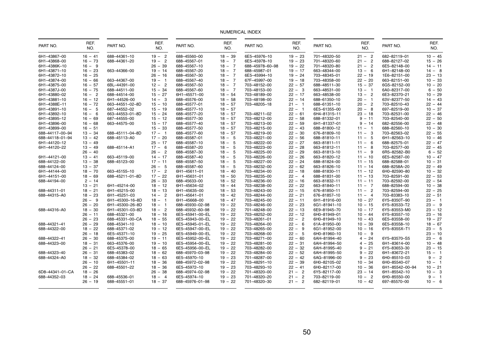| PART NO.        | REF.<br>NO. | PART NO.                     | REF.<br>NO.            | PART NO.        | REF.<br>NO.            | PART NO.        | REF.<br>NO.              | PART NO.     | REF.<br>NO. | PART NO.        | REF.<br>NO. |
|-----------------|-------------|------------------------------|------------------------|-----------------|------------------------|-----------------|--------------------------|--------------|-------------|-----------------|-------------|
| 6H1-43867-00    | $16 - 41$   | 688-44361-10                 | $19 - 2$               | 688-45560-00    | $18 - 39$              | 6E5-45976-10    | $19 - 23$                | 701-48320-50 | $21 - 2$    | 682-82119-01    | $10 - 45$   |
| 6H1-43868-00    | $16 - 73$   | 688-44361-20                 | $19 - 2$               | 688-45567-01    | $18 - 7$               | 6E5-45978-10    | $19 - 23$                | 701-48320-60 | $21 - 2$    | 688-82127-02    | $15 - 26$   |
| 6H1-4386K-10    | $16 - 9$    |                              | $26 - 39$              | 688-45567-10    | $18 - 7$               | 688-45978-60-98 | $19 - 22$                | 701-48320-80 | $21 - 2$    | 6E5-82148-00    | $14 - 11$   |
| 6H1-43871-10    | $16 - 23$   | 663-44366-00                 | $19 - 14$              | 688-45567-20    | $18 - 7$               | 688-45987-01    | $19 - 17$                | 663-48344-00 | $13 - 6$    | 6H1-82148-00    | $14 - 8$    |
| 6H1-43872-10    | $16 - 25$   |                              | $26 - 16$              | 688-45567-30    | $18 - 7$               | 6E5-45994-10    | $19 - 24$                | 703-48345-01 | $22 - 19$   | 1E6-82151-00    | $23 - 13$   |
| 6H1-43874-00    | $16 - 66$   | 663-44367-00                 | $19 - 1$               | 688-45567-40    | $18 - 7$               | 67F-45997-00    | $19 - 18$                | 703-48358-00 | $22 - 20$   | 663-82151-00    | $10 - 33$   |
| 6H1-43875-00    | $16 - 57$   | 6BL-44391-00                 | $12 - 2$               | 688-45567-50    | $18 - 7$               | 703-48152-00    | $22 - 57$                | 688-48511-30 | $15 - 37$   | 6G5-82152-00    | $10 - 20$   |
| 6H1-4387J-00    | $16 - 75$   | 688-44511-00                 | $15 - 34$              | 688-45567-60    | $18 - 7$               | 703-48153-00    | $22 - 3$                 | 663-48531-00 | $13 - 1$    | 6A0-82317-00    | $6 - 50$    |
| 6H1-43880-02    | $16 - 2$    | 688-44514-00                 | $15 - 27$              | 6H1-45571-00    | $18 - 54$              | 703-48189-00    | $22 - 17$                | 663-48538-00 | $13 - 2$    | 6E3-82370-21    | $10 - 29$   |
| 6H1-43881-10    | $16 - 12$   | 6H1-44526-00                 | $14 - 3$               | 688-45576-00    | $18 - 58$              | 703-48198-00    | $22 - 14$                | 688-61350-10 | $20 - 1$    | 63V-82377-50    | $14 - 43$   |
| 6H1-4388E-11    | $16 - 72$   | 663-44551-02-8D              | $15 - 10$              | 688-45577-01    | $18 - 57$              | 703-48205-18    | $21 - 1$                 | 688-61351-10 | $20 - 2$    | 703-82510-43    | $22 - 44$   |
| 6H1-43891-10    | $16 - 5$    | 687-44552-02                 | $15 - 19$              | 688-45577-10    | $18 - 57$              |                 | $22 - 1$                 | 6E5-61355-00 | $20 - 8$    | 697-82519-00    | $10 - 37$   |
| 6H1-43892-10    | $16 - 6$    | 663-44553-01-8D              | $15 - 24$              | 688-45577-20    | $18 - 57$              | 703-48211-02    | $22 - 61$                | 6H4-81315-11 | $23 - 18$   | 703-82531-00    | $22 - 46$   |
| 6H1-43895-12    | $16 - 69$   | 687-44555-00                 | $15 - 12$              | 688-45577-30    | $18 - 57$              | 703-48212-00    | $22 - 58$                | 688-81332-01 | $9 - 11$    | 703-82540-00    | $22 - 50$   |
| 6H1-43896-00    | $16 - 68$   | 663-44575-00                 | $15 - 17$              | 688-45577-40    | $18 - 57$              | 703-48213-00    | $22 - 59$                | 6H1-81337-01 | $9 - 14$    | 682-82556-00    | $22 - 48$   |
| 6H1-43899-00    | $16 - 51$   |                              | $15 - 33$              | 688-45577-50    | $18 - 57$              | 703-48215-00    | $22 - 43$                | 688-81800-12 | $11 - 1$    | 688-82560-10    | $10 - 30$   |
| 688-44117-00-94 | $13 - 34$   | 688-45111-04-8D              | $17 - 1$               | 688-45577-60    | $18 - 57$              | 703-48219-00    | $22 - 30$                | 676-81809-10 | $11 - 3$    | 703-82563-02    | $22 - 55$   |
| 688-44118-01-94 | $13 - 42$   | 688-45113-A0                 | $17 - 20$              | 688-45587-01    | $18 - 5$               | 703-48221-00    | $22 - 56$                | 688-81810-11 | $11 - 5$    | 6H1-82563-10    | $10 - 46$   |
| 6H1-44120-12    | $13 - 49$   |                              | $25 - 17$              | 688-45587-10    | $18 - 5$               | 703-48222-00    | $22 - 27$                | 663-81811-11 | $11 - 6$    | 688-82575-01    | $22 - 47$   |
| 6H1-44120-22    | $13 - 49$   | 688-45114-A1                 | $17 - 6$               | 688-45587-20    | $18 - 5$               | 703-48223-00    | $22 - 28$                | 663-81812-11 | $11 - 8$    | 703-82577-00    | $22 - 45$   |
|                 | $26 - 40$   |                              | $26 - 2$               | 688-45587-30    | $18 - 5$               | 703-48225-00    | $22 - 29$                | 663-81813-10 | $11 - 9$    | 6R5-82582-B0    | $6 - 52$    |
| 6H1-44121-00    | $13 - 41$   | 663-45119-00                 | $14 - 17$              | 688-45587-40    | $18 - 5$               | 703-48226-00    | $22 - 26$                | 663-81820-12 | $11 - 10$   | 6E5-82587-00    | $10 - 47$   |
| 688-44122-00    | $13 - 38$   | 688-45123-00                 | $17 - 11$              | 688-45587-50    | $18 - 5$               | 703-48227-00    | $22 - 24$                | 688-81824-00 | $11 - 15$   | 688-82588-01    | $10 - 31$   |
| 688-44124-00    | $13 - 37$   |                              | $26 - 5$               | 688-45587-60    | $18 - 5$               | 703-48232-00    | $22 - 62$                | 663-81826-10 | $11 - 14$   | 688-8258A-20    | $22 - 49$   |
| 6H1-44144-00    | $18 - 70$   | 663-45155-10                 | $17 - 2$               | 6H1-45611-01    | $18 - 40$              | 703-48234-00    | $22 - 18$                | 688-81830-11 | $11 - 12$   | 6H0-82590-80    | $10 - 32$   |
| 6H1-44151-00    | $18 - 69$   | 688-45211-01-8D              | $17 - 22$              | 6H1-45631-01    | $18 - 50$              | 703-48235-00    | $22 - 4$                 | 688-81831-00 | $11 - 13$   | 703-82591-00    | $22 - 53$   |
| 688-44194-00    | $2 - 14$    |                              | $26 - 33$              | 688-45633-00    | $18 - 52$              | 703-48236-00    | $22 - 16$                | 663-81832-11 | $11 - 11$   | 703-82592-00    | $22 - 54$   |
|                 | $13 - 21$   | 6H1-45214-00                 | $18 - 12$              | 6H1-45634-02    | $18 - 44$              | 703-48238-00    | $22 - 22$                | 663-81840-11 | $11 - 7$    | 688-82594-00    | $10 - 38$   |
| 688-44311-01    | $18 - 21$   | 6H1-45215-00                 | $18 - 13$              | 6H1-45635-00    | $18 - 53$              | 703-48243-00    | $22 - 15$                | 676-81850-11 | $11 - 2$    | 703-82594-00    | $22 - 25$   |
| 688-44315-A0    | $18 - 23$   | 6H1-45251-03                 | $14 - 2$               | 6H1-45641-01    | $18 - 42$              | 703-48244-00    | $22 - 21$                | 676-81857-10 | $11 - 4$    | 703-83383-10    | $22 - 51$   |
|                 | $26 - 9$    | 6H1-45300-16-8D              | $18 - 1$               | 6H1-45668-00    | $18 - 47$              | 703-48245-00    | $22 - 11$                | 6H1-81916-00 | $10 - 27$   | 6Y5-8350T-90    | $23 - 1$    |
|                 | $26 - 20$   | 6H1-45300-26-8D              | $18 - 1$               | 688-45930-02-98 | $19 - 22$              | 703-48246-00    | $22 - 23$                | 6G1-81941-10 | $10 - 15$   | 6Y5-83533-T2    | $23 - 9$    |
| 688-44316-A0    | $18 - 30$   | 6H1-45301-03-8D              | $18 - 2$               | 688-45932-60-98 | $19 - 22$              | 701-48248-00    | $22 - 13$                | 6E9-81945-70 | $10 - 17$   | 6Y5-83553-M0    | $23 - 12$   |
|                 | $26 - 11$   | 688-45321-00                 | $18 - 16$              | 6E5-45941-00-EL | $19 - 22$              | 703-48252-00    | $22 - 12$                | 6H0-81949-01 | $10 - 44$   | 6Y5-83557-10    | $23 - 16$   |
|                 | $26 - 23$   | 688-45331-00-CA              | $18 - 55$              | 6E5-45943-00-EL | $19 - 22$              | 703-48261-01    | $22 - 2$                 | 6H0-81949-10 | $10 - 43$   | 6E5-83558-00    | $19 - 27$   |
| 688-44321-41    | $26 - 29$   | 688-45341-10                 | $18 - 10$              | 6E5-45945-01-EL | $19 - 22$              | 703-48264-00    | $22 - 6$                 | 61A-81950-00 | $10 - 39$   | 6E5-83558-10    | $18 - 67$   |
|                 | $18 - 22$   | 688-45371-02                 | $19 - 12$              | 6E5-45947-00-EL | $19 - 22$              | 703-48265-00    | $22 - 9$                 | 6G1-81952-00 | $10 - 16$   | 6Y5-8355X-T1    | $23 - 5$    |
| 688-44322-00    | $26 - 18$   | 6E5-45371-10                 | $19 - 25$              | 6E5-45949-00-EL | $19 - 22$              | 703-48268-00    | $22 - 5$                 | 6H0-81960-10 | $10 - 9$    |                 | $23 - 10$   |
| 688-44322-41    | $26 - 30$   | 688-45375-00                 | $19 - 11$              | 6E5-45952-00-EL | $19 - 22$              | 703-48271-00    | $22 - 60$                | 6AH-81994-40 | $4 - 24$    | 6Y5-83570-S5    | $23 - 6$    |
| 688-44323-00    | $18 - 31$   | 663-45376-00                 | $19 - 10$              | 6E5-45954-00-EL | $19 - 22$              | 703-48281-00    | $22 - 31$                | 6AH-81994-50 | $4 - 25$    | 6H1-83614-00    | $10 - 48$   |
|                 | $26 - 21$   |                              |                        | 6E5-45956-00-EL |                        | 703-48282-00    | $22 - 32$                | 6AH-81995-40 | $9 - 21$    | 6Y5-83653-30    | $23 - 15$   |
| 688-44323-40    | $26 - 31$   | 6E5-45378-00<br>688-45383-02 | $18 - 65$<br>$18 - 62$ | 688-45970-03-98 | $19 - 22$<br>$19 - 22$ | 703-48284-00    | $22 - 52$                | 6AH-81995-50 | $9 - 22$    | 6H1-83672-21    | $15 - 1$    |
| 688-44324-A0    | $18 - 32$   | 688-45384-02                 | $18 - 63$              | 6E5-45970-10    | $19 - 23$              | 701-48287-00    | $22 - 42$                | 6AG-81996-00 | $9 - 23$    | 6H0-85510-03    | $9 - 2$     |
|                 |             |                              |                        |                 |                        |                 |                          |              |             |                 |             |
|                 | $26 - 10$   | 6H1-45501-11                 | $18 - 36$              | 688-45972-02-98 | $19 - 22$              | 703-48291-10    | $22 - 39$                | 6H0-82105-02 | $10 - 34$   | 6H0-85540-07    | $10 - 1$    |
|                 | $26 - 22$   | 688-45501-22                 | $18 - 36$              | 6E5-45972-10    | $19 - 23$              | 703-48293-10    | $22 - 41$                | 6H0-82117-00 | $10 - 36$   | 6H1-85542-00-94 | $10 - 21$   |
| 6D8-44341-01-CA | $18 - 26$   |                              | $26 - 38$              | 688-45974-02-98 | $19 - 22$              | 701-48320-00    | $21 - 2$                 | 6Y5-82117-00 | $23 - 14$   | 6H1-85542-10    | $10 - 3$    |
| 688-44352-03    | $18 - 24$   | 688-45536-01                 | $18 - 4$               | 6E5-45974-10    | $19 - 23$              | 701-48320-20    | $\overline{2}$<br>$21 -$ | 703-82119-00 | $10 - 2$    | 6H0-85550-00    | $9 - 1$     |
|                 | $26 - 19$   | 688-45551-01                 | $18 - 37$              | 688-45976-01-98 | $19 - 22$              | 701-48320-30    | $21 - 2$                 | 682-82119-01 | $10 - 42$   | 697-85570-00    | $10 - 6$    |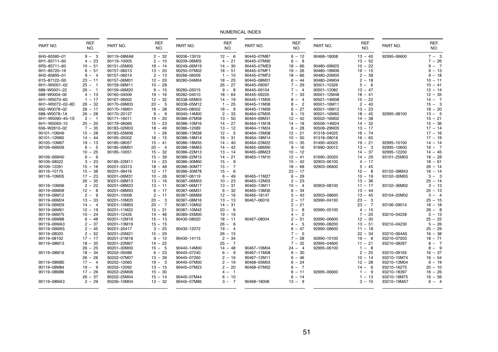| PART NO.        | REF.<br>NO. | PART NO.    | REF.<br>NO.   | PART NO.    | REF.<br>NO. | PART NO.    | REF.<br>NO. | PART NO.    | REF.<br>NO. | PART NO.    | REF.<br>NO. |
|-----------------|-------------|-------------|---------------|-------------|-------------|-------------|-------------|-------------|-------------|-------------|-------------|
| 6H0-85580-01    | $9 - 3$     | 90119-08MA8 | $2 - 32$      | 90206-13019 | $12 - 6$    | 90445-07M87 | $6 - 12$    | 90468-18008 | $13 - 40$   | 92995-06600 | $7 - 3$     |
| 6H1-85711-60    | $4 - 23$    | 90119-10005 | $2 - 10$      | 90209-06M05 | $4 - 21$    | 90445-07M90 | $6 - 8$     |             | $13 - 52$   |             | $7 - 26$    |
| 6R5-85711-60    | $10 - 51$   | 90151-05M00 | $18 - 14$     | 90249-06M19 | $14 - 30$   | 90445-07ME9 | $18 - 66$   | 90480-09M25 | $10 - 22$   |             | $9 - 7$     |
| 6H1-85720-16    | $6 - 51$    | 90157-06013 | $13 - 20$     | 90250-07M02 | $18 - 51$   | 90445-07MF1 | $19 - 26$   | 90480-19M06 | $19 - 15$   |             | $9 - 13$    |
| 6H2-85895-01    | $9 - 4$     | 90157-06014 | $2 - 13$      | 90266-06009 | $1 - 10$    | 90445-07MF2 | $18 - 66$   | 90480-20M05 | $2 - 38$    |             | $9 - 18$    |
| 6Y5-87122-S0    | $23 - 11$   | 90157-06M01 | $12 - 20$     | 90280-04M04 | $18 - 25$   | 90445-08M01 | $6 - 44$    | 90480-24M04 | $2 - 18$    |             | $10 - 11$   |
| 6H1-W0001-02    | $25 - 1$    | 90159-06M11 | $10 - 28$     |             | $26 - 27$   | 90445-09097 | $7 - 29$    | 90501-10326 | $5 - 6$     |             | $10 - 41$   |
| 688-W0001-22    | $26 - 1$    | 90159-06M20 | $9 - 15$      | 90280-05015 | $9 - 8$     | 90445-09104 | $7 - 4$     | 90501-12082 | $13 - 47$   |             | $12 - 14$   |
| 688-W0004-00    | $4 - 13$    | 90160-04006 | $19 - 16$     | 90282-04010 | $18 - 64$   | 90445-09220 | $7 - 33$    | 90501-12M48 | $18 - 41$   |             | $12 - 35$   |
| 6H1-W0070-60    | $1 - 17$    | 90167-06002 | $12 - 32$     | 90338-05M03 | $14 - 19$   | 90445-11M05 | $8 - 4$     | 90501-14M08 | $15 - 22$   |             | $14 - 7$    |
| 6H1-W0072-02-8D | $26 - 32$   | 90170-09M03 | $20 - 5$      | 90338-05M12 | $1 - 25$    | 90445-11M06 | $8 - 2$     | 90501-16M11 | $2 - 40$    |             | $15 - 3$    |
| 692-W0078-02    | $26 - 17$   | 90170-16M01 | $18 - 38$     | 90340-08002 | $18 - 9$    | 90445-11M09 | $6 - 27$    | 90501-16M12 | $13 - 23$   |             | $18 - 20$   |
| 688-W0078-1A    | $26 - 28$   | 90170-20137 | -9<br>$9 -$   | 90340-14M00 | $2 - 33$    | 90464-07M05 | $6 - 15$    | 90501-16M65 | $18 - 45$   | 92995-08100 | $13 - 5$    |
| 6H1-W0090-45-1S | $2 - 1$     | 90171-16011 | $19 - 20$     | 90386-07M58 | $13 - 50$   | 90464-09M31 | $12 - 42$   | 90502-16M02 | $14 - 38$   |             | $15 - 21$   |
| 6H1-W0093-10    | $25 - 20$   | 90179-06066 | $15 - 23$     | 90386-10M16 | $14 - 27$   | 90464-11M18 | $14 - 18$   | 90506-14M24 | $14 - 32$   |             | $15 - 36$   |
|                 | $7 - 35$    |             |               |             |             |             |             |             | $13 - 17$   |             | $17 - 14$   |
| 656-W2810-02    |             | 90183-02M03 | $18 - 49$     | 90386-12089 | $13 - 12$   | 90464-11M24 | $6 - 28$    | 90508-29M05 |             |             |             |
| 90101-10M49     | $15 - 28$   | 90183-05M06 | $1 - 26$      | 90386-13M38 | $12 - 5$    | 90464-15M08 | $12 - 21$   | 91318-04025 | $16 - 74$   |             | $17 - 16$   |
| 90101-12M65     | $14 - 44$   | 90185-05002 | $18 - 15$     | 90386-18M14 | $16 - 31$   | 90464-18M14 | $10 - 50$   | 91318-08016 | $16 - 65$   |             | $17 - 19$   |
| 90105-10M67     | $19 - 13$   | 90185-08057 | $15 - 41$     | 90386-18M35 | $14 - 40$   | 90464-23M22 | $10 - 35$   | 91490-40025 | $19 - 21$   | 92995-10100 | $14 - 14$   |
| 90109-06M39     | $6 - 5$     | 90185-09M01 | $20 - 4$      | 90386-18M63 | $14 - 42$   | 90465-06M90 | $9 - 16$    | 91690-30012 | $13 - 3$    | 92995-10600 | $19 - 7$    |
|                 | $10 - 25$   | 90185-10051 | $15 - 32$     | 90386-22M13 | $13 - 14$   | 90465-08M23 | $10 - 12$   |             | $14 - 37$   | 92995-12200 | $14 - 45$   |
| 90109-06M40     | $6 - 6$     |             | $15 - 39$     | 90386-22M15 | $14 - 21$   | 90465-11M10 | $12 - 41$   | 91690-30020 | $14 - 29$   | 93101-25M03 | $18 - 28$   |
| 90109-08022     | $3 - 23$    | 90185-22M11 | $14 - 23$     | 90386-30M60 | $15 - 9$    |             | $15 - 42$   | 92903-06100 | $4 - 17$    |             | $18 - 61$   |
| 90109-12261     | $15 - 16$   | 90201-03313 | $18 - 48$     | 90386-30M77 | $15 - 7$    |             | $18 - 68$   | 92903-06600 | $5 - 45$    |             | $26 - 14$   |
| 90116-10175     | $15 - 38$   | 90201-06416 | $12 - 17$     | 90386-30M78 | $15 - 6$    |             | $23 - 17$   |             | $10 - 8$    | 93102-08M43 | $16 - 14$   |
| 90116-10M05     | $17 - 23$   | 90201-06M31 | $10 - 26$     | 90387-06119 | $6 - 49$    | 90465-11M27 | $6 - 29$    |             | $10 - 19$   | 93102-30M05 | $3 - 3$     |
|                 | $26 - 35$   | 90201-08M13 | $13 - 16$     | 90387-06M03 | $10 - 23$   | 90465-12M03 | $2 - 23$    |             | $13 - 36$   |             | $25 - 14$   |
| 90116-10M06     | $2 - 22$    | 90201-08M23 | $13 - 11$     | 90387-06M17 | $13 - 31$   | 90465-13M11 | $10 - 4$    | 92903-08100 | $11 - 17$   | 93102-36M02 | $3 - 13$    |
| 90119-06M09     | $12 - 8$    | 90201-08M93 | $6 - 17$      | 90387-06M31 | $6 - 32$    | 90465-13M30 | $6 - 34$    |             | $13 - 44$   |             | $25 - 13$   |
| 90119-06M12     | $2 - 9$     | 90201-10008 | $2 - 11$      | 90387-06M69 | $12 - 16$   | 90465-18147 | $5 - 43$    | 92903-08600 | $13 - 45$   | 93104-20M02 | $3 - 4$     |
| 90119-06M24     | $13 - 33$   | 90201-10M20 | $20 -$<br>-3  | 90387-08M16 | $13 - 13$   | 90467-06016 | $2 - 17$    | 92990-04100 | $23 - 3$    |             | $25 - 15$   |
| 90119-06M29     | $14 - 4$    | 90201-10M63 | $20 - 7$      | 90387-10M02 | $14 - 31$   |             | $2 - 21$    |             | $23 - 7$    | 93106-09014 | $18 - 18$   |
| 90119-06M61     | $12 - 19$   | 90201-11M22 | $15 - 31$     | 90387-10M42 | $20 - 6$    |             | $3 - 8$     | 92990-05100 | $4 - 15$    |             | $26 - 8$    |
| 90119-06M75     | $10 - 24$   | 90201-12426 | $14 - 46$     | 90389-25M00 | $19 - 19$   |             | $4 - 2$     |             | $7 - 20$    | 93210-04228 | $5 - 13$    |
| 90119-06M88     | $6 - 48$    | 90201-12M16 | $15 - 13$     | 90430-08020 | $18 - 11$   | 90467-08004 | $2 - 51$    | 92990-06600 | $12 - 30$   |             | $25 - 22$   |
| 90119-06MA3     | $2 - 37$    | 90201-13M19 | $15 - 15$     |             | $26 - 6$    |             | $4 - 5$     | 92990-08200 | $13 - 51$   | 93210-04230 | $5 - 26$    |
| 90119-06MA5     | $2 - 45$    | 90201-20417 | $3 - 25$      | 90430-12072 | $19 - 4$    |             | $6 - 47$    | 92990-08600 | $11 - 18$   |             | $25 - 29$   |
| 90119-08020     | $2 - 52$    | 90201-20M21 | $15 - 29$     |             | $26 - 15$   |             | $7 - 5$     |             | $22 - 34$   | 93210-064A5 | $16 - 38$   |
| 90119-08102     | $17 - 17$   | 90201-21M18 | $9 - 10$      | 90430-14115 | $2 - 34$    |             | $7 - 28$    | 92990-10100 | $19 - 8$    | 93210-07003 | $18 - 71$   |
| 90119-08M13     | $18 - 35$   | 90201-22M67 | $14 - 22$     |             | $25 - 7$    |             | $7 - 32$    | 92995-04600 | $11 - 21$   | 93210-08287 | $8 - 7$     |
|                 | $26 - 25$   | 90201-30M00 | $15 - 5$      | 90440-14M00 | $14 - 48$   | 90467-10M04 | $24 - 4$    | 92995-06100 | $1 - 8$     |             | $8 - 9$     |
| 90119-08M16     | $18 - 34$   | 90202-05088 | $6 - 23$      | 90445-07240 | $6 - 9$     | 90467-11M08 | $6 - 30$    |             | $2 - 25$    | 93210-09165 | $16 - 37$   |
|                 | $26 - 26$   | 90202-07M07 | $13 - 39$     | 90445-07260 | $2 - 16$    | 90467-12M11 | $6 - 46$    |             | $10 - 14$   | 93210-10M74 | $16 - 54$   |
| 90119-08M80     | $17 - 4$    | 90202-12060 | $19 -$<br>- 3 | 90445-07M00 | $2 - 19$    | 90468-05M03 | $6 - 24$    |             | 12<br>$-28$ | 93210-13M04 | $6 - 19$    |
| 90119-08M84     | $19 - 9$    | 90202-12092 | $13 - 15$     | 90445-07M23 | $2 - 20$    | 90468-07M02 | $6 - 7$     |             | $14 - 6$    | 93210-16275 | $20 - 10$   |
| 90119-08M86     | $17 - 26$   | 90202-20M06 | $15 - 30$     |             | $4 - 1$     |             | $6 - 11$    | 92995-06600 | 1<br>$-9$   | 93210-18397 | $16 - 26$   |
|                 | $26 - 37$   | 90202-25M04 | $15 - 14$     | 90445-07M44 | $6 - 10$    |             | $6 - 14$    |             | 1<br>$-13$  | 93210-18M75 | $16 - 56$   |
| 90119-08MA3     | $2 - 29$    | 90206-10M04 | $13 - 32$     | 90445-07M86 | $3 - 7$     | 90468-18008 | $13 - 9$    |             | $3 - 10$    | 93210-19MA7 | $6 - 4$     |